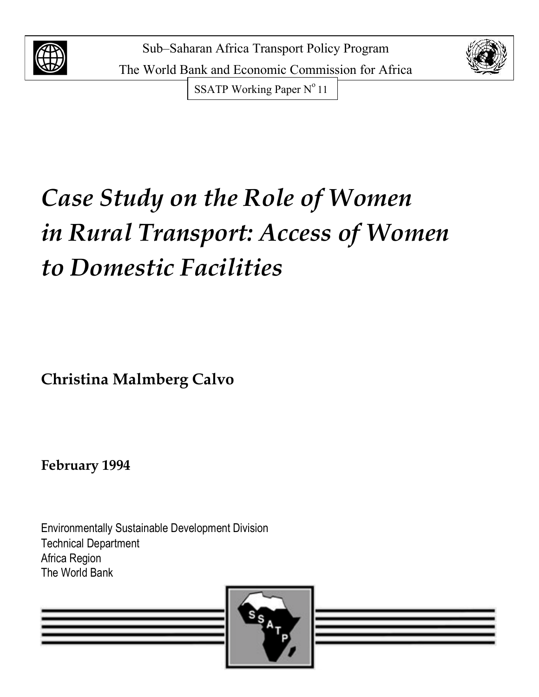



SSATP Working Paper N° 11

# *Case Study on the Role of Women in Rural Transport: Access of Women to Domestic Facilities*

**Christina Malmberg Calvo**

**February 1994**

Environmentally Sustainable Development Division Technical Department Africa Region The World Bank

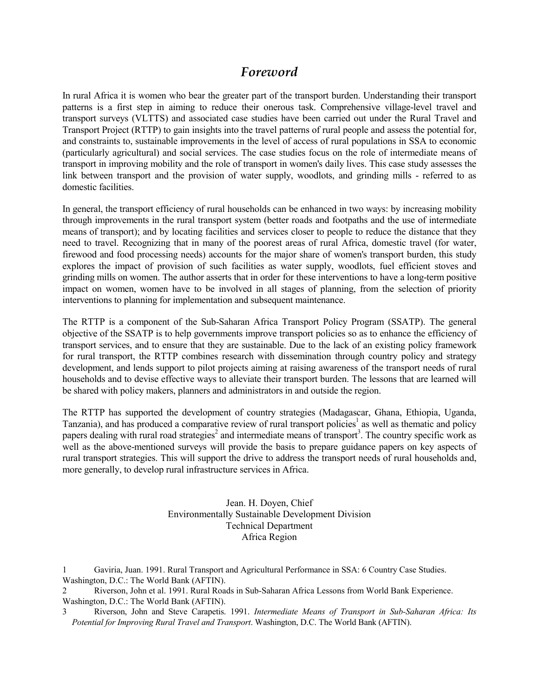# *Foreword*

In rural Africa it is women who bear the greater part of the transport burden. Understanding their transport patterns is a first step in aiming to reduce their onerous task. Comprehensive village-level travel and transport surveys (VLTTS) and associated case studies have been carried out under the Rural Travel and Transport Project (RTTP) to gain insights into the travel patterns of rural people and assess the potential for, and constraints to, sustainable improvements in the level of access of rural populations in SSA to economic (particularly agricultural) and social services. The case studies focus on the role of intermediate means of transport in improving mobility and the role of transport in women's daily lives. This case study assesses the link between transport and the provision of water supply, woodlots, and grinding mills - referred to as domestic facilities.

In general, the transport efficiency of rural households can be enhanced in two ways: by increasing mobility through improvements in the rural transport system (better roads and footpaths and the use of intermediate means of transport); and by locating facilities and services closer to people to reduce the distance that they need to travel. Recognizing that in many of the poorest areas of rural Africa, domestic travel (for water, firewood and food processing needs) accounts for the major share of women's transport burden, this study explores the impact of provision of such facilities as water supply, woodlots, fuel efficient stoves and grinding mills on women. The author asserts that in order for these interventions to have a long-term positive impact on women, women have to be involved in all stages of planning, from the selection of priority interventions to planning for implementation and subsequent maintenance.

The RTTP is a component of the Sub-Saharan Africa Transport Policy Program (SSATP). The general objective of the SSATP is to help governments improve transport policies so as to enhance the efficiency of transport services, and to ensure that they are sustainable. Due to the lack of an existing policy framework for rural transport, the RTTP combines research with dissemination through country policy and strategy development, and lends support to pilot projects aiming at raising awareness of the transport needs of rural households and to devise effective ways to alleviate their transport burden. The lessons that are learned will be shared with policy makers, planners and administrators in and outside the region.

The RTTP has supported the development of country strategies (Madagascar, Ghana, Ethiopia, Uganda, Tanzania), and has produced a comparative review of rural transport policies<sup>1</sup> as well as thematic and policy papers dealing with rural road strategies<sup>2</sup> and intermediate means of transport<sup>3</sup>. The country specific work as well as the above-mentioned surveys will provide the basis to prepare guidance papers on key aspects of rural transport strategies. This will support the drive to address the transport needs of rural households and, more generally, to develop rural infrastructure services in Africa.

> Jean. H. Doyen, Chief Environmentally Sustainable Development Division Technical Department Africa Region

<sup>1</sup> Gaviria, Juan. 1991. Rural Transport and Agricultural Performance in SSA: 6 Country Case Studies. Washington, D.C.: The World Bank (AFTIN).

<sup>2</sup> Riverson, John et al. 1991. Rural Roads in Sub-Saharan Africa Lessons from World Bank Experience. Washington, D.C.: The World Bank (AFTIN).

<sup>3</sup> Riverson, John and Steve Carapetis. 1991. *Intermediate Means of Transport in Sub-Saharan Africa: Its Potential for Improving Rural Travel and Transport*. Washington, D.C. The World Bank (AFTIN).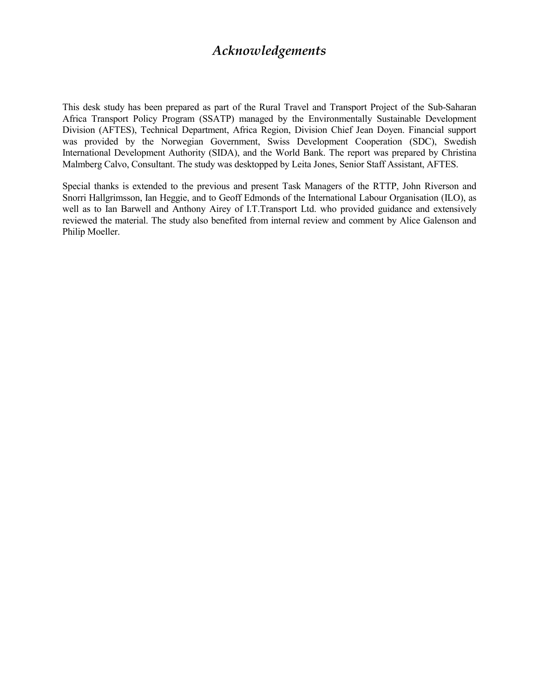# *Acknowledgements*

This desk study has been prepared as part of the Rural Travel and Transport Project of the Sub-Saharan Africa Transport Policy Program (SSATP) managed by the Environmentally Sustainable Development Division (AFTES), Technical Department, Africa Region, Division Chief Jean Doyen. Financial support was provided by the Norwegian Government, Swiss Development Cooperation (SDC), Swedish International Development Authority (SIDA), and the World Bank. The report was prepared by Christina Malmberg Calvo, Consultant. The study was desktopped by Leita Jones, Senior Staff Assistant, AFTES.

Special thanks is extended to the previous and present Task Managers of the RTTP, John Riverson and Snorri Hallgrimsson, Ian Heggie, and to Geoff Edmonds of the International Labour Organisation (ILO), as well as to Ian Barwell and Anthony Airey of I.T.Transport Ltd. who provided guidance and extensively reviewed the material. The study also benefited from internal review and comment by Alice Galenson and Philip Moeller.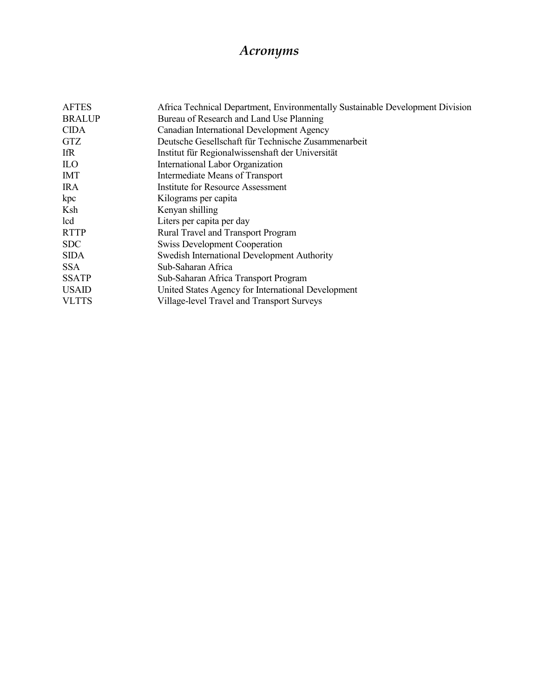# *Acronyms*

| Africa Technical Department, Environmentally Sustainable Development Division |
|-------------------------------------------------------------------------------|
| Bureau of Research and Land Use Planning                                      |
| Canadian International Development Agency                                     |
| Deutsche Gesellschaft für Technische Zusammenarbeit                           |
| Institut für Regionalwissenshaft der Universität                              |
| <b>International Labor Organization</b>                                       |
| Intermediate Means of Transport                                               |
| <b>Institute for Resource Assessment</b>                                      |
| Kilograms per capita                                                          |
| Kenyan shilling                                                               |
| Liters per capita per day                                                     |
| Rural Travel and Transport Program                                            |
| <b>Swiss Development Cooperation</b>                                          |
| Swedish International Development Authority                                   |
| Sub-Saharan Africa                                                            |
| Sub-Saharan Africa Transport Program                                          |
| United States Agency for International Development                            |
| Village-level Travel and Transport Surveys                                    |
|                                                                               |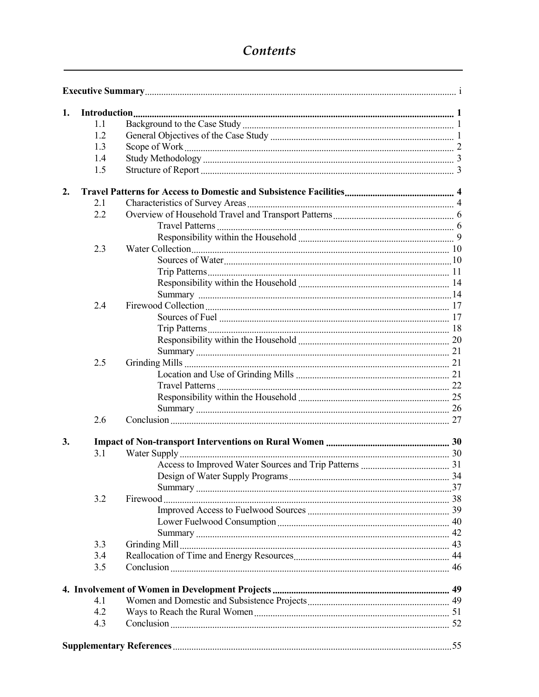# Contents

| 1. |     |  |
|----|-----|--|
|    | 1.1 |  |
|    | 1.2 |  |
|    | 1.3 |  |
|    | 1.4 |  |
|    | 1.5 |  |
| 2. |     |  |
|    | 2.1 |  |
|    | 2.2 |  |
|    |     |  |
|    |     |  |
|    | 2.3 |  |
|    |     |  |
|    |     |  |
|    |     |  |
|    |     |  |
|    | 2.4 |  |
|    |     |  |
|    |     |  |
|    |     |  |
|    |     |  |
|    | 2.5 |  |
|    |     |  |
|    |     |  |
|    |     |  |
|    |     |  |
|    | 2.6 |  |
| 3. |     |  |
|    | 3.1 |  |
|    |     |  |
|    |     |  |
|    |     |  |
|    | 3.2 |  |
|    |     |  |
|    |     |  |
|    |     |  |
|    | 3.3 |  |
|    | 3.4 |  |
|    | 3.5 |  |
|    |     |  |
|    | 41  |  |
|    | 4.2 |  |
|    | 4.3 |  |
|    |     |  |
|    |     |  |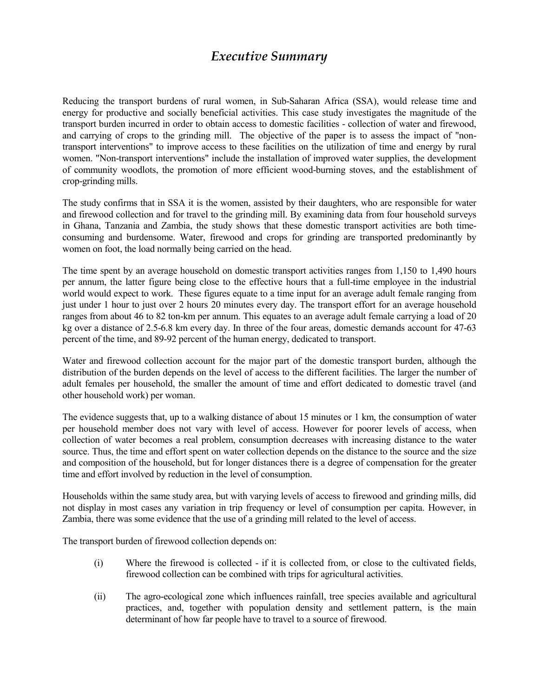# *Executive Summary*

Reducing the transport burdens of rural women, in Sub-Saharan Africa (SSA), would release time and energy for productive and socially beneficial activities. This case study investigates the magnitude of the transport burden incurred in order to obtain access to domestic facilities - collection of water and firewood, and carrying of crops to the grinding mill. The objective of the paper is to assess the impact of "nontransport interventions" to improve access to these facilities on the utilization of time and energy by rural women. "Non-transport interventions" include the installation of improved water supplies, the development of community woodlots, the promotion of more efficient wood-burning stoves, and the establishment of crop-grinding mills.

The study confirms that in SSA it is the women, assisted by their daughters, who are responsible for water and firewood collection and for travel to the grinding mill. By examining data from four household surveys in Ghana, Tanzania and Zambia, the study shows that these domestic transport activities are both timeconsuming and burdensome. Water, firewood and crops for grinding are transported predominantly by women on foot, the load normally being carried on the head.

The time spent by an average household on domestic transport activities ranges from 1,150 to 1,490 hours per annum, the latter figure being close to the effective hours that a full-time employee in the industrial world would expect to work. These figures equate to a time input for an average adult female ranging from just under 1 hour to just over 2 hours 20 minutes every day. The transport effort for an average household ranges from about 46 to 82 ton-km per annum. This equates to an average adult female carrying a load of 20 kg over a distance of 2.5-6.8 km every day. In three of the four areas, domestic demands account for 47-63 percent of the time, and 89-92 percent of the human energy, dedicated to transport.

Water and firewood collection account for the major part of the domestic transport burden, although the distribution of the burden depends on the level of access to the different facilities. The larger the number of adult females per household, the smaller the amount of time and effort dedicated to domestic travel (and other household work) per woman.

The evidence suggests that, up to a walking distance of about 15 minutes or 1 km, the consumption of water per household member does not vary with level of access. However for poorer levels of access, when collection of water becomes a real problem, consumption decreases with increasing distance to the water source. Thus, the time and effort spent on water collection depends on the distance to the source and the size and composition of the household, but for longer distances there is a degree of compensation for the greater time and effort involved by reduction in the level of consumption.

Households within the same study area, but with varying levels of access to firewood and grinding mills, did not display in most cases any variation in trip frequency or level of consumption per capita. However, in Zambia, there was some evidence that the use of a grinding mill related to the level of access.

The transport burden of firewood collection depends on:

- (i) Where the firewood is collected if it is collected from, or close to the cultivated fields, firewood collection can be combined with trips for agricultural activities.
- (ii) The agro-ecological zone which influences rainfall, tree species available and agricultural practices, and, together with population density and settlement pattern, is the main determinant of how far people have to travel to a source of firewood.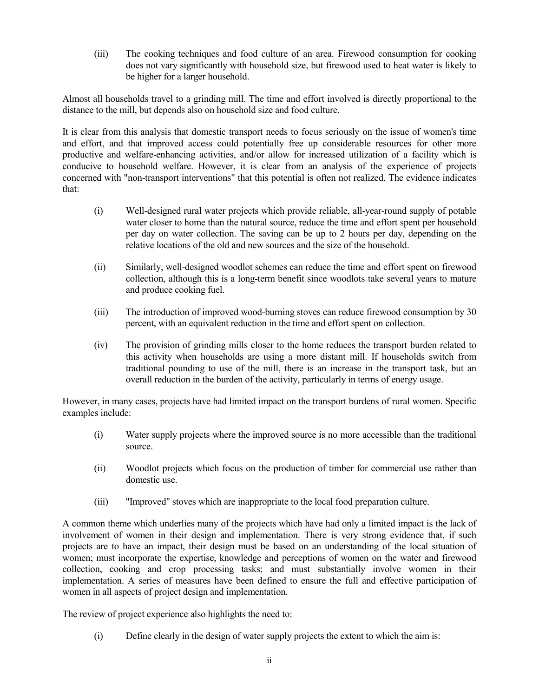(iii) The cooking techniques and food culture of an area. Firewood consumption for cooking does not vary significantly with household size, but firewood used to heat water is likely to be higher for a larger household.

Almost all households travel to a grinding mill. The time and effort involved is directly proportional to the distance to the mill, but depends also on household size and food culture.

It is clear from this analysis that domestic transport needs to focus seriously on the issue of women's time and effort, and that improved access could potentially free up considerable resources for other more productive and welfare-enhancing activities, and/or allow for increased utilization of a facility which is conducive to household welfare. However, it is clear from an analysis of the experience of projects concerned with "non-transport interventions" that this potential is often not realized. The evidence indicates that:

- (i) Well-designed rural water projects which provide reliable, all-year-round supply of potable water closer to home than the natural source, reduce the time and effort spent per household per day on water collection. The saving can be up to 2 hours per day, depending on the relative locations of the old and new sources and the size of the household.
- (ii) Similarly, well-designed woodlot schemes can reduce the time and effort spent on firewood collection, although this is a long-term benefit since woodlots take several years to mature and produce cooking fuel.
- (iii) The introduction of improved wood-burning stoves can reduce firewood consumption by 30 percent, with an equivalent reduction in the time and effort spent on collection.
- (iv) The provision of grinding mills closer to the home reduces the transport burden related to this activity when households are using a more distant mill. If households switch from traditional pounding to use of the mill, there is an increase in the transport task, but an overall reduction in the burden of the activity, particularly in terms of energy usage.

However, in many cases, projects have had limited impact on the transport burdens of rural women. Specific examples include:

- (i) Water supply projects where the improved source is no more accessible than the traditional source.
- (ii) Woodlot projects which focus on the production of timber for commercial use rather than domestic use.
- (iii) "Improved" stoves which are inappropriate to the local food preparation culture.

A common theme which underlies many of the projects which have had only a limited impact is the lack of involvement of women in their design and implementation. There is very strong evidence that, if such projects are to have an impact, their design must be based on an understanding of the local situation of women; must incorporate the expertise, knowledge and perceptions of women on the water and firewood collection, cooking and crop processing tasks; and must substantially involve women in their implementation. A series of measures have been defined to ensure the full and effective participation of women in all aspects of project design and implementation.

The review of project experience also highlights the need to:

(i) Define clearly in the design of water supply projects the extent to which the aim is: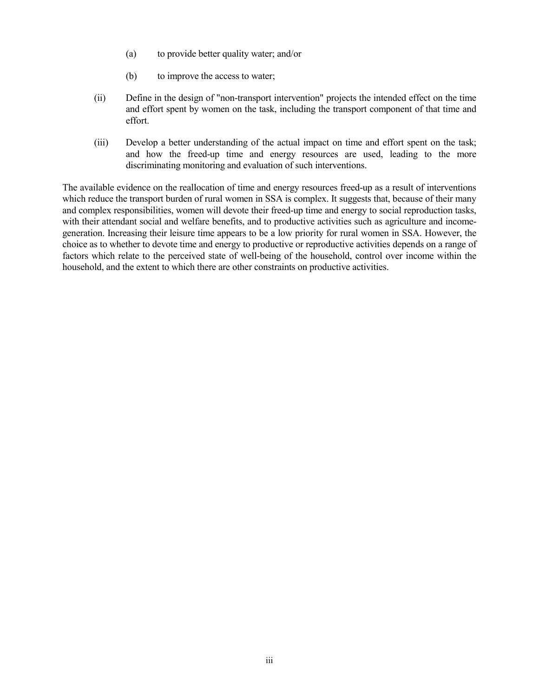- (a) to provide better quality water; and/or
- (b) to improve the access to water;
- (ii) Define in the design of "non-transport intervention" projects the intended effect on the time and effort spent by women on the task, including the transport component of that time and effort.
- (iii) Develop a better understanding of the actual impact on time and effort spent on the task; and how the freed-up time and energy resources are used, leading to the more discriminating monitoring and evaluation of such interventions.

The available evidence on the reallocation of time and energy resources freed-up as a result of interventions which reduce the transport burden of rural women in SSA is complex. It suggests that, because of their many and complex responsibilities, women will devote their freed-up time and energy to social reproduction tasks, with their attendant social and welfare benefits, and to productive activities such as agriculture and incomegeneration. Increasing their leisure time appears to be a low priority for rural women in SSA. However, the choice as to whether to devote time and energy to productive or reproductive activities depends on a range of factors which relate to the perceived state of well-being of the household, control over income within the household, and the extent to which there are other constraints on productive activities.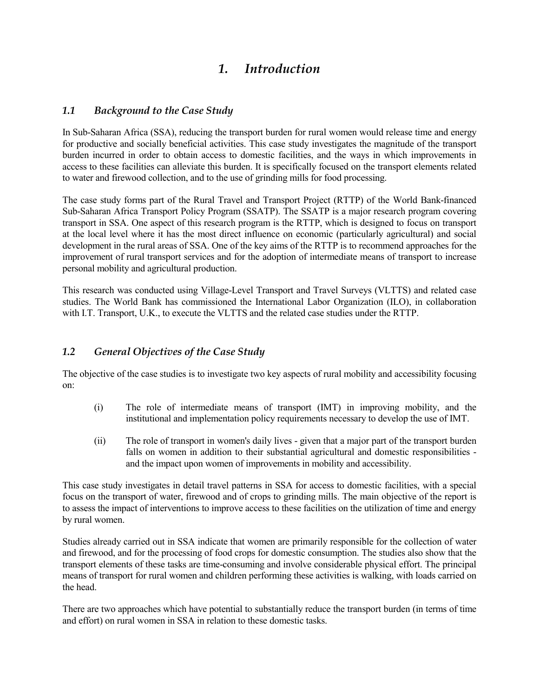# *1. Introduction*

# *1.1 Background to the Case Study*

In Sub-Saharan Africa (SSA), reducing the transport burden for rural women would release time and energy for productive and socially beneficial activities. This case study investigates the magnitude of the transport burden incurred in order to obtain access to domestic facilities, and the ways in which improvements in access to these facilities can alleviate this burden. It is specifically focused on the transport elements related to water and firewood collection, and to the use of grinding mills for food processing.

The case study forms part of the Rural Travel and Transport Project (RTTP) of the World Bank-financed Sub-Saharan Africa Transport Policy Program (SSATP). The SSATP is a major research program covering transport in SSA. One aspect of this research program is the RTTP, which is designed to focus on transport at the local level where it has the most direct influence on economic (particularly agricultural) and social development in the rural areas of SSA. One of the key aims of the RTTP is to recommend approaches for the improvement of rural transport services and for the adoption of intermediate means of transport to increase personal mobility and agricultural production.

This research was conducted using Village-Level Transport and Travel Surveys (VLTTS) and related case studies. The World Bank has commissioned the International Labor Organization (ILO), in collaboration with I.T. Transport, U.K., to execute the VLTTS and the related case studies under the RTTP.

# *1.2 General Objectives of the Case Study*

The objective of the case studies is to investigate two key aspects of rural mobility and accessibility focusing on:

- (i) The role of intermediate means of transport (IMT) in improving mobility, and the institutional and implementation policy requirements necessary to develop the use of IMT.
- (ii) The role of transport in women's daily lives given that a major part of the transport burden falls on women in addition to their substantial agricultural and domestic responsibilities and the impact upon women of improvements in mobility and accessibility.

This case study investigates in detail travel patterns in SSA for access to domestic facilities, with a special focus on the transport of water, firewood and of crops to grinding mills. The main objective of the report is to assess the impact of interventions to improve access to these facilities on the utilization of time and energy by rural women.

Studies already carried out in SSA indicate that women are primarily responsible for the collection of water and firewood, and for the processing of food crops for domestic consumption. The studies also show that the transport elements of these tasks are time-consuming and involve considerable physical effort. The principal means of transport for rural women and children performing these activities is walking, with loads carried on the head.

There are two approaches which have potential to substantially reduce the transport burden (in terms of time and effort) on rural women in SSA in relation to these domestic tasks.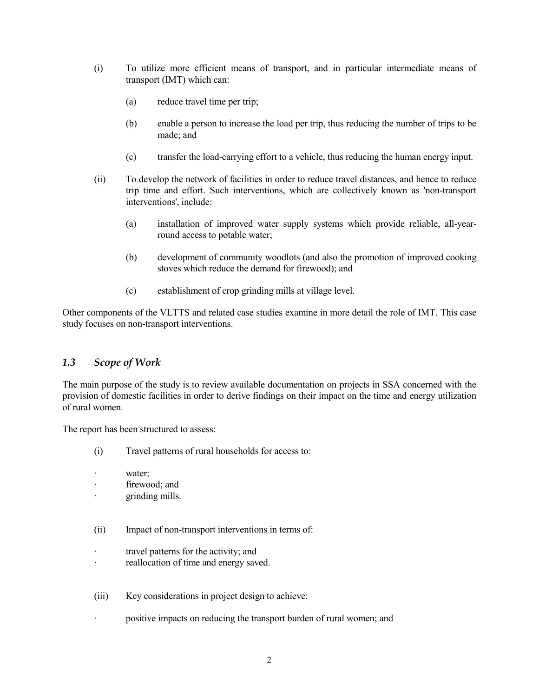- (i) To utilize more efficient means of transport, and in particular intermediate means of transport (IMT) which can:
	- (a) reduce travel time per trip;
	- (b) enable a person to increase the load per trip, thus reducing the number of trips to be made; and
	- (c) transfer the load-carrying effort to a vehicle, thus reducing the human energy input.
- (ii) To develop the network of facilities in order to reduce travel distances, and hence to reduce trip time and effort. Such interventions, which are collectively known as 'non-transport interventions', include:
	- (a) installation of improved water supply systems which provide reliable, all-yearround access to potable water;
	- (b) development of community woodlots (and also the promotion of improved cooking stoves which reduce the demand for firewood); and
	- (c) establishment of crop grinding mills at village level.

Other components of the VLTTS and related case studies examine in more detail the role of IMT. This case study focuses on non-transport interventions.

## *1.3 Scope of Work*

The main purpose of the study is to review available documentation on projects in SSA concerned with the provision of domestic facilities in order to derive findings on their impact on the time and energy utilization of rural women.

The report has been structured to assess:

- (i) Travel patterns of rural households for access to:
- · water;
- firewood; and
- · grinding mills.
- (ii) Impact of non-transport interventions in terms of:
- · travel patterns for the activity; and
- · reallocation of time and energy saved.
- (iii) Key considerations in project design to achieve:
	- positive impacts on reducing the transport burden of rural women; and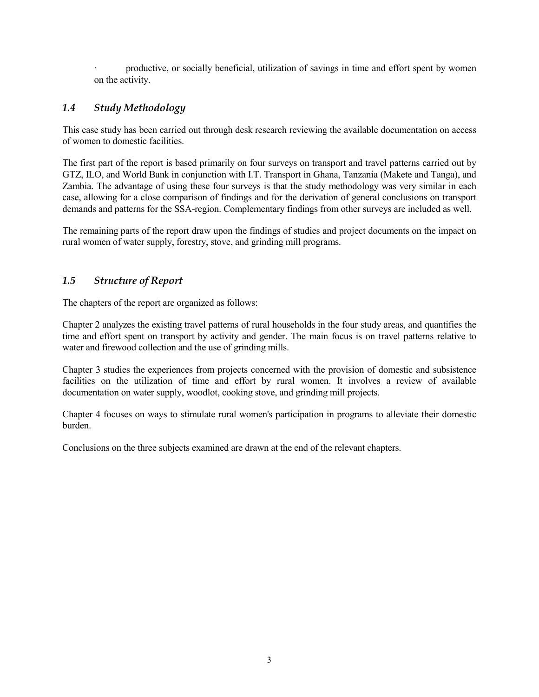productive, or socially beneficial, utilization of savings in time and effort spent by women on the activity.

# *1.4 Study Methodology*

This case study has been carried out through desk research reviewing the available documentation on access of women to domestic facilities.

The first part of the report is based primarily on four surveys on transport and travel patterns carried out by GTZ, ILO, and World Bank in conjunction with I.T. Transport in Ghana, Tanzania (Makete and Tanga), and Zambia. The advantage of using these four surveys is that the study methodology was very similar in each case, allowing for a close comparison of findings and for the derivation of general conclusions on transport demands and patterns for the SSA-region. Complementary findings from other surveys are included as well.

The remaining parts of the report draw upon the findings of studies and project documents on the impact on rural women of water supply, forestry, stove, and grinding mill programs.

# *1.5 Structure of Report*

The chapters of the report are organized as follows:

Chapter 2 analyzes the existing travel patterns of rural households in the four study areas, and quantifies the time and effort spent on transport by activity and gender. The main focus is on travel patterns relative to water and firewood collection and the use of grinding mills.

Chapter 3 studies the experiences from projects concerned with the provision of domestic and subsistence facilities on the utilization of time and effort by rural women. It involves a review of available documentation on water supply, woodlot, cooking stove, and grinding mill projects.

Chapter 4 focuses on ways to stimulate rural women's participation in programs to alleviate their domestic burden.

Conclusions on the three subjects examined are drawn at the end of the relevant chapters.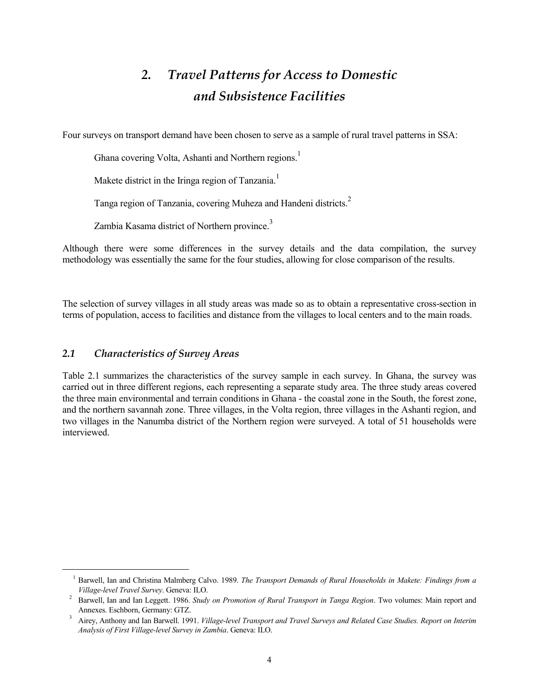# *2. Travel Patterns for Access to Domestic and Subsistence Facilities*

Four surveys on transport demand have been chosen to serve as a sample of rural travel patterns in SSA:

Ghana covering Volta, Ashanti and Northern regions.<sup>1</sup>

Makete district in the Iringa region of Tanzania.<sup>1</sup>

Tanga region of Tanzania, covering Muheza and Handeni districts.2

Zambia Kasama district of Northern province.<sup>3</sup>

Although there were some differences in the survey details and the data compilation, the survey methodology was essentially the same for the four studies, allowing for close comparison of the results.

The selection of survey villages in all study areas was made so as to obtain a representative cross-section in terms of population, access to facilities and distance from the villages to local centers and to the main roads.

## *2.1 Characteristics of Survey Areas*

 $\overline{a}$ 

Table 2.1 summarizes the characteristics of the survey sample in each survey. In Ghana, the survey was carried out in three different regions, each representing a separate study area. The three study areas covered the three main environmental and terrain conditions in Ghana - the coastal zone in the South, the forest zone, and the northern savannah zone. Three villages, in the Volta region, three villages in the Ashanti region, and two villages in the Nanumba district of the Northern region were surveyed. A total of 51 households were interviewed.

<sup>&</sup>lt;sup>1</sup> Barwell, Ian and Christina Malmberg Calvo. 1989. *The Transport Demands of Rural Households in Makete: Findings from a* 

*Village-level Travel Survey*. Geneva: ILO. 2 Barwell, Ian and Ian Leggett. 1986. *Study on Promotion of Rural Transport in Tanga Region*. Two volumes: Main report and

Airey, Anthony and Ian Barwell. 1991. *Village-level Transport and Travel Surveys and Related Case Studies. Report on Interim Analysis of First Village-level Survey in Zambia*. Geneva: ILO.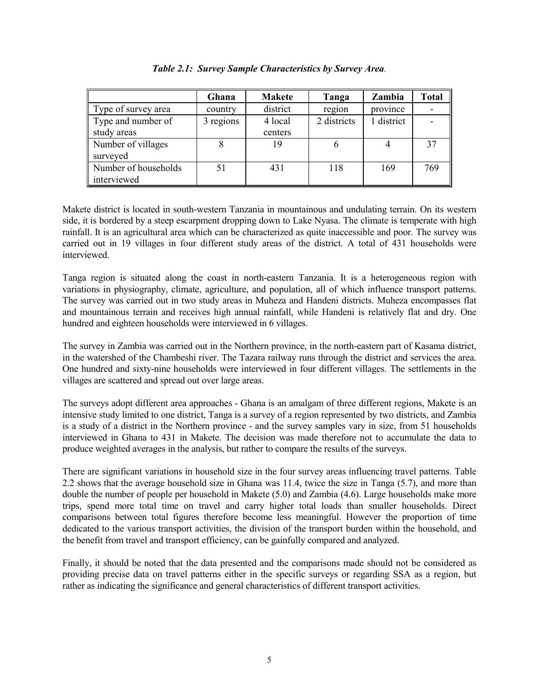|                      | Ghana     | <b>Makete</b> | Tanga       | Zambia     | <b>Total</b> |
|----------------------|-----------|---------------|-------------|------------|--------------|
| Type of survey area  | country   | district      | region      | province   |              |
| Type and number of   | 3 regions | 4 local       | 2 districts | 1 district |              |
| study areas          |           | centers       |             |            |              |
| Number of villages   |           | 19            |             |            | 37           |
| surveyed             |           |               |             |            |              |
| Number of households |           | 431           | 118         | 169        | 769          |
| interviewed          |           |               |             |            |              |

*Table 2.1: Survey Sample Characteristics by Survey Area.*

Makete district is located in south-western Tanzania in mountainous and undulating terrain. On its western side, it is bordered by a steep escarpment dropping down to Lake Nyasa. The climate is temperate with high rainfall. It is an agricultural area which can be characterized as quite inaccessible and poor. The survey was carried out in 19 villages in four different study areas of the district. A total of 431 households were interviewed.

Tanga region is situated along the coast in north-eastern Tanzania. It is a heterogeneous region with variations in physiography, climate, agriculture, and population, all of which influence transport patterns. The survey was carried out in two study areas in Muheza and Handeni districts. Muheza encompasses flat and mountainous terrain and receives high annual rainfall, while Handeni is relatively flat and dry. One hundred and eighteen households were interviewed in 6 villages.

The survey in Zambia was carried out in the Northern province, in the north-eastern part of Kasama district, in the watershed of the Chambeshi river. The Tazara railway runs through the district and services the area. One hundred and sixty-nine households were interviewed in four different villages. The settlements in the villages are scattered and spread out over large areas.

The surveys adopt different area approaches - Ghana is an amalgam of three different regions, Makete is an intensive study limited to one district, Tanga is a survey of a region represented by two districts, and Zambia is a study of a district in the Northern province - and the survey samples vary in size, from 51 households interviewed in Ghana to 431 in Makete. The decision was made therefore not to accumulate the data to produce weighted averages in the analysis, but rather to compare the results of the surveys.

There are significant variations in household size in the four survey areas influencing travel patterns. Table 2.2 shows that the average household size in Ghana was 11.4, twice the size in Tanga (5.7), and more than double the number of people per household in Makete (5.0) and Zambia (4.6). Large households make more trips, spend more total time on travel and carry higher total loads than smaller households. Direct comparisons between total figures therefore become less meaningful. However the proportion of time dedicated to the various transport activities, the division of the transport burden within the household, and the benefit from travel and transport efficiency, can be gainfully compared and analyzed.

Finally, it should be noted that the data presented and the comparisons made should not be considered as providing precise data on travel patterns either in the specific surveys or regarding SSA as a region, but rather as indicating the significance and general characteristics of different transport activities.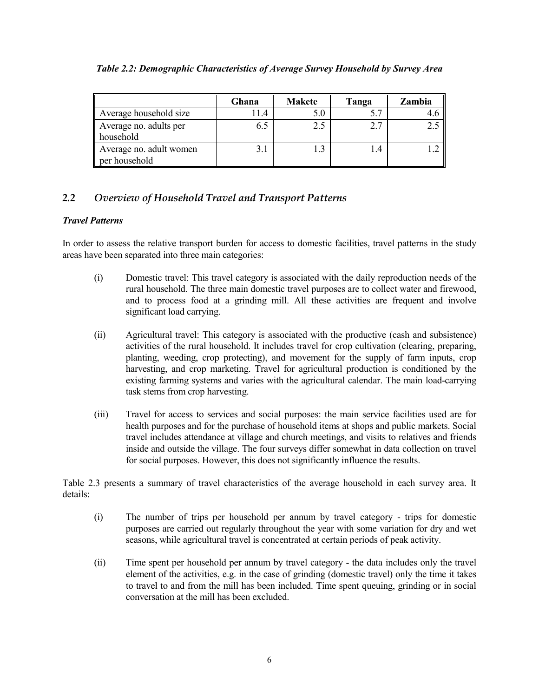|                                          | Ghana | <b>Makete</b> | Tanga | Zambia |
|------------------------------------------|-------|---------------|-------|--------|
| Average household size                   | 11.4  | 5.0           |       |        |
| Average no. adults per<br>household      | 6.5   | 2.5           | 2.7   |        |
| Average no. adult women<br>per household | 3.1   |               | 1.4   |        |

*Table 2.2: Demographic Characteristics of Average Survey Household by Survey Area*

# *2.2 Overview of Household Travel and Transport Patterns*

# *Travel Patterns*

In order to assess the relative transport burden for access to domestic facilities, travel patterns in the study areas have been separated into three main categories:

- (i) Domestic travel: This travel category is associated with the daily reproduction needs of the rural household. The three main domestic travel purposes are to collect water and firewood, and to process food at a grinding mill. All these activities are frequent and involve significant load carrying.
- (ii) Agricultural travel: This category is associated with the productive (cash and subsistence) activities of the rural household. It includes travel for crop cultivation (clearing, preparing, planting, weeding, crop protecting), and movement for the supply of farm inputs, crop harvesting, and crop marketing. Travel for agricultural production is conditioned by the existing farming systems and varies with the agricultural calendar. The main load-carrying task stems from crop harvesting.
- (iii) Travel for access to services and social purposes: the main service facilities used are for health purposes and for the purchase of household items at shops and public markets. Social travel includes attendance at village and church meetings, and visits to relatives and friends inside and outside the village. The four surveys differ somewhat in data collection on travel for social purposes. However, this does not significantly influence the results.

Table 2.3 presents a summary of travel characteristics of the average household in each survey area. It details:

- (i) The number of trips per household per annum by travel category trips for domestic purposes are carried out regularly throughout the year with some variation for dry and wet seasons, while agricultural travel is concentrated at certain periods of peak activity.
- (ii) Time spent per household per annum by travel category the data includes only the travel element of the activities, e.g. in the case of grinding (domestic travel) only the time it takes to travel to and from the mill has been included. Time spent queuing, grinding or in social conversation at the mill has been excluded.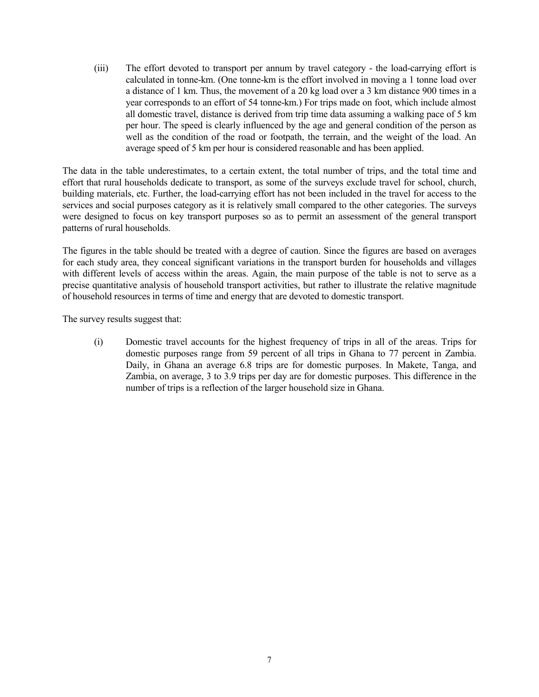(iii) The effort devoted to transport per annum by travel category - the load-carrying effort is calculated in tonne-km. (One tonne-km is the effort involved in moving a 1 tonne load over a distance of 1 km. Thus, the movement of a 20 kg load over a 3 km distance 900 times in a year corresponds to an effort of 54 tonne-km.) For trips made on foot, which include almost all domestic travel, distance is derived from trip time data assuming a walking pace of 5 km per hour. The speed is clearly influenced by the age and general condition of the person as well as the condition of the road or footpath, the terrain, and the weight of the load. An average speed of 5 km per hour is considered reasonable and has been applied.

The data in the table underestimates, to a certain extent, the total number of trips, and the total time and effort that rural households dedicate to transport, as some of the surveys exclude travel for school, church, building materials, etc. Further, the load-carrying effort has not been included in the travel for access to the services and social purposes category as it is relatively small compared to the other categories. The surveys were designed to focus on key transport purposes so as to permit an assessment of the general transport patterns of rural households.

The figures in the table should be treated with a degree of caution. Since the figures are based on averages for each study area, they conceal significant variations in the transport burden for households and villages with different levels of access within the areas. Again, the main purpose of the table is not to serve as a precise quantitative analysis of household transport activities, but rather to illustrate the relative magnitude of household resources in terms of time and energy that are devoted to domestic transport.

The survey results suggest that:

(i) Domestic travel accounts for the highest frequency of trips in all of the areas. Trips for domestic purposes range from 59 percent of all trips in Ghana to 77 percent in Zambia. Daily, in Ghana an average 6.8 trips are for domestic purposes. In Makete, Tanga, and Zambia, on average, 3 to 3.9 trips per day are for domestic purposes. This difference in the number of trips is a reflection of the larger household size in Ghana.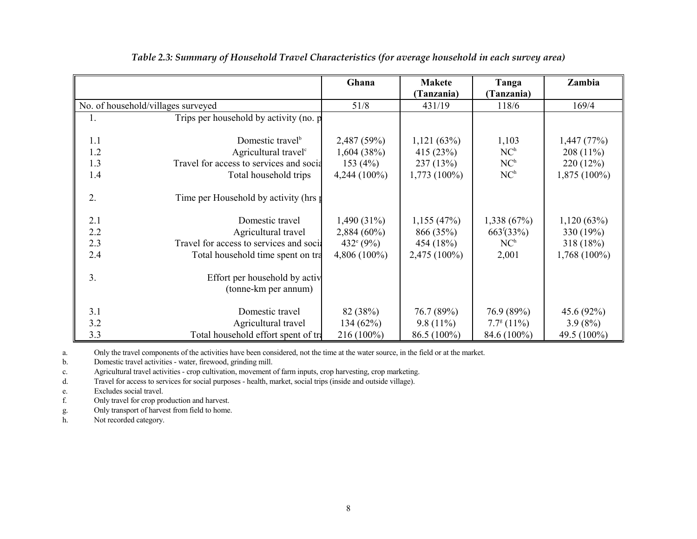|     |                                           | Ghana               | <b>Makete</b>  | Tanga               | Zambia         |
|-----|-------------------------------------------|---------------------|----------------|---------------------|----------------|
|     |                                           |                     | (Tanzania)     | (Tanzania)          |                |
|     | No. of household/villages surveyed        | 51/8                | 431/19         | 118/6               | 169/4          |
| 1.  | Trips per household by activity (no. p    |                     |                |                     |                |
|     |                                           |                     |                |                     |                |
| 1.1 | Domestic travel <sup>b</sup>              | 2,487 (59%)         | 1,121(63%)     | 1,103               | 1,447(77%)     |
| 1.2 | Agricultural travel <sup>c</sup>          | 1,604(38%)          | 415 (23%)      | NC <sup>h</sup>     | $208(11\%)$    |
| 1.3 | Travel for access to services and socia   | 153 $(4%)$          | 237(13%)       | NC <sup>h</sup>     | 220(12%)       |
| 1.4 | Total household trips                     | $4,244(100\%)$      | $1,773(100\%)$ | NC <sup>h</sup>     | $1,875(100\%)$ |
|     |                                           |                     |                |                     |                |
| 2.  | Time per Household by activity (hrs $\mu$ |                     |                |                     |                |
|     |                                           |                     |                |                     |                |
| 2.1 | Domestic travel                           | $1,490(31\%)$       | 1,155(47%)     | 1,338(67%)          | 1,120(63%)     |
| 2.2 | Agricultural travel                       | $2,884(60\%)$       | 866 (35%)      | $663^{f}(33\%)$     | 330 (19%)      |
| 2.3 | Travel for access to services and social  | $432^{\circ} (9\%)$ | 454 (18%)      | NC <sup>h</sup>     | 318(18%)       |
| 2.4 | Total household time spent on tra         | $4,806(100\%)$      | $2,475(100\%)$ | 2,001               | 1,768 (100%)   |
|     |                                           |                     |                |                     |                |
| 3.  | Effort per household by activ             |                     |                |                     |                |
|     | (tonne-km per annum)                      |                     |                |                     |                |
|     |                                           |                     |                |                     |                |
| 3.1 | Domestic travel                           | 82 (38%)            | 76.7 (89%)     | 76.9 (89%)          | 45.6 (92%)     |
| 3.2 | Agricultural travel                       | 134(62%)            | $9.8(11\%)$    | $7.7^{\circ}$ (11%) | $3.9(8\%)$     |
| 3.3 | Total household effort spent of tra       | 216 (100%)          | 86.5 (100%)    | 84.6 (100%)         | 49.5 (100%)    |

*Table 2.3: Summary of Household Travel Characteristics (for average household in each survey area)*

a. Only the travel components of the activities have been considered, not the time at the water source, in the field or at the market.

b. Domestic travel activities - water, firewood, grinding mill.

c. Agricultural travel activities - crop cultivation, movement of farm inputs, crop harvesting, crop marketing.

d. Travel for access to services for social purposes - health, market, social trips (inside and outside village).

e. Excludes social travel.

f. Only travel for crop production and harvest.

g. Only transport of harvest from field to home.

h. Not recorded category.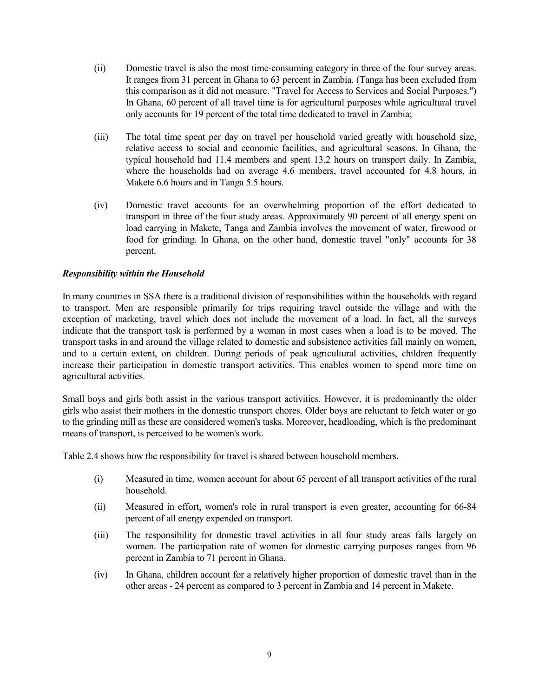- (ii) Domestic travel is also the most time-consuming category in three of the four survey areas. It ranges from 31 percent in Ghana to 63 percent in Zambia. (Tanga has been excluded from this comparison as it did not measure. "Travel for Access to Services and Social Purposes.") In Ghana, 60 percent of all travel time is for agricultural purposes while agricultural travel only accounts for 19 percent of the total time dedicated to travel in Zambia;
- (iii) The total time spent per day on travel per household varied greatly with household size, relative access to social and economic facilities, and agricultural seasons. In Ghana, the typical household had 11.4 members and spent 13.2 hours on transport daily. In Zambia, where the households had on average 4.6 members, travel accounted for 4.8 hours, in Makete 6.6 hours and in Tanga 5.5 hours.
- (iv) Domestic travel accounts for an overwhelming proportion of the effort dedicated to transport in three of the four study areas. Approximately 90 percent of all energy spent on load carrying in Makete, Tanga and Zambia involves the movement of water, firewood or food for grinding. In Ghana, on the other hand, domestic travel "only" accounts for 38 percent.

#### *Responsibility within the Household*

In many countries in SSA there is a traditional division of responsibilities within the households with regard to transport. Men are responsible primarily for trips requiring travel outside the village and with the exception of marketing, travel which does not include the movement of a load. In fact, all the surveys indicate that the transport task is performed by a woman in most cases when a load is to be moved. The transport tasks in and around the village related to domestic and subsistence activities fall mainly on women, and to a certain extent, on children. During periods of peak agricultural activities, children frequently increase their participation in domestic transport activities. This enables women to spend more time on agricultural activities.

Small boys and girls both assist in the various transport activities. However, it is predominantly the older girls who assist their mothers in the domestic transport chores. Older boys are reluctant to fetch water or go to the grinding mill as these are considered women's tasks. Moreover, headloading, which is the predominant means of transport, is perceived to be women's work.

Table 2.4 shows how the responsibility for travel is shared between household members.

- (i) Measured in time, women account for about 65 percent of all transport activities of the rural household.
- (ii) Measured in effort, women's role in rural transport is even greater, accounting for 66-84 percent of all energy expended on transport.
- (iii) The responsibility for domestic travel activities in all four study areas falls largely on women. The participation rate of women for domestic carrying purposes ranges from 96 percent in Zambia to 71 percent in Ghana.
- (iv) In Ghana, children account for a relatively higher proportion of domestic travel than in the other areas - 24 percent as compared to 3 percent in Zambia and 14 percent in Makete.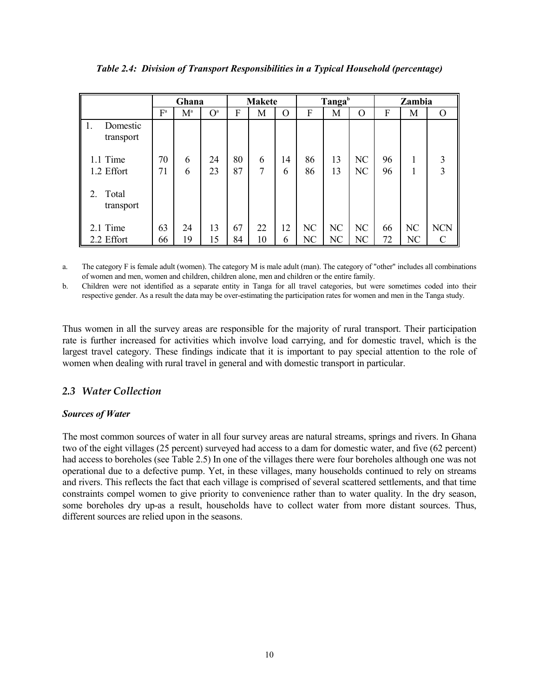|                               |                           | Ghana  |                | <b>Makete</b> |        |         | Tanga <sup>b</sup> |                | Zambia   |          |    |            |
|-------------------------------|---------------------------|--------|----------------|---------------|--------|---------|--------------------|----------------|----------|----------|----|------------|
|                               | $\mathrm{F}^{\mathrm{a}}$ | $M^a$  | O <sup>a</sup> | F             | M      | O       | F                  | Μ              | O        | F        | М  | $\Omega$   |
| Domestic<br>1.<br>transport   |                           |        |                |               |        |         |                    |                |          |          |    |            |
| 1.1 Time<br>1.2 Effort        | 70<br>71                  | 6<br>6 | 24<br>23       | 80<br>87      | 6<br>7 | 14<br>6 | 86<br>86           | 13<br>13       | NC<br>NC | 96<br>96 |    | 3<br>3     |
| Total<br>$2_{-}$<br>transport |                           |        |                |               |        |         |                    |                |          |          |    |            |
| 2.1 Time                      | 63                        | 24     | 13             | 67            | 22     | 12      | NC                 | N <sub>C</sub> | NC       | 66       | NC | <b>NCN</b> |
| 2.2 Effort                    | 66                        | 19     | 15             | 84            | 10     | 6       | NC                 | NC             | NC       | 72       | NC |            |

*Table 2.4: Division of Transport Responsibilities in a Typical Household (percentage)*

a. The category F is female adult (women). The category M is male adult (man). The category of "other" includes all combinations of women and men, women and children, children alone, men and children or the entire family.

b. Children were not identified as a separate entity in Tanga for all travel categories, but were sometimes coded into their respective gender. As a result the data may be over-estimating the participation rates for women and men in the Tanga study.

Thus women in all the survey areas are responsible for the majority of rural transport. Their participation rate is further increased for activities which involve load carrying, and for domestic travel, which is the largest travel category. These findings indicate that it is important to pay special attention to the role of women when dealing with rural travel in general and with domestic transport in particular.

## *2.3 Water Collection*

#### *Sources of Water*

The most common sources of water in all four survey areas are natural streams, springs and rivers. In Ghana two of the eight villages (25 percent) surveyed had access to a dam for domestic water, and five (62 percent) had access to boreholes (see Table 2.5) In one of the villages there were four boreholes although one was not operational due to a defective pump. Yet, in these villages, many households continued to rely on streams and rivers. This reflects the fact that each village is comprised of several scattered settlements, and that time constraints compel women to give priority to convenience rather than to water quality. In the dry season, some boreholes dry up-as a result, households have to collect water from more distant sources. Thus, different sources are relied upon in the seasons.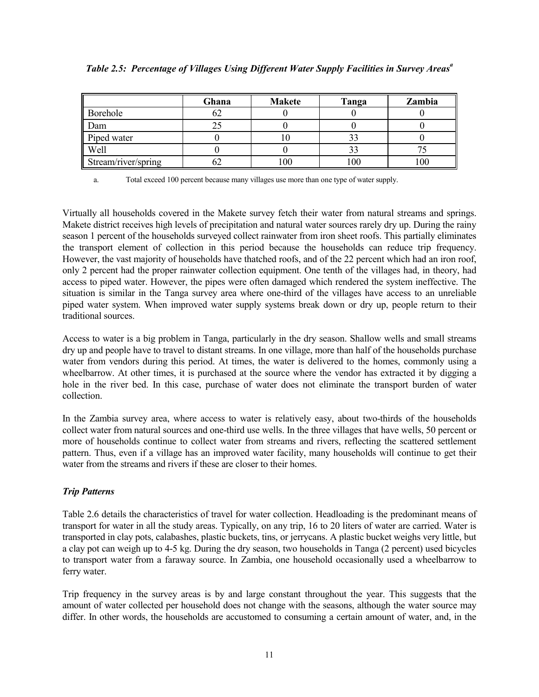|                     | Ghana | <b>Makete</b> | Tanga | Zambia |
|---------------------|-------|---------------|-------|--------|
| Borehole            | ∪∠    |               |       |        |
| Dam                 |       |               |       |        |
| Piped water         |       |               | ээ    |        |
| Well                |       |               | ر ر   |        |
| Stream/river/spring |       | 00            | 100   | 00     |

| Table 2.5: Percentage of Villages Using Different Water Supply Facilities in Survey Areas <sup>a</sup> |  |  |  |  |
|--------------------------------------------------------------------------------------------------------|--|--|--|--|
|                                                                                                        |  |  |  |  |

a. Total exceed 100 percent because many villages use more than one type of water supply.

Virtually all households covered in the Makete survey fetch their water from natural streams and springs. Makete district receives high levels of precipitation and natural water sources rarely dry up. During the rainy season 1 percent of the households surveyed collect rainwater from iron sheet roofs. This partially eliminates the transport element of collection in this period because the households can reduce trip frequency. However, the vast majority of households have thatched roofs, and of the 22 percent which had an iron roof, only 2 percent had the proper rainwater collection equipment. One tenth of the villages had, in theory, had access to piped water. However, the pipes were often damaged which rendered the system ineffective. The situation is similar in the Tanga survey area where one-third of the villages have access to an unreliable piped water system. When improved water supply systems break down or dry up, people return to their traditional sources.

Access to water is a big problem in Tanga, particularly in the dry season. Shallow wells and small streams dry up and people have to travel to distant streams. In one village, more than half of the households purchase water from vendors during this period. At times, the water is delivered to the homes, commonly using a wheelbarrow. At other times, it is purchased at the source where the vendor has extracted it by digging a hole in the river bed. In this case, purchase of water does not eliminate the transport burden of water collection.

In the Zambia survey area, where access to water is relatively easy, about two-thirds of the households collect water from natural sources and one-third use wells. In the three villages that have wells, 50 percent or more of households continue to collect water from streams and rivers, reflecting the scattered settlement pattern. Thus, even if a village has an improved water facility, many households will continue to get their water from the streams and rivers if these are closer to their homes.

#### *Trip Patterns*

Table 2.6 details the characteristics of travel for water collection. Headloading is the predominant means of transport for water in all the study areas. Typically, on any trip, 16 to 20 liters of water are carried. Water is transported in clay pots, calabashes, plastic buckets, tins, or jerrycans. A plastic bucket weighs very little, but a clay pot can weigh up to 4-5 kg. During the dry season, two households in Tanga (2 percent) used bicycles to transport water from a faraway source. In Zambia, one household occasionally used a wheelbarrow to ferry water.

Trip frequency in the survey areas is by and large constant throughout the year. This suggests that the amount of water collected per household does not change with the seasons, although the water source may differ. In other words, the households are accustomed to consuming a certain amount of water, and, in the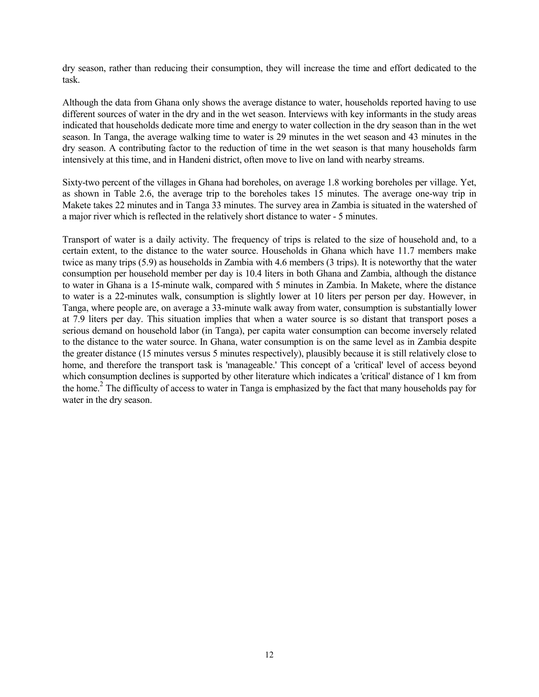dry season, rather than reducing their consumption, they will increase the time and effort dedicated to the task.

Although the data from Ghana only shows the average distance to water, households reported having to use different sources of water in the dry and in the wet season. Interviews with key informants in the study areas indicated that households dedicate more time and energy to water collection in the dry season than in the wet season. In Tanga, the average walking time to water is 29 minutes in the wet season and 43 minutes in the dry season. A contributing factor to the reduction of time in the wet season is that many households farm intensively at this time, and in Handeni district, often move to live on land with nearby streams.

Sixty-two percent of the villages in Ghana had boreholes, on average 1.8 working boreholes per village. Yet, as shown in Table 2.6, the average trip to the boreholes takes 15 minutes. The average one-way trip in Makete takes 22 minutes and in Tanga 33 minutes. The survey area in Zambia is situated in the watershed of a major river which is reflected in the relatively short distance to water - 5 minutes.

Transport of water is a daily activity. The frequency of trips is related to the size of household and, to a certain extent, to the distance to the water source. Households in Ghana which have 11.7 members make twice as many trips (5.9) as households in Zambia with 4.6 members (3 trips). It is noteworthy that the water consumption per household member per day is 10.4 liters in both Ghana and Zambia, although the distance to water in Ghana is a 15-minute walk, compared with 5 minutes in Zambia. In Makete, where the distance to water is a 22-minutes walk, consumption is slightly lower at 10 liters per person per day. However, in Tanga, where people are, on average a 33-minute walk away from water, consumption is substantially lower at 7.9 liters per day. This situation implies that when a water source is so distant that transport poses a serious demand on household labor (in Tanga), per capita water consumption can become inversely related to the distance to the water source. In Ghana, water consumption is on the same level as in Zambia despite the greater distance (15 minutes versus 5 minutes respectively), plausibly because it is still relatively close to home, and therefore the transport task is 'manageable.' This concept of a 'critical' level of access beyond which consumption declines is supported by other literature which indicates a 'critical' distance of 1 km from the home.<sup>2</sup> The difficulty of access to water in Tanga is emphasized by the fact that many households pay for water in the dry season.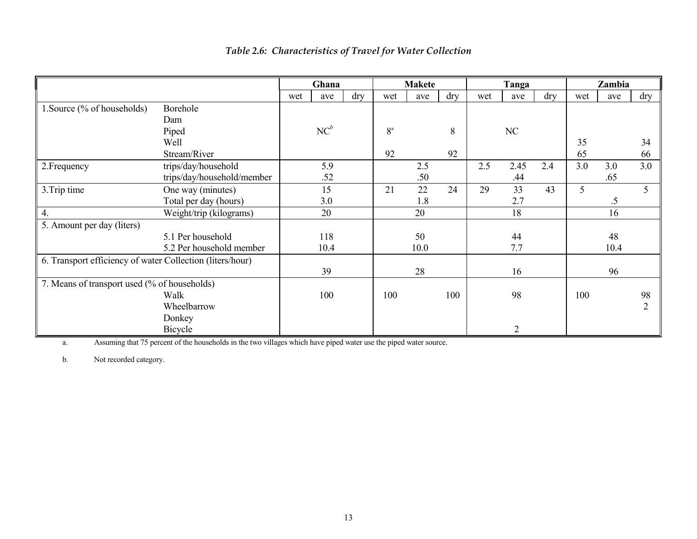|                                                           |                            |     | Ghana  |     |             | <b>Makete</b> |     |     | Tanga          |            |     | Zambia |            |
|-----------------------------------------------------------|----------------------------|-----|--------|-----|-------------|---------------|-----|-----|----------------|------------|-----|--------|------------|
|                                                           |                            | wet | ave    | dry | wet         | ave           | dry | wet | ave            | $\rm{dry}$ | wet | ave    | $\rm{dry}$ |
| 1. Source (% of households)                               | Borehole                   |     |        |     |             |               |     |     |                |            |     |        |            |
|                                                           | Dam                        |     |        |     |             |               |     |     |                |            |     |        |            |
|                                                           | Piped                      |     | $NC^b$ |     | $8^{\rm a}$ |               | 8   |     | NC             |            |     |        |            |
|                                                           | Well                       |     |        |     |             |               |     |     |                |            | 35  |        | 34         |
|                                                           | Stream/River               |     |        |     | 92          |               | 92  |     |                |            | 65  |        | 66         |
| 2. Frequency                                              | trips/day/household        |     | 5.9    |     |             | 2.5           |     | 2.5 | 2.45           | 2.4        | 3.0 | 3.0    | 3.0        |
|                                                           | trips/day/household/member |     | .52    |     |             | .50           |     |     | .44            |            |     | .65    |            |
| 3. Trip time                                              | One way (minutes)          |     | 15     |     | 21          | 22            | 24  | 29  | 33             | 43         | 5   |        |            |
|                                                           | Total per day (hours)      |     | 3.0    |     |             | 1.8           |     |     | 2.7            |            |     | $.5\,$ |            |
| 4.                                                        | Weight/trip (kilograms)    |     | 20     |     |             | 20            |     |     | 18             |            |     | 16     |            |
| 5. Amount per day (liters)                                |                            |     |        |     |             |               |     |     |                |            |     |        |            |
|                                                           | 5.1 Per household          |     | 118    |     |             | 50            |     |     | 44             |            |     | 48     |            |
|                                                           | 5.2 Per household member   |     | 10.4   |     |             | 10.0          |     |     | 7.7            |            |     | 10.4   |            |
| 6. Transport efficiency of water Collection (liters/hour) |                            |     |        |     |             |               |     |     |                |            |     |        |            |
|                                                           |                            |     | 39     |     |             | 28            |     |     | 16             |            |     | 96     |            |
| 7. Means of transport used (% of households)              |                            |     |        |     |             |               |     |     |                |            |     |        |            |
|                                                           | Walk                       |     | 100    |     | 100         |               | 100 |     | 98             |            | 100 |        | 98         |
|                                                           | Wheelbarrow                |     |        |     |             |               |     |     |                |            |     |        | 2          |
|                                                           | Donkey                     |     |        |     |             |               |     |     |                |            |     |        |            |
|                                                           | Bicycle                    |     |        |     |             |               |     |     | $\overline{2}$ |            |     |        |            |

# *Table 2.6: Characteristics of Travel for Water Collection*

a. Assuming that 75 percent of the households in the two villages which have piped water use the piped water source.

b. Not recorded category.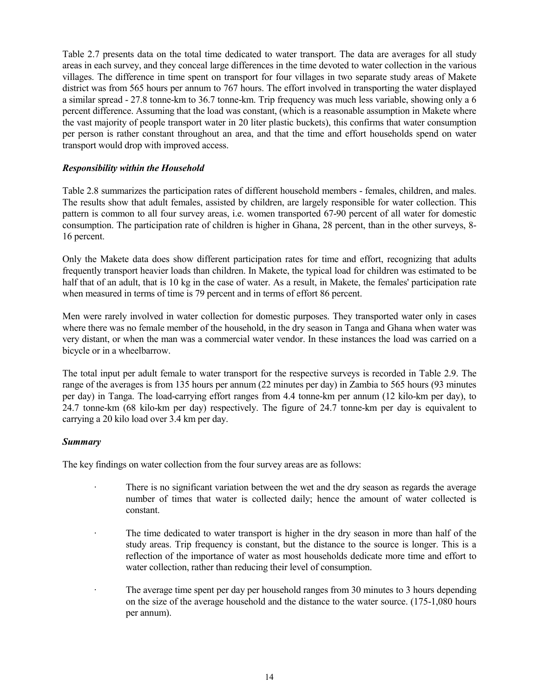Table 2.7 presents data on the total time dedicated to water transport. The data are averages for all study areas in each survey, and they conceal large differences in the time devoted to water collection in the various villages. The difference in time spent on transport for four villages in two separate study areas of Makete district was from 565 hours per annum to 767 hours. The effort involved in transporting the water displayed a similar spread - 27.8 tonne-km to 36.7 tonne-km. Trip frequency was much less variable, showing only a 6 percent difference. Assuming that the load was constant, (which is a reasonable assumption in Makete where the vast majority of people transport water in 20 liter plastic buckets), this confirms that water consumption per person is rather constant throughout an area, and that the time and effort households spend on water transport would drop with improved access.

#### *Responsibility within the Household*

Table 2.8 summarizes the participation rates of different household members - females, children, and males. The results show that adult females, assisted by children, are largely responsible for water collection. This pattern is common to all four survey areas, i.e. women transported 67-90 percent of all water for domestic consumption. The participation rate of children is higher in Ghana, 28 percent, than in the other surveys, 8- 16 percent.

Only the Makete data does show different participation rates for time and effort, recognizing that adults frequently transport heavier loads than children. In Makete, the typical load for children was estimated to be half that of an adult, that is 10 kg in the case of water. As a result, in Makete, the females' participation rate when measured in terms of time is 79 percent and in terms of effort 86 percent.

Men were rarely involved in water collection for domestic purposes. They transported water only in cases where there was no female member of the household, in the dry season in Tanga and Ghana when water was very distant, or when the man was a commercial water vendor. In these instances the load was carried on a bicycle or in a wheelbarrow.

The total input per adult female to water transport for the respective surveys is recorded in Table 2.9. The range of the averages is from 135 hours per annum (22 minutes per day) in Zambia to 565 hours (93 minutes per day) in Tanga. The load-carrying effort ranges from 4.4 tonne-km per annum (12 kilo-km per day), to 24.7 tonne-km (68 kilo-km per day) respectively. The figure of 24.7 tonne-km per day is equivalent to carrying a 20 kilo load over 3.4 km per day.

#### *Summary*

The key findings on water collection from the four survey areas are as follows:

- There is no significant variation between the wet and the dry season as regards the average number of times that water is collected daily; hence the amount of water collected is constant.
- · The time dedicated to water transport is higher in the dry season in more than half of the study areas. Trip frequency is constant, but the distance to the source is longer. This is a reflection of the importance of water as most households dedicate more time and effort to water collection, rather than reducing their level of consumption.
- · The average time spent per day per household ranges from 30 minutes to 3 hours depending on the size of the average household and the distance to the water source. (175-1,080 hours per annum).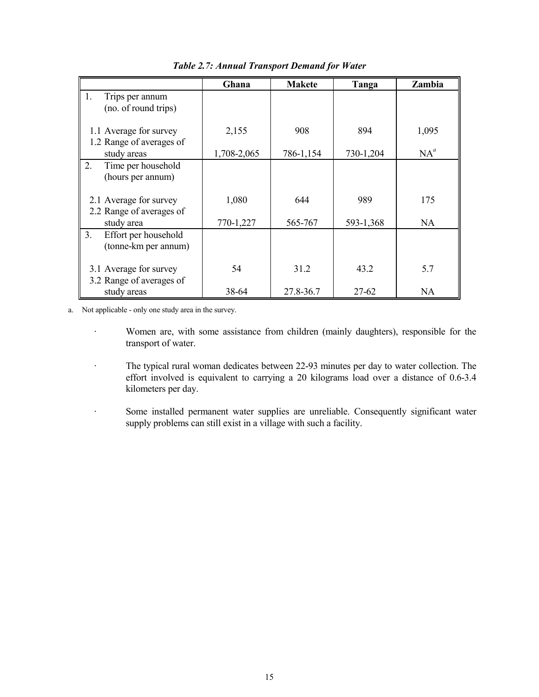|                                                                | Ghana       | <b>Makete</b> | Tanga     | Zambia    |
|----------------------------------------------------------------|-------------|---------------|-----------|-----------|
| 1.<br>Trips per annum<br>(no. of round trips)                  |             |               |           |           |
| 1.1 Average for survey<br>1.2 Range of averages of             | 2,155       | 908           | 894       | 1,095     |
| study areas                                                    | 1,708-2,065 | 786-1,154     | 730-1,204 | $NA^a$    |
| 2.<br>Time per household<br>(hours per annum)                  |             |               |           |           |
| 2.1 Average for survey<br>2.2 Range of averages of             | 1,080       | 644           | 989       | 175       |
| study area                                                     | 770-1,227   | 565-767       | 593-1,368 | <b>NA</b> |
| 3 <sub>1</sub><br>Effort per household<br>(tonne-km per annum) |             |               |           |           |
| 3.1 Average for survey<br>3.2 Range of averages of             | 54          | 31.2          | 43.2      | 5.7       |
| study areas                                                    | 38-64       | 27.8-36.7     | 27-62     | <b>NA</b> |

*Table 2.7: Annual Transport Demand for Water*

a. Not applicable - only one study area in the survey.

- · Women are, with some assistance from children (mainly daughters), responsible for the transport of water.
- · The typical rural woman dedicates between 22-93 minutes per day to water collection. The effort involved is equivalent to carrying a 20 kilograms load over a distance of 0.6-3.4 kilometers per day.

· Some installed permanent water supplies are unreliable. Consequently significant water supply problems can still exist in a village with such a facility.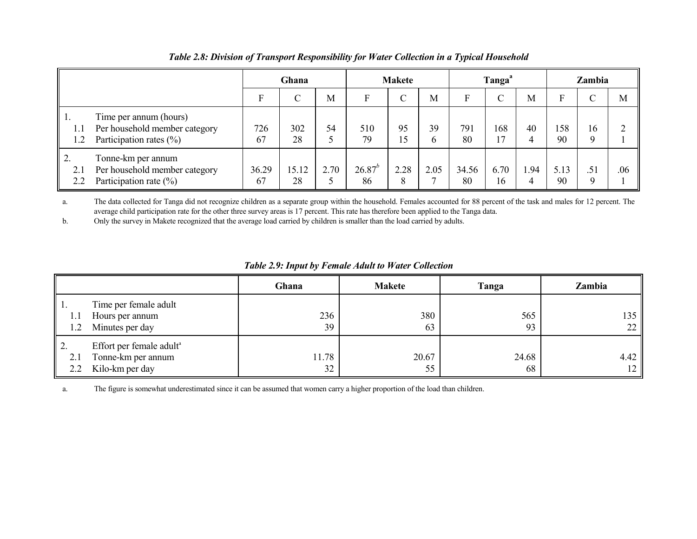|            |                                                                                        |             | Ghana       |      |                   | <b>Makete</b>  |                    |             | Tanga <sup>a</sup> |     |            | Zambia |     |  |
|------------|----------------------------------------------------------------------------------------|-------------|-------------|------|-------------------|----------------|--------------------|-------------|--------------------|-----|------------|--------|-----|--|
|            |                                                                                        | Е           |             | M    | Е                 | $\overline{C}$ | M                  | Е           |                    | M   |            |        | M   |  |
| 1.1<br>1.2 | Time per annum (hours)<br>Per household member category<br>Participation rates $(\% )$ | 726<br>67   | 302<br>28   | 54   | 510<br>79         | 95<br>15       | 39<br><sub>b</sub> | 791<br>80   | 168<br>17          | 40  | 158<br>90  | 16     |     |  |
| 2.1<br>2.2 | Tonne-km per annum<br>Per household member category<br>Participation rate $(\%)$       | 36.29<br>67 | 15.12<br>28 | 2.70 | $26.87^{b}$<br>86 | 2.28<br>8      | 2.05               | 34.56<br>80 | 6.70<br>16         | .94 | 5.13<br>90 |        | .06 |  |

*Table 2.8: Division of Transport Responsibility for Water Collection in a Typical Household*

a. The data collected for Tanga did not recognize children as a separate group within the household. Females accounted for 88 percent of the task and males for 12 percent. The average child participation rate for the other three survey areas is 17 percent. This rate has therefore been applied to the Tanga data.

b. Only the survey in Makete recognized that the average load carried by children is smaller than the load carried by adults.

|                         |                                                                               | Ghana       | <b>Makete</b> | Tanga       | Zambia     |
|-------------------------|-------------------------------------------------------------------------------|-------------|---------------|-------------|------------|
| 1.2                     | Time per female adult<br>Hours per annum<br>Minutes per day                   | 236<br>39   | 380<br>63     | 565<br>93   | 135<br>22  |
| $\overline{2}$ .<br>2.1 | Effort per female adult <sup>a</sup><br>Tonne-km per annum<br>Kilo-km per day | 11.78<br>32 | 20.67<br>55   | 24.68<br>68 | 4.42<br>12 |

*Table 2.9: Input by Female Adult to Water Collection*

a. The figure is somewhat underestimated since it can be assumed that women carry a higher proportion of the load than children.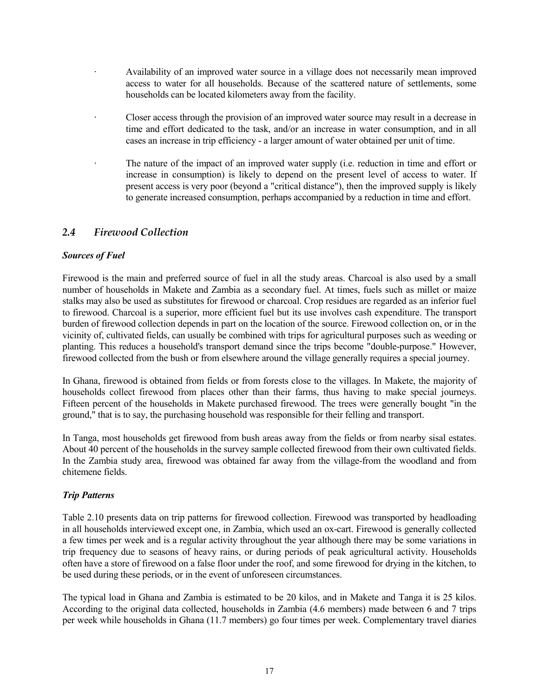- · Availability of an improved water source in a village does not necessarily mean improved access to water for all households. Because of the scattered nature of settlements, some households can be located kilometers away from the facility.
- · Closer access through the provision of an improved water source may result in a decrease in time and effort dedicated to the task, and/or an increase in water consumption, and in all cases an increase in trip efficiency - a larger amount of water obtained per unit of time.
- · The nature of the impact of an improved water supply (i.e. reduction in time and effort or increase in consumption) is likely to depend on the present level of access to water. If present access is very poor (beyond a "critical distance"), then the improved supply is likely to generate increased consumption, perhaps accompanied by a reduction in time and effort.

# *2.4 Firewood Collection*

#### *Sources of Fuel*

Firewood is the main and preferred source of fuel in all the study areas. Charcoal is also used by a small number of households in Makete and Zambia as a secondary fuel. At times, fuels such as millet or maize stalks may also be used as substitutes for firewood or charcoal. Crop residues are regarded as an inferior fuel to firewood. Charcoal is a superior, more efficient fuel but its use involves cash expenditure. The transport burden of firewood collection depends in part on the location of the source. Firewood collection on, or in the vicinity of, cultivated fields, can usually be combined with trips for agricultural purposes such as weeding or planting. This reduces a household's transport demand since the trips become "double-purpose." However, firewood collected from the bush or from elsewhere around the village generally requires a special journey.

In Ghana, firewood is obtained from fields or from forests close to the villages. In Makete, the majority of households collect firewood from places other than their farms, thus having to make special journeys. Fifteen percent of the households in Makete purchased firewood. The trees were generally bought "in the ground," that is to say, the purchasing household was responsible for their felling and transport.

In Tanga, most households get firewood from bush areas away from the fields or from nearby sisal estates. About 40 percent of the households in the survey sample collected firewood from their own cultivated fields. In the Zambia study area, firewood was obtained far away from the village-from the woodland and from chitemene fields.

#### *Trip Patterns*

Table 2.10 presents data on trip patterns for firewood collection. Firewood was transported by headloading in all households interviewed except one, in Zambia, which used an ox-cart. Firewood is generally collected a few times per week and is a regular activity throughout the year although there may be some variations in trip frequency due to seasons of heavy rains, or during periods of peak agricultural activity. Households often have a store of firewood on a false floor under the roof, and some firewood for drying in the kitchen, to be used during these periods, or in the event of unforeseen circumstances.

The typical load in Ghana and Zambia is estimated to be 20 kilos, and in Makete and Tanga it is 25 kilos. According to the original data collected, households in Zambia (4.6 members) made between 6 and 7 trips per week while households in Ghana (11.7 members) go four times per week. Complementary travel diaries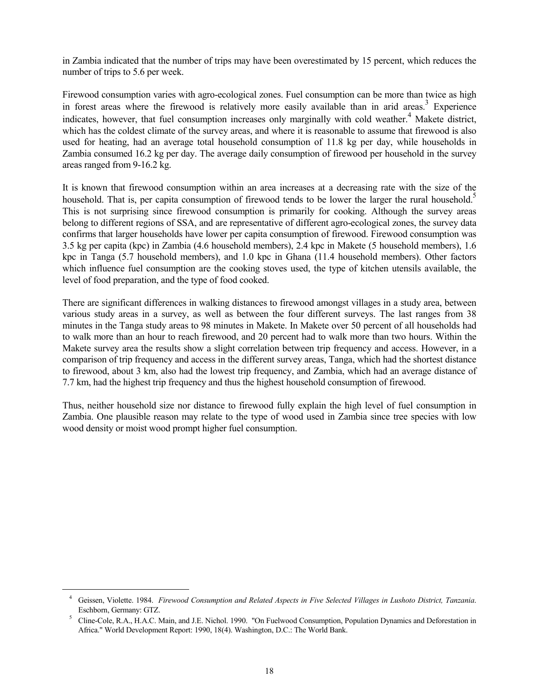in Zambia indicated that the number of trips may have been overestimated by 15 percent, which reduces the number of trips to 5.6 per week.

Firewood consumption varies with agro-ecological zones. Fuel consumption can be more than twice as high in forest areas where the firewood is relatively more easily available than in arid areas.<sup>3</sup> Experience indicates, however, that fuel consumption increases only marginally with cold weather.<sup>4</sup> Makete district, which has the coldest climate of the survey areas, and where it is reasonable to assume that firewood is also used for heating, had an average total household consumption of 11.8 kg per day, while households in Zambia consumed 16.2 kg per day. The average daily consumption of firewood per household in the survey areas ranged from 9-16.2 kg.

It is known that firewood consumption within an area increases at a decreasing rate with the size of the household. That is, per capita consumption of firewood tends to be lower the larger the rural household.<sup>5</sup> This is not surprising since firewood consumption is primarily for cooking. Although the survey areas belong to different regions of SSA, and are representative of different agro-ecological zones, the survey data confirms that larger households have lower per capita consumption of firewood. Firewood consumption was 3.5 kg per capita (kpc) in Zambia (4.6 household members), 2.4 kpc in Makete (5 household members), 1.6 kpc in Tanga (5.7 household members), and 1.0 kpc in Ghana (11.4 household members). Other factors which influence fuel consumption are the cooking stoves used, the type of kitchen utensils available, the level of food preparation, and the type of food cooked.

There are significant differences in walking distances to firewood amongst villages in a study area, between various study areas in a survey, as well as between the four different surveys. The last ranges from 38 minutes in the Tanga study areas to 98 minutes in Makete. In Makete over 50 percent of all households had to walk more than an hour to reach firewood, and 20 percent had to walk more than two hours. Within the Makete survey area the results show a slight correlation between trip frequency and access. However, in a comparison of trip frequency and access in the different survey areas, Tanga, which had the shortest distance to firewood, about 3 km, also had the lowest trip frequency, and Zambia, which had an average distance of 7.7 km, had the highest trip frequency and thus the highest household consumption of firewood.

Thus, neither household size nor distance to firewood fully explain the high level of fuel consumption in Zambia. One plausible reason may relate to the type of wood used in Zambia since tree species with low wood density or moist wood prompt higher fuel consumption.

<sup>4</sup> Geissen, Violette. 1984. *Firewood Consumption and Related Aspects in Five Selected Villages in Lushoto District, Tanzania*. Eschborn, Germany: GTZ.<br>
<sup>5</sup> Cline-Cole, R.A., H.A.C. Main, and J.E. Nichol. 1990. "On Fuelwood Consumption, Population Dynamics and Deforestation in

Africa." World Development Report: 1990, 18(4). Washington, D.C.: The World Bank.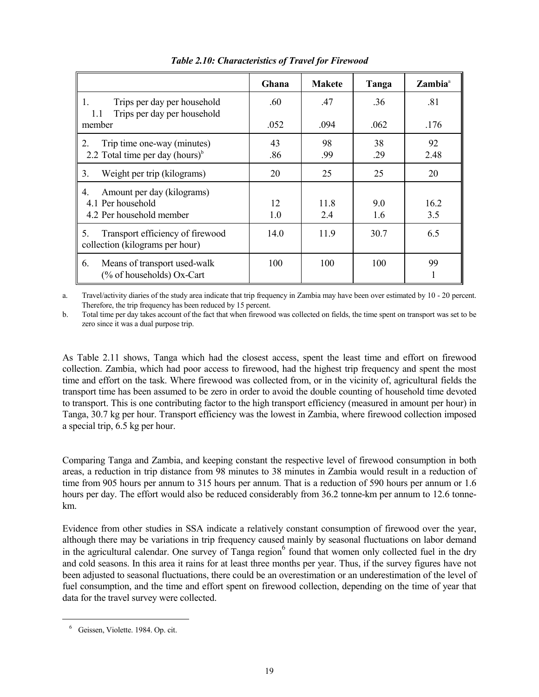|                                                                                                | Ghana     | <b>Makete</b> | Tanga      | Zambia <sup>a</sup> |
|------------------------------------------------------------------------------------------------|-----------|---------------|------------|---------------------|
| Trips per day per household<br>1.<br>Trips per day per household<br>1.1                        | .60       | .47           | .36        | .81                 |
| member                                                                                         | .052      | .094          | .062       | .176                |
| Trip time one-way (minutes)<br>$\overline{2}$ .<br>2.2 Total time per day (hours) <sup>b</sup> | 43<br>.86 | 98<br>.99     | 38<br>.29  | 92<br>2.48          |
| Weight per trip (kilograms)<br>3.                                                              | 20        | 25            | 25         | 20                  |
| Amount per day (kilograms)<br>4.<br>4.1 Per household<br>4.2 Per household member              | 12<br>1.0 | 11.8<br>2.4   | 9.0<br>1.6 | 16.2<br>3.5         |
| Transport efficiency of firewood<br>5.<br>collection (kilograms per hour)                      | 14.0      | 11.9          | 30.7       | 6.5                 |
| Means of transport used-walk<br>6.<br>(% of households) Ox-Cart                                | 100       | 100           | 100        | 99                  |

*Table 2.10: Characteristics of Travel for Firewood*

a. Travel/activity diaries of the study area indicate that trip frequency in Zambia may have been over estimated by 10 - 20 percent. Therefore, the trip frequency has been reduced by 15 percent.

b. Total time per day takes account of the fact that when firewood was collected on fields, the time spent on transport was set to be zero since it was a dual purpose trip.

As Table 2.11 shows, Tanga which had the closest access, spent the least time and effort on firewood collection. Zambia, which had poor access to firewood, had the highest trip frequency and spent the most time and effort on the task. Where firewood was collected from, or in the vicinity of, agricultural fields the transport time has been assumed to be zero in order to avoid the double counting of household time devoted to transport. This is one contributing factor to the high transport efficiency (measured in amount per hour) in Tanga, 30.7 kg per hour. Transport efficiency was the lowest in Zambia, where firewood collection imposed a special trip, 6.5 kg per hour.

Comparing Tanga and Zambia, and keeping constant the respective level of firewood consumption in both areas, a reduction in trip distance from 98 minutes to 38 minutes in Zambia would result in a reduction of time from 905 hours per annum to 315 hours per annum. That is a reduction of 590 hours per annum or 1.6 hours per day. The effort would also be reduced considerably from 36.2 tonne-km per annum to 12.6 tonnekm.

Evidence from other studies in SSA indicate a relatively constant consumption of firewood over the year, although there may be variations in trip frequency caused mainly by seasonal fluctuations on labor demand in the agricultural calendar. One survey of Tanga region<sup>6</sup> found that women only collected fuel in the dry and cold seasons. In this area it rains for at least three months per year. Thus, if the survey figures have not been adjusted to seasonal fluctuations, there could be an overestimation or an underestimation of the level of fuel consumption, and the time and effort spent on firewood collection, depending on the time of year that data for the travel survey were collected.

<sup>6</sup> Geissen, Violette. 1984. Op. cit.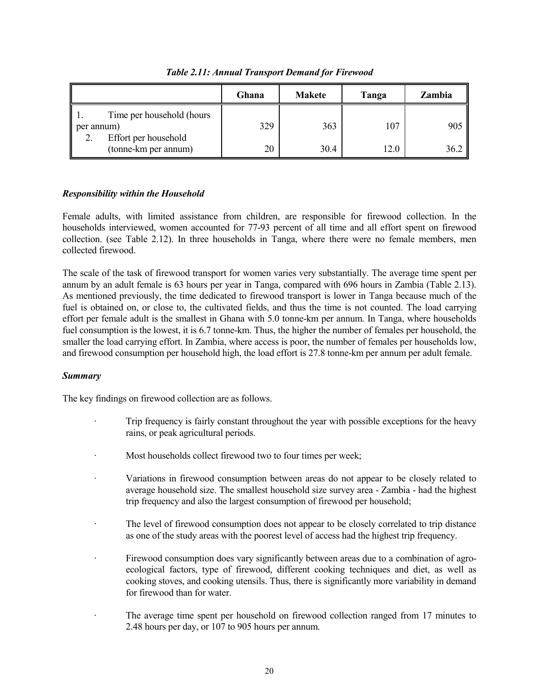|                                              | Ghana | <b>Makete</b> | Tanga | Zambia |
|----------------------------------------------|-------|---------------|-------|--------|
| Time per household (hours)<br>per annum)     | 329   | 363           | 107   | 905    |
| Effort per household<br>(tonne-km per annum) | 20    | 30.4          | 12.0  | 36.2   |

*Table 2.11: Annual Transport Demand for Firewood*

## *Responsibility within the Household*

Female adults, with limited assistance from children, are responsible for firewood collection. In the households interviewed, women accounted for 77-93 percent of all time and all effort spent on firewood collection. (see Table 2.12). In three households in Tanga, where there were no female members, men collected firewood.

The scale of the task of firewood transport for women varies very substantially. The average time spent per annum by an adult female is 63 hours per year in Tanga, compared with 696 hours in Zambia (Table 2.13). As mentioned previously, the time dedicated to firewood transport is lower in Tanga because much of the fuel is obtained on, or close to, the cultivated fields, and thus the time is not counted. The load carrying effort per female adult is the smallest in Ghana with 5.0 tonne-km per annum. In Tanga, where households fuel consumption is the lowest, it is 6.7 tonne-km. Thus, the higher the number of females per household, the smaller the load carrying effort. In Zambia, where access is poor, the number of females per households low, and firewood consumption per household high, the load effort is 27.8 tonne-km per annum per adult female.

#### *Summary*

The key findings on firewood collection are as follows.

- Trip frequency is fairly constant throughout the year with possible exceptions for the heavy rains, or peak agricultural periods.
- Most households collect firewood two to four times per week;
- · Variations in firewood consumption between areas do not appear to be closely related to average household size. The smallest household size survey area - Zambia - had the highest trip frequency and also the largest consumption of firewood per household;
- The level of firewood consumption does not appear to be closely correlated to trip distance as one of the study areas with the poorest level of access had the highest trip frequency.
- Firewood consumption does vary significantly between areas due to a combination of agroecological factors, type of firewood, different cooking techniques and diet, as well as cooking stoves, and cooking utensils. Thus, there is significantly more variability in demand for firewood than for water.
- The average time spent per household on firewood collection ranged from 17 minutes to 2.48 hours per day, or 107 to 905 hours per annum.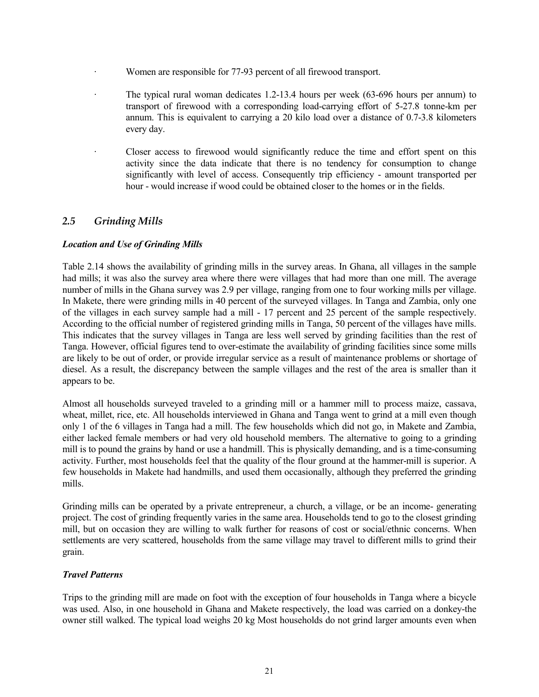- Women are responsible for 77-93 percent of all firewood transport.
- · The typical rural woman dedicates 1.2-13.4 hours per week (63-696 hours per annum) to transport of firewood with a corresponding load-carrying effort of 5-27.8 tonne-km per annum. This is equivalent to carrying a 20 kilo load over a distance of 0.7-3.8 kilometers every day.
- Closer access to firewood would significantly reduce the time and effort spent on this activity since the data indicate that there is no tendency for consumption to change significantly with level of access. Consequently trip efficiency - amount transported per hour - would increase if wood could be obtained closer to the homes or in the fields.

# *2.5 Grinding Mills*

## *Location and Use of Grinding Mills*

Table 2.14 shows the availability of grinding mills in the survey areas. In Ghana, all villages in the sample had mills; it was also the survey area where there were villages that had more than one mill. The average number of mills in the Ghana survey was 2.9 per village, ranging from one to four working mills per village. In Makete, there were grinding mills in 40 percent of the surveyed villages. In Tanga and Zambia, only one of the villages in each survey sample had a mill - 17 percent and 25 percent of the sample respectively. According to the official number of registered grinding mills in Tanga, 50 percent of the villages have mills. This indicates that the survey villages in Tanga are less well served by grinding facilities than the rest of Tanga. However, official figures tend to over-estimate the availability of grinding facilities since some mills are likely to be out of order, or provide irregular service as a result of maintenance problems or shortage of diesel. As a result, the discrepancy between the sample villages and the rest of the area is smaller than it appears to be.

Almost all households surveyed traveled to a grinding mill or a hammer mill to process maize, cassava, wheat, millet, rice, etc. All households interviewed in Ghana and Tanga went to grind at a mill even though only 1 of the 6 villages in Tanga had a mill. The few households which did not go, in Makete and Zambia, either lacked female members or had very old household members. The alternative to going to a grinding mill is to pound the grains by hand or use a handmill. This is physically demanding, and is a time-consuming activity. Further, most households feel that the quality of the flour ground at the hammer-mill is superior. A few households in Makete had handmills, and used them occasionally, although they preferred the grinding mills.

Grinding mills can be operated by a private entrepreneur, a church, a village, or be an income- generating project. The cost of grinding frequently varies in the same area. Households tend to go to the closest grinding mill, but on occasion they are willing to walk further for reasons of cost or social/ethnic concerns. When settlements are very scattered, households from the same village may travel to different mills to grind their grain.

#### *Travel Patterns*

Trips to the grinding mill are made on foot with the exception of four households in Tanga where a bicycle was used. Also, in one household in Ghana and Makete respectively, the load was carried on a donkey-the owner still walked. The typical load weighs 20 kg Most households do not grind larger amounts even when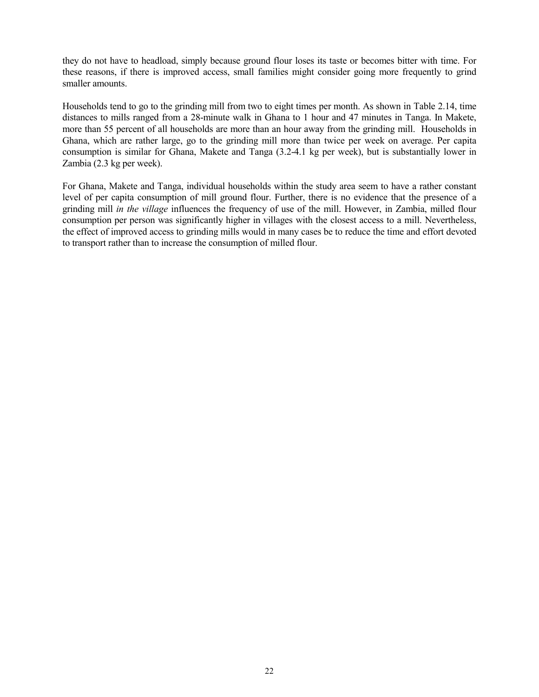they do not have to headload, simply because ground flour loses its taste or becomes bitter with time. For these reasons, if there is improved access, small families might consider going more frequently to grind smaller amounts.

Households tend to go to the grinding mill from two to eight times per month. As shown in Table 2.14, time distances to mills ranged from a 28-minute walk in Ghana to 1 hour and 47 minutes in Tanga. In Makete, more than 55 percent of all households are more than an hour away from the grinding mill. Households in Ghana, which are rather large, go to the grinding mill more than twice per week on average. Per capita consumption is similar for Ghana, Makete and Tanga (3.2-4.1 kg per week), but is substantially lower in Zambia (2.3 kg per week).

For Ghana, Makete and Tanga, individual households within the study area seem to have a rather constant level of per capita consumption of mill ground flour. Further, there is no evidence that the presence of a grinding mill *in the village* influences the frequency of use of the mill. However, in Zambia, milled flour consumption per person was significantly higher in villages with the closest access to a mill. Nevertheless, the effect of improved access to grinding mills would in many cases be to reduce the time and effort devoted to transport rather than to increase the consumption of milled flour.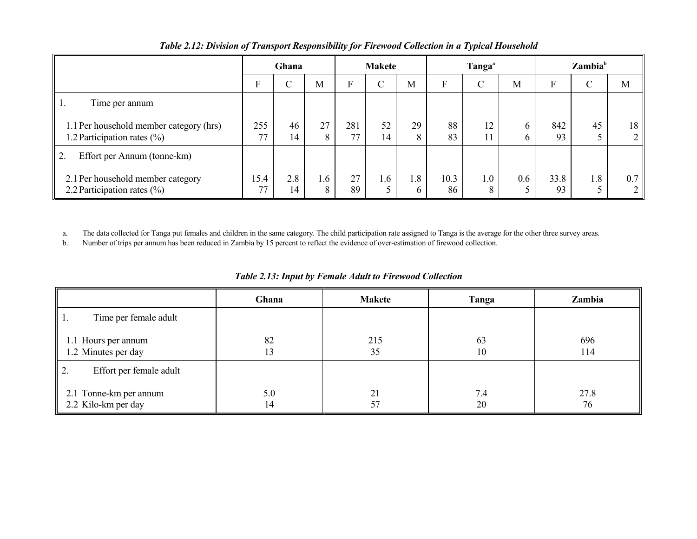|                                                                            |                       | Ghana     |          |           | <b>Makete</b> |          |            | Tanga <sup>a</sup> |         |            | $\mathbf{Z}$ ambia $\mathbf{B}^{\mathsf{b}}$ |     |
|----------------------------------------------------------------------------|-----------------------|-----------|----------|-----------|---------------|----------|------------|--------------------|---------|------------|----------------------------------------------|-----|
|                                                                            | Е                     | $\cap$    | M        | г         | C             | M        | F          | $\mathcal{C}$      | M       | E          | $\cap$<br>◡                                  | M   |
| Time per annum<br>-1.                                                      |                       |           |          |           |               |          |            |                    |         |            |                                              |     |
| 1.1 Per household member category (hrs)<br>1.2 Participation rates $(\% )$ | 255<br>77<br>$\prime$ | 46<br>14  | 27<br>8  | 281<br>77 | 52<br>14      | 29<br>8  | 88<br>83   | 12<br>$\perp$      | b<br>h. | 842<br>93  | 45                                           | 18  |
| 2.<br>Effort per Annum (tonne-km)                                          |                       |           |          |           |               |          |            |                    |         |            |                                              |     |
| 2.1 Per household member category<br>2.2 Participation rates $(\% )$       | 15.4<br>77            | 2.8<br>14 | 1.6<br>8 | 27<br>89  | $.6\,$<br>5   | 1.8<br>6 | 10.3<br>86 | 1.0                | 0.6     | 33.8<br>93 | 1.8                                          | 0.7 |

#### *Table 2.12: Division of Transport Responsibility for Firewood Collection in a Typical Household*

a. The data collected for Tanga put females and children in the same category. The child participation rate assigned to Tanga is the average for the other three survey areas.

b. Number of trips per annum has been reduced in Zambia by 15 percent to reflect the evidence of over-estimation of firewood collection.

|                                               | Ghana     | <b>Makete</b> | Tanga     | Zambia     |
|-----------------------------------------------|-----------|---------------|-----------|------------|
| Time per female adult<br>-1.                  |           |               |           |            |
| 1.1 Hours per annum<br>1.2 Minutes per day    | 82<br>13  | 215<br>35     | 63<br>10  | 696<br>114 |
| Effort per female adult                       |           |               |           |            |
| 2.1 Tonne-km per annum<br>2.2 Kilo-km per day | 5.0<br>14 | 21<br>57      | 7.4<br>20 | 27.8<br>76 |

*Table 2.13: Input by Female Adult to Firewood Collection*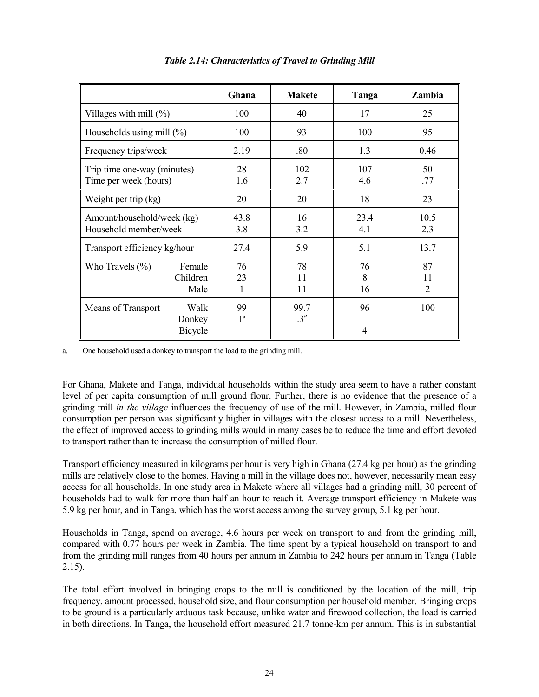|                                                        | Ghana                | <b>Makete</b>       | Tanga         | Zambia        |
|--------------------------------------------------------|----------------------|---------------------|---------------|---------------|
| Villages with mill $(\%)$                              | 100                  | 40                  | 17            | 25            |
| Households using mill $(\%)$                           | 100                  | 93                  | 100           | 95            |
| Frequency trips/week                                   | 2.19                 | .80                 | 1.3           | 0.46          |
| Trip time one-way (minutes)<br>Time per week (hours)   | 28<br>1.6            | 102<br>2.7          | 107<br>4.6    | 50<br>.77     |
| Weight per trip (kg)                                   | 20                   | 20                  | 18            | 23            |
| Amount/household/week (kg)<br>Household member/week    | 43.8<br>3.8          | 16<br>3.2           | 23.4<br>4.1   | 10.5<br>2.3   |
| Transport efficiency kg/hour                           | 27.4                 | 5.9                 | 5.1           | 13.7          |
| Who Travels $(\% )$<br>Female<br>Children<br>Male      | 76<br>23<br>1        | 78<br>11<br>11      | 76<br>8<br>16 | 87<br>11<br>2 |
| Walk<br>Means of Transport<br>Donkey<br><b>Bicycle</b> | 99<br>1 <sup>a</sup> | 99.7<br>$3^{\circ}$ | 96<br>4       | 100           |

*Table 2.14: Characteristics of Travel to Grinding Mill*

a. One household used a donkey to transport the load to the grinding mill.

For Ghana, Makete and Tanga, individual households within the study area seem to have a rather constant level of per capita consumption of mill ground flour. Further, there is no evidence that the presence of a grinding mill *in the village* influences the frequency of use of the mill. However, in Zambia, milled flour consumption per person was significantly higher in villages with the closest access to a mill. Nevertheless, the effect of improved access to grinding mills would in many cases be to reduce the time and effort devoted to transport rather than to increase the consumption of milled flour.

Transport efficiency measured in kilograms per hour is very high in Ghana (27.4 kg per hour) as the grinding mills are relatively close to the homes. Having a mill in the village does not, however, necessarily mean easy access for all households. In one study area in Makete where all villages had a grinding mill, 30 percent of households had to walk for more than half an hour to reach it. Average transport efficiency in Makete was 5.9 kg per hour, and in Tanga, which has the worst access among the survey group, 5.1 kg per hour.

Households in Tanga, spend on average, 4.6 hours per week on transport to and from the grinding mill, compared with 0.77 hours per week in Zambia. The time spent by a typical household on transport to and from the grinding mill ranges from 40 hours per annum in Zambia to 242 hours per annum in Tanga (Table 2.15).

The total effort involved in bringing crops to the mill is conditioned by the location of the mill, trip frequency, amount processed, household size, and flour consumption per household member. Bringing crops to be ground is a particularly arduous task because, unlike water and firewood collection, the load is carried in both directions. In Tanga, the household effort measured 21.7 tonne-km per annum. This is in substantial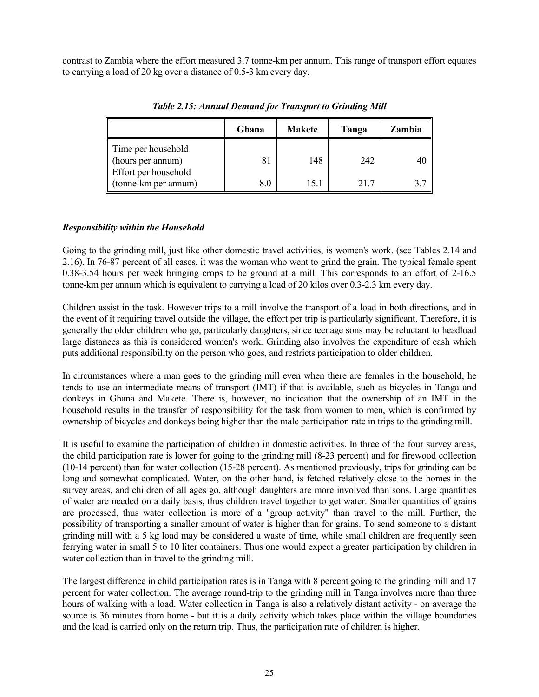contrast to Zambia where the effort measured 3.7 tonne-km per annum. This range of transport effort equates to carrying a load of 20 kg over a distance of 0.5-3 km every day.

|                                              | Ghana | <b>Makete</b> | Tanga | Zambia |
|----------------------------------------------|-------|---------------|-------|--------|
| Time per household<br>(hours per annum)      | 81    | 148           | 242   | 40     |
| Effort per household<br>(tonne-km per annum) | 8.0   | 15.1          | 217   |        |

*Table 2.15: Annual Demand for Transport to Grinding Mill*

#### *Responsibility within the Household*

Going to the grinding mill, just like other domestic travel activities, is women's work. (see Tables 2.14 and 2.16). In 76-87 percent of all cases, it was the woman who went to grind the grain. The typical female spent 0.38-3.54 hours per week bringing crops to be ground at a mill. This corresponds to an effort of 2-16.5 tonne-km per annum which is equivalent to carrying a load of 20 kilos over 0.3-2.3 km every day.

Children assist in the task. However trips to a mill involve the transport of a load in both directions, and in the event of it requiring travel outside the village, the effort per trip is particularly significant. Therefore, it is generally the older children who go, particularly daughters, since teenage sons may be reluctant to headload large distances as this is considered women's work. Grinding also involves the expenditure of cash which puts additional responsibility on the person who goes, and restricts participation to older children.

In circumstances where a man goes to the grinding mill even when there are females in the household, he tends to use an intermediate means of transport (IMT) if that is available, such as bicycles in Tanga and donkeys in Ghana and Makete. There is, however, no indication that the ownership of an IMT in the household results in the transfer of responsibility for the task from women to men, which is confirmed by ownership of bicycles and donkeys being higher than the male participation rate in trips to the grinding mill.

It is useful to examine the participation of children in domestic activities. In three of the four survey areas, the child participation rate is lower for going to the grinding mill (8-23 percent) and for firewood collection (10-14 percent) than for water collection (15-28 percent). As mentioned previously, trips for grinding can be long and somewhat complicated. Water, on the other hand, is fetched relatively close to the homes in the survey areas, and children of all ages go, although daughters are more involved than sons. Large quantities of water are needed on a daily basis, thus children travel together to get water. Smaller quantities of grains are processed, thus water collection is more of a "group activity" than travel to the mill. Further, the possibility of transporting a smaller amount of water is higher than for grains. To send someone to a distant grinding mill with a 5 kg load may be considered a waste of time, while small children are frequently seen ferrying water in small 5 to 10 liter containers. Thus one would expect a greater participation by children in water collection than in travel to the grinding mill.

The largest difference in child participation rates is in Tanga with 8 percent going to the grinding mill and 17 percent for water collection. The average round-trip to the grinding mill in Tanga involves more than three hours of walking with a load. Water collection in Tanga is also a relatively distant activity - on average the source is 36 minutes from home - but it is a daily activity which takes place within the village boundaries and the load is carried only on the return trip. Thus, the participation rate of children is higher.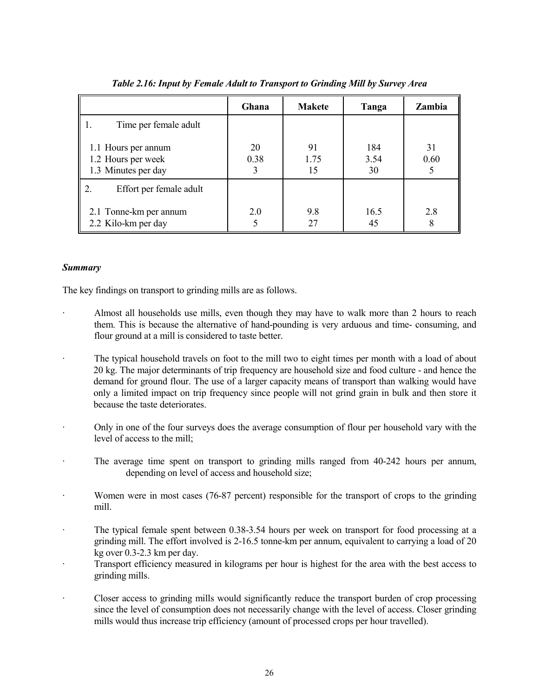|                                                                  | Ghana      | <b>Makete</b>    | Tanga             | Zambia     |
|------------------------------------------------------------------|------------|------------------|-------------------|------------|
| Time per female adult                                            |            |                  |                   |            |
| 1.1 Hours per annum<br>1.2 Hours per week<br>1.3 Minutes per day | 20<br>0.38 | 91<br>1.75<br>15 | 184<br>3.54<br>30 | 31<br>0.60 |
| Effort per female adult                                          |            |                  |                   |            |
| 2.1 Tonne-km per annum<br>2.2 Kilo-km per day                    | 2.0        | 9.8<br>27        | 16.5<br>45        | 2.8<br>8   |

#### *Table 2.16: Input by Female Adult to Transport to Grinding Mill by Survey Area*

#### *Summary*

The key findings on transport to grinding mills are as follows.

- Almost all households use mills, even though they may have to walk more than 2 hours to reach them. This is because the alternative of hand-pounding is very arduous and time- consuming, and flour ground at a mill is considered to taste better.
- The typical household travels on foot to the mill two to eight times per month with a load of about 20 kg. The major determinants of trip frequency are household size and food culture - and hence the demand for ground flour. The use of a larger capacity means of transport than walking would have only a limited impact on trip frequency since people will not grind grain in bulk and then store it because the taste deteriorates.
- · Only in one of the four surveys does the average consumption of flour per household vary with the level of access to the mill;
- · The average time spent on transport to grinding mills ranged from 40-242 hours per annum, depending on level of access and household size;
- Women were in most cases (76-87 percent) responsible for the transport of crops to the grinding mill.
- The typical female spent between 0.38-3.54 hours per week on transport for food processing at a grinding mill. The effort involved is 2-16.5 tonne-km per annum, equivalent to carrying a load of 20 kg over 0.3-2.3 km per day.
- · Transport efficiency measured in kilograms per hour is highest for the area with the best access to grinding mills.
- Closer access to grinding mills would significantly reduce the transport burden of crop processing since the level of consumption does not necessarily change with the level of access. Closer grinding mills would thus increase trip efficiency (amount of processed crops per hour travelled).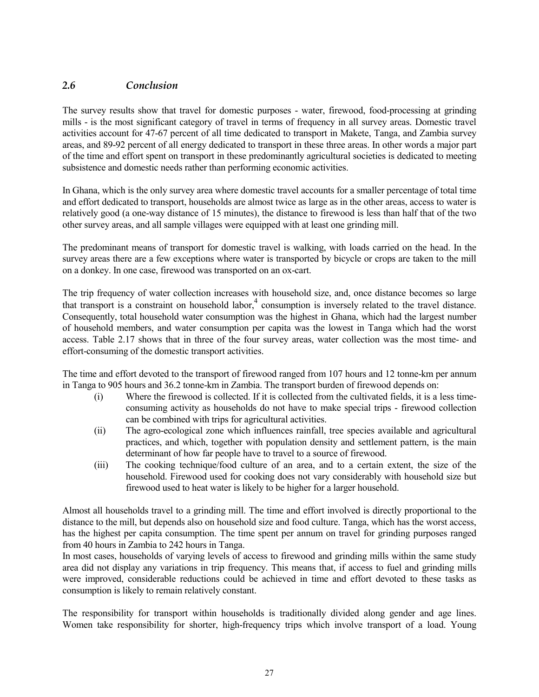# *2.6 Conclusion*

The survey results show that travel for domestic purposes - water, firewood, food-processing at grinding mills - is the most significant category of travel in terms of frequency in all survey areas. Domestic travel activities account for 47-67 percent of all time dedicated to transport in Makete, Tanga, and Zambia survey areas, and 89-92 percent of all energy dedicated to transport in these three areas. In other words a major part of the time and effort spent on transport in these predominantly agricultural societies is dedicated to meeting subsistence and domestic needs rather than performing economic activities.

In Ghana, which is the only survey area where domestic travel accounts for a smaller percentage of total time and effort dedicated to transport, households are almost twice as large as in the other areas, access to water is relatively good (a one-way distance of 15 minutes), the distance to firewood is less than half that of the two other survey areas, and all sample villages were equipped with at least one grinding mill.

The predominant means of transport for domestic travel is walking, with loads carried on the head. In the survey areas there are a few exceptions where water is transported by bicycle or crops are taken to the mill on a donkey. In one case, firewood was transported on an ox-cart.

The trip frequency of water collection increases with household size, and, once distance becomes so large that transport is a constraint on household labor,  $4$  consumption is inversely related to the travel distance. Consequently, total household water consumption was the highest in Ghana, which had the largest number of household members, and water consumption per capita was the lowest in Tanga which had the worst access. Table 2.17 shows that in three of the four survey areas, water collection was the most time- and effort-consuming of the domestic transport activities.

The time and effort devoted to the transport of firewood ranged from 107 hours and 12 tonne-km per annum in Tanga to 905 hours and 36.2 tonne-km in Zambia. The transport burden of firewood depends on:

- (i) Where the firewood is collected. If it is collected from the cultivated fields, it is a less timeconsuming activity as households do not have to make special trips - firewood collection can be combined with trips for agricultural activities.
- (ii) The agro-ecological zone which influences rainfall, tree species available and agricultural practices, and which, together with population density and settlement pattern, is the main determinant of how far people have to travel to a source of firewood.
- (iii) The cooking technique/food culture of an area, and to a certain extent, the size of the household. Firewood used for cooking does not vary considerably with household size but firewood used to heat water is likely to be higher for a larger household.

Almost all households travel to a grinding mill. The time and effort involved is directly proportional to the distance to the mill, but depends also on household size and food culture. Tanga, which has the worst access, has the highest per capita consumption. The time spent per annum on travel for grinding purposes ranged from 40 hours in Zambia to 242 hours in Tanga.

In most cases, households of varying levels of access to firewood and grinding mills within the same study area did not display any variations in trip frequency. This means that, if access to fuel and grinding mills were improved, considerable reductions could be achieved in time and effort devoted to these tasks as consumption is likely to remain relatively constant.

The responsibility for transport within households is traditionally divided along gender and age lines. Women take responsibility for shorter, high-frequency trips which involve transport of a load. Young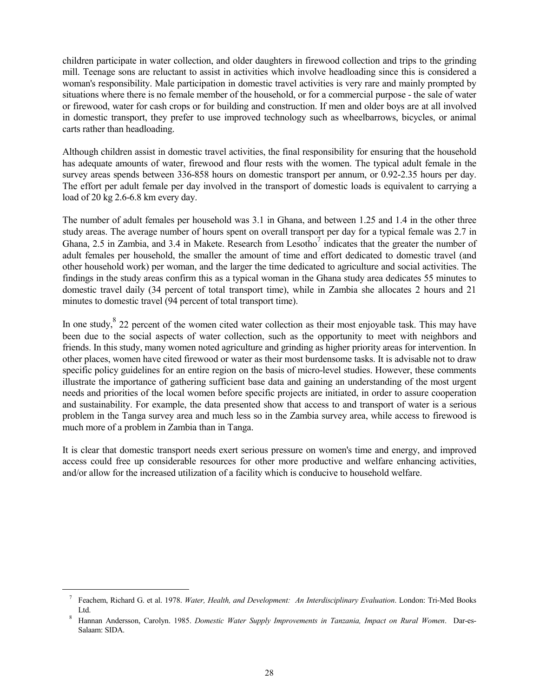children participate in water collection, and older daughters in firewood collection and trips to the grinding mill. Teenage sons are reluctant to assist in activities which involve headloading since this is considered a woman's responsibility. Male participation in domestic travel activities is very rare and mainly prompted by situations where there is no female member of the household, or for a commercial purpose - the sale of water or firewood, water for cash crops or for building and construction. If men and older boys are at all involved in domestic transport, they prefer to use improved technology such as wheelbarrows, bicycles, or animal carts rather than headloading.

Although children assist in domestic travel activities, the final responsibility for ensuring that the household has adequate amounts of water, firewood and flour rests with the women. The typical adult female in the survey areas spends between 336-858 hours on domestic transport per annum, or 0.92-2.35 hours per day. The effort per adult female per day involved in the transport of domestic loads is equivalent to carrying a load of 20 kg 2.6-6.8 km every day.

The number of adult females per household was 3.1 in Ghana, and between 1.25 and 1.4 in the other three study areas. The average number of hours spent on overall transport per day for a typical female was 2.7 in Ghana, 2.5 in Zambia, and 3.4 in Makete. Research from Lesotho<sup>7</sup> indicates that the greater the number of adult females per household, the smaller the amount of time and effort dedicated to domestic travel (and other household work) per woman, and the larger the time dedicated to agriculture and social activities. The findings in the study areas confirm this as a typical woman in the Ghana study area dedicates 55 minutes to domestic travel daily (34 percent of total transport time), while in Zambia she allocates 2 hours and 21 minutes to domestic travel (94 percent of total transport time).

In one study,  $8\,22$  percent of the women cited water collection as their most enjoyable task. This may have been due to the social aspects of water collection, such as the opportunity to meet with neighbors and friends. In this study, many women noted agriculture and grinding as higher priority areas for intervention. In other places, women have cited firewood or water as their most burdensome tasks. It is advisable not to draw specific policy guidelines for an entire region on the basis of micro-level studies. However, these comments illustrate the importance of gathering sufficient base data and gaining an understanding of the most urgent needs and priorities of the local women before specific projects are initiated, in order to assure cooperation and sustainability. For example, the data presented show that access to and transport of water is a serious problem in the Tanga survey area and much less so in the Zambia survey area, while access to firewood is much more of a problem in Zambia than in Tanga.

It is clear that domestic transport needs exert serious pressure on women's time and energy, and improved access could free up considerable resources for other more productive and welfare enhancing activities, and/or allow for the increased utilization of a facility which is conducive to household welfare.

<sup>7</sup> Feachem, Richard G. et al. 1978. *Water, Health, and Development: An Interdisciplinary Evaluation*. London: Tri-Med Books Ltd. 8 Hannan Andersson, Carolyn. 1985. *Domestic Water Supply Improvements in Tanzania, Impact on Rural Women*. Dar-es-

Salaam: SIDA.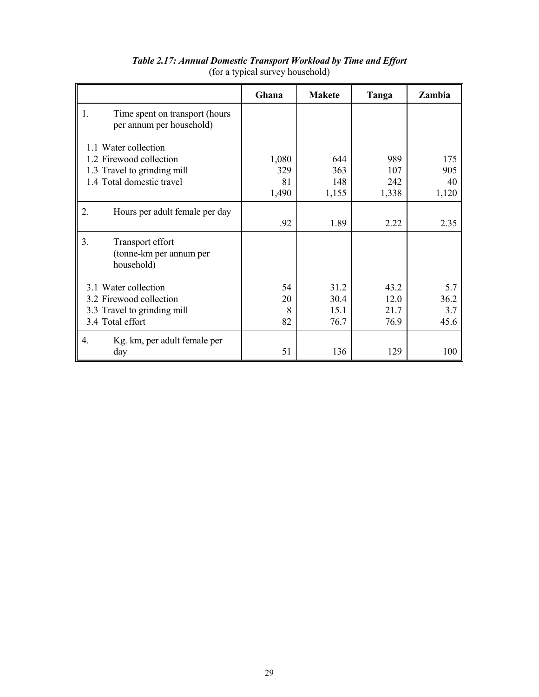|                                                                                                             | Ghana                       | <b>Makete</b>                | Tanga                        | Zambia                     |
|-------------------------------------------------------------------------------------------------------------|-----------------------------|------------------------------|------------------------------|----------------------------|
| Time spent on transport (hours<br>1.<br>per annum per household)                                            |                             |                              |                              |                            |
| 1.1 Water collection<br>1.2 Firewood collection<br>1.3 Travel to grinding mill<br>1.4 Total domestic travel | 1,080<br>329<br>81<br>1,490 | 644<br>363<br>148<br>1,155   | 989<br>107<br>242<br>1,338   | 175<br>905<br>40<br>1,120  |
| 2.<br>Hours per adult female per day                                                                        | .92                         | 1.89                         | 2.22                         | 2.35                       |
| 3.<br>Transport effort<br>(tonne-km per annum per<br>household)                                             |                             |                              |                              |                            |
| 3.1 Water collection<br>3.2 Firewood collection<br>3.3 Travel to grinding mill<br>3.4 Total effort          | 54<br>20<br>8<br>82         | 31.2<br>30.4<br>15.1<br>76.7 | 43.2<br>12.0<br>21.7<br>76.9 | 5.7<br>36.2<br>3.7<br>45.6 |
| Kg. km, per adult female per<br>$\mathbf{4}$ .<br>day                                                       | 51                          | 136                          | 129                          | 100                        |

# *Table 2.17: Annual Domestic Transport Workload by Time and Effort* (for a typical survey household)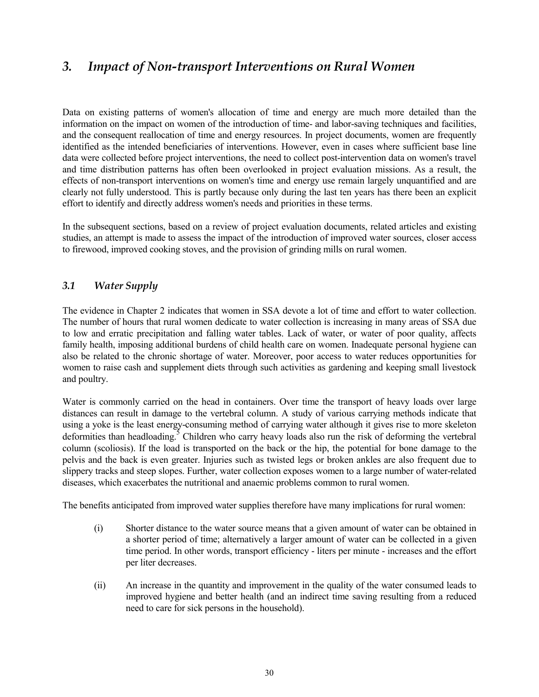# *3. Impact of Non-transport Interventions on Rural Women*

Data on existing patterns of women's allocation of time and energy are much more detailed than the information on the impact on women of the introduction of time- and labor-saving techniques and facilities, and the consequent reallocation of time and energy resources. In project documents, women are frequently identified as the intended beneficiaries of interventions. However, even in cases where sufficient base line data were collected before project interventions, the need to collect post-intervention data on women's travel and time distribution patterns has often been overlooked in project evaluation missions. As a result, the effects of non-transport interventions on women's time and energy use remain largely unquantified and are clearly not fully understood. This is partly because only during the last ten years has there been an explicit effort to identify and directly address women's needs and priorities in these terms.

In the subsequent sections, based on a review of project evaluation documents, related articles and existing studies, an attempt is made to assess the impact of the introduction of improved water sources, closer access to firewood, improved cooking stoves, and the provision of grinding mills on rural women.

# *3.1 Water Supply*

The evidence in Chapter 2 indicates that women in SSA devote a lot of time and effort to water collection. The number of hours that rural women dedicate to water collection is increasing in many areas of SSA due to low and erratic precipitation and falling water tables. Lack of water, or water of poor quality, affects family health, imposing additional burdens of child health care on women. Inadequate personal hygiene can also be related to the chronic shortage of water. Moreover, poor access to water reduces opportunities for women to raise cash and supplement diets through such activities as gardening and keeping small livestock and poultry.

Water is commonly carried on the head in containers. Over time the transport of heavy loads over large distances can result in damage to the vertebral column. A study of various carrying methods indicate that using a yoke is the least energy-consuming method of carrying water although it gives rise to more skeleton deformities than headloading.<sup>5</sup> Children who carry heavy loads also run the risk of deforming the vertebral column (scoliosis). If the load is transported on the back or the hip, the potential for bone damage to the pelvis and the back is even greater. Injuries such as twisted legs or broken ankles are also frequent due to slippery tracks and steep slopes. Further, water collection exposes women to a large number of water-related diseases, which exacerbates the nutritional and anaemic problems common to rural women.

The benefits anticipated from improved water supplies therefore have many implications for rural women:

- (i) Shorter distance to the water source means that a given amount of water can be obtained in a shorter period of time; alternatively a larger amount of water can be collected in a given time period. In other words, transport efficiency - liters per minute - increases and the effort per liter decreases.
- (ii) An increase in the quantity and improvement in the quality of the water consumed leads to improved hygiene and better health (and an indirect time saving resulting from a reduced need to care for sick persons in the household).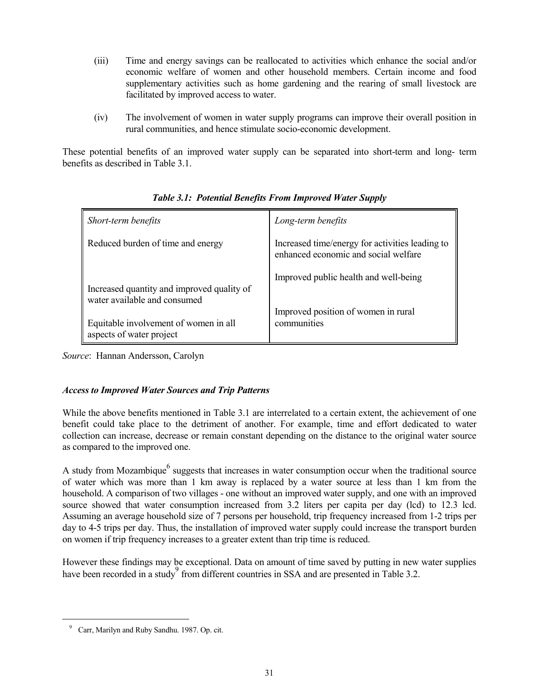- (iii) Time and energy savings can be reallocated to activities which enhance the social and/or economic welfare of women and other household members. Certain income and food supplementary activities such as home gardening and the rearing of small livestock are facilitated by improved access to water.
- (iv) The involvement of women in water supply programs can improve their overall position in rural communities, and hence stimulate socio-economic development.

These potential benefits of an improved water supply can be separated into short-term and long- term benefits as described in Table 3.1.

| Short-term benefits                                                        | Long-term benefits                                                                      |
|----------------------------------------------------------------------------|-----------------------------------------------------------------------------------------|
| Reduced burden of time and energy                                          | Increased time/energy for activities leading to<br>enhanced economic and social welfare |
| Increased quantity and improved quality of<br>water available and consumed | Improved public health and well-being                                                   |
| Equitable involvement of women in all<br>aspects of water project          | Improved position of women in rural<br>communities                                      |

# *Table 3.1: Potential Benefits From Improved Water Supply*

*Source*: Hannan Andersson, Carolyn

## *Access to Improved Water Sources and Trip Patterns*

While the above benefits mentioned in Table 3.1 are interrelated to a certain extent, the achievement of one benefit could take place to the detriment of another. For example, time and effort dedicated to water collection can increase, decrease or remain constant depending on the distance to the original water source as compared to the improved one.

A study from Mozambique  $^6$  suggests that increases in water consumption occur when the traditional source of water which was more than 1 km away is replaced by a water source at less than 1 km from the household. A comparison of two villages - one without an improved water supply, and one with an improved source showed that water consumption increased from 3.2 liters per capita per day (lcd) to 12.3 lcd. Assuming an average household size of 7 persons per household, trip frequency increased from 1-2 trips per day to 4-5 trips per day. Thus, the installation of improved water supply could increase the transport burden on women if trip frequency increases to a greater extent than trip time is reduced.

However these findings may be exceptional. Data on amount of time saved by putting in new water supplies have been recorded in a study<sup>9</sup> from different countries in SSA and are presented in Table 3.2.

<sup>9</sup> Carr, Marilyn and Ruby Sandhu. 1987. Op. cit.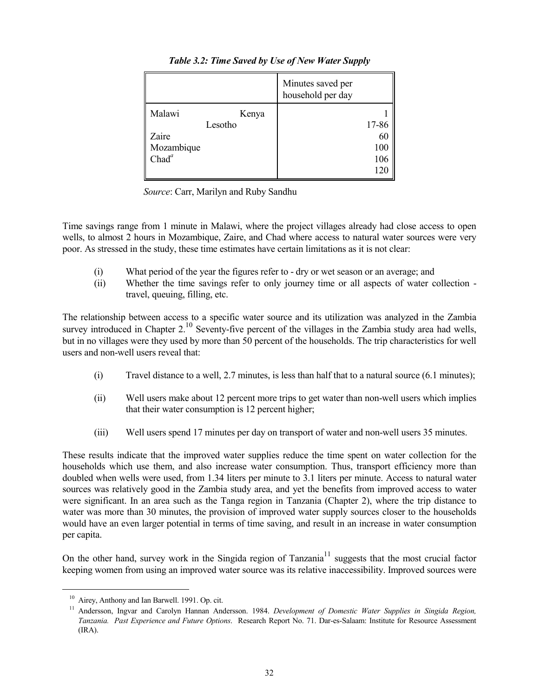|                                                               | Minutes saved per<br>household per day |
|---------------------------------------------------------------|----------------------------------------|
| Malawi<br>Kenya<br>Lesotho<br>Zaire<br>Mozambique<br>$Chad^a$ | 17-86<br>60<br>100<br>106              |

*Table 3.2: Time Saved by Use of New Water Supply*

*Source*: Carr, Marilyn and Ruby Sandhu

Time savings range from 1 minute in Malawi, where the project villages already had close access to open wells, to almost 2 hours in Mozambique, Zaire, and Chad where access to natural water sources were very poor. As stressed in the study, these time estimates have certain limitations as it is not clear:

- (i) What period of the year the figures refer to dry or wet season or an average; and
- (ii) Whether the time savings refer to only journey time or all aspects of water collection travel, queuing, filling, etc.

The relationship between access to a specific water source and its utilization was analyzed in the Zambia survey introduced in Chapter  $2^{10}$  Seventy-five percent of the villages in the Zambia study area had wells, but in no villages were they used by more than 50 percent of the households. The trip characteristics for well users and non-well users reveal that:

- (i) Travel distance to a well, 2.7 minutes, is less than half that to a natural source (6.1 minutes);
- (ii) Well users make about 12 percent more trips to get water than non-well users which implies that their water consumption is 12 percent higher;
- (iii) Well users spend 17 minutes per day on transport of water and non-well users 35 minutes.

These results indicate that the improved water supplies reduce the time spent on water collection for the households which use them, and also increase water consumption. Thus, transport efficiency more than doubled when wells were used, from 1.34 liters per minute to 3.1 liters per minute. Access to natural water sources was relatively good in the Zambia study area, and yet the benefits from improved access to water were significant. In an area such as the Tanga region in Tanzania (Chapter 2), where the trip distance to water was more than 30 minutes, the provision of improved water supply sources closer to the households would have an even larger potential in terms of time saving, and result in an increase in water consumption per capita.

On the other hand, survey work in the Singida region of Tanzania<sup>11</sup> suggests that the most crucial factor keeping women from using an improved water source was its relative inaccessibility. Improved sources were

<sup>&</sup>lt;sup>10</sup> Airey, Anthony and Ian Barwell. 1991. Op. cit.<br><sup>11</sup> Andersson, Ingvar and Carolyn Hannan Andersson. 1984. *Development of Domestic Water Supplies in Singida Region*, *Tanzania. Past Experience and Future Options*. Research Report No. 71. Dar-es-Salaam: Institute for Resource Assessment (IRA).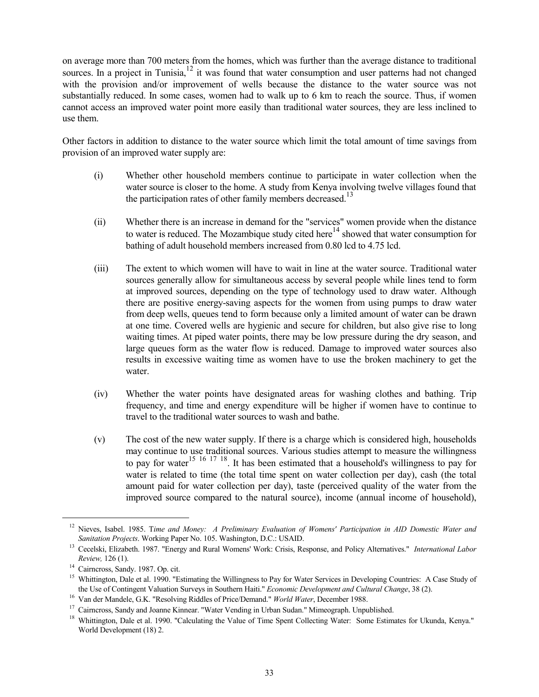on average more than 700 meters from the homes, which was further than the average distance to traditional sources. In a project in Tunisia, $12$  it was found that water consumption and user patterns had not changed with the provision and/or improvement of wells because the distance to the water source was not substantially reduced. In some cases, women had to walk up to 6 km to reach the source. Thus, if women cannot access an improved water point more easily than traditional water sources, they are less inclined to use them.

Other factors in addition to distance to the water source which limit the total amount of time savings from provision of an improved water supply are:

- (i) Whether other household members continue to participate in water collection when the water source is closer to the home. A study from Kenya involving twelve villages found that the participation rates of other family members decreased.<sup>13</sup>
- (ii) Whether there is an increase in demand for the "services" women provide when the distance to water is reduced. The Mozambique study cited here<sup>14</sup> showed that water consumption for bathing of adult household members increased from 0.80 lcd to 4.75 lcd.
- (iii) The extent to which women will have to wait in line at the water source. Traditional water sources generally allow for simultaneous access by several people while lines tend to form at improved sources, depending on the type of technology used to draw water. Although there are positive energy-saving aspects for the women from using pumps to draw water from deep wells, queues tend to form because only a limited amount of water can be drawn at one time. Covered wells are hygienic and secure for children, but also give rise to long waiting times. At piped water points, there may be low pressure during the dry season, and large queues form as the water flow is reduced. Damage to improved water sources also results in excessive waiting time as women have to use the broken machinery to get the water.
- (iv) Whether the water points have designated areas for washing clothes and bathing. Trip frequency, and time and energy expenditure will be higher if women have to continue to travel to the traditional water sources to wash and bathe.
- (v) The cost of the new water supply. If there is a charge which is considered high, households may continue to use traditional sources. Various studies attempt to measure the willingness to pay for water<sup>15 16 17 18</sup>. It has been estimated that a household's willingness to pay for water is related to time (the total time spent on water collection per day), cash (the total amount paid for water collection per day), taste (perceived quality of the water from the improved source compared to the natural source), income (annual income of household),

<sup>12</sup> Nieves, Isabel. 1985. T*ime and Money: A Preliminary Evaluation of Womens' Participation in AID Domestic Water and Sanitation Projects*. Working Paper No. 105. Washington, D.C.: USAID.<br>Cecelski, Elizabeth. 1987. "Energy and Rural Womens' Work: Crisis, Response, and Policy Alternatives." *International Labor* 

*Review,* 126 (1).<br><sup>14</sup> Cairncross, Sandy. 1987. Op. cit.<br><sup>15</sup> Whittington, Dale et al. 1990. "Estimating the Willingness to Pay for Water Services in Developing Countries: A Case Study of<br><sup>15</sup> Whittington, Dale et al. 199

<sup>&</sup>lt;sup>16</sup> Van der Mandele, G.K. "Resolving Riddles of Price/Demand." *World Water*, December 1988.<br><sup>17</sup> Cairneross, Sandy and Joanne Kinnear. "Water Vending in Urban Sudan." Mimeograph. Unpublished.<br><sup>18</sup> Whittington, Dale et a World Development (18) 2.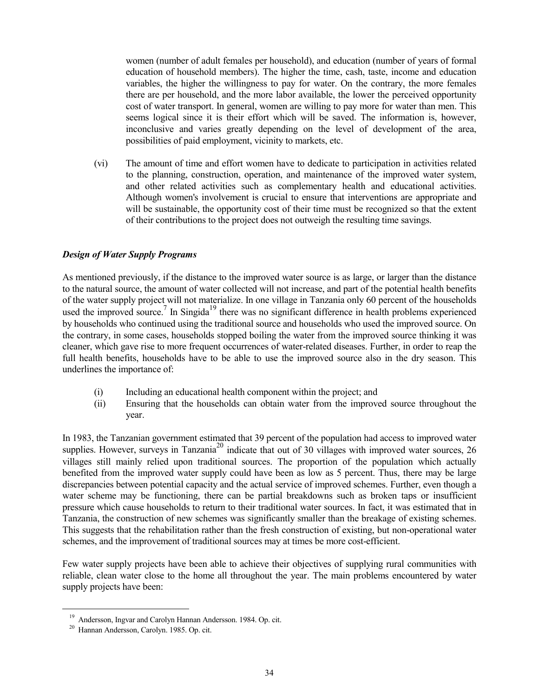women (number of adult females per household), and education (number of years of formal education of household members). The higher the time, cash, taste, income and education variables, the higher the willingness to pay for water. On the contrary, the more females there are per household, and the more labor available, the lower the perceived opportunity cost of water transport. In general, women are willing to pay more for water than men. This seems logical since it is their effort which will be saved. The information is, however, inconclusive and varies greatly depending on the level of development of the area, possibilities of paid employment, vicinity to markets, etc.

(vi) The amount of time and effort women have to dedicate to participation in activities related to the planning, construction, operation, and maintenance of the improved water system, and other related activities such as complementary health and educational activities. Although women's involvement is crucial to ensure that interventions are appropriate and will be sustainable, the opportunity cost of their time must be recognized so that the extent of their contributions to the project does not outweigh the resulting time savings.

#### *Design of Water Supply Programs*

As mentioned previously, if the distance to the improved water source is as large, or larger than the distance to the natural source, the amount of water collected will not increase, and part of the potential health benefits of the water supply project will not materialize. In one village in Tanzania only 60 percent of the households used the improved source.<sup>7</sup> In Singida<sup>19</sup> there was no significant difference in health problems experienced by households who continued using the traditional source and households who used the improved source. On the contrary, in some cases, households stopped boiling the water from the improved source thinking it was cleaner, which gave rise to more frequent occurrences of water-related diseases. Further, in order to reap the full health benefits, households have to be able to use the improved source also in the dry season. This underlines the importance of:

- (i) Including an educational health component within the project; and
- (ii) Ensuring that the households can obtain water from the improved source throughout the year.

In 1983, the Tanzanian government estimated that 39 percent of the population had access to improved water supplies. However, surveys in Tanzania<sup>20</sup> indicate that out of 30 villages with improved water sources, 26 villages still mainly relied upon traditional sources. The proportion of the population which actually benefited from the improved water supply could have been as low as 5 percent. Thus, there may be large discrepancies between potential capacity and the actual service of improved schemes. Further, even though a water scheme may be functioning, there can be partial breakdowns such as broken taps or insufficient pressure which cause households to return to their traditional water sources. In fact, it was estimated that in Tanzania, the construction of new schemes was significantly smaller than the breakage of existing schemes. This suggests that the rehabilitation rather than the fresh construction of existing, but non-operational water schemes, and the improvement of traditional sources may at times be more cost-efficient.

Few water supply projects have been able to achieve their objectives of supplying rural communities with reliable, clean water close to the home all throughout the year. The main problems encountered by water supply projects have been:

<sup>19</sup> Andersson, Ingvar and Carolyn Hannan Andersson. 1984. Op. cit. 20 Hannan Andersson, Carolyn. 1985. Op. cit.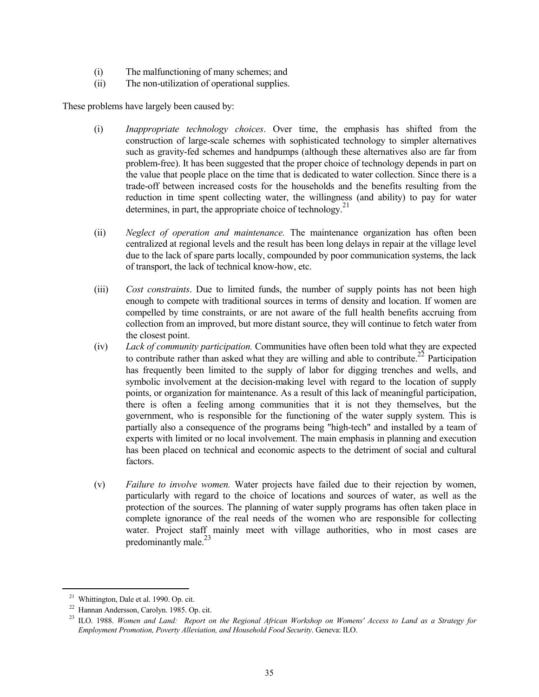- (i) The malfunctioning of many schemes; and
- (ii) The non-utilization of operational supplies.

These problems have largely been caused by:

- (i) *Inappropriate technology choices*. Over time, the emphasis has shifted from the construction of large-scale schemes with sophisticated technology to simpler alternatives such as gravity-fed schemes and handpumps (although these alternatives also are far from problem-free). It has been suggested that the proper choice of technology depends in part on the value that people place on the time that is dedicated to water collection. Since there is a trade-off between increased costs for the households and the benefits resulting from the reduction in time spent collecting water, the willingness (and ability) to pay for water determines, in part, the appropriate choice of technology.<sup>21</sup>
- (ii) *Neglect of operation and maintenance.* The maintenance organization has often been centralized at regional levels and the result has been long delays in repair at the village level due to the lack of spare parts locally, compounded by poor communication systems, the lack of transport, the lack of technical know-how, etc.
- (iii) *Cost constraints*. Due to limited funds, the number of supply points has not been high enough to compete with traditional sources in terms of density and location. If women are compelled by time constraints, or are not aware of the full health benefits accruing from collection from an improved, but more distant source, they will continue to fetch water from the closest point.
- (iv) *Lack of community participation.* Communities have often been told what they are expected to contribute rather than asked what they are willing and able to contribute.<sup>22</sup> Participation has frequently been limited to the supply of labor for digging trenches and wells, and symbolic involvement at the decision-making level with regard to the location of supply points, or organization for maintenance. As a result of this lack of meaningful participation, there is often a feeling among communities that it is not they themselves, but the government, who is responsible for the functioning of the water supply system. This is partially also a consequence of the programs being "high-tech" and installed by a team of experts with limited or no local involvement. The main emphasis in planning and execution has been placed on technical and economic aspects to the detriment of social and cultural factors.
- (v) *Failure to involve women.* Water projects have failed due to their rejection by women, particularly with regard to the choice of locations and sources of water, as well as the protection of the sources. The planning of water supply programs has often taken place in complete ignorance of the real needs of the women who are responsible for collecting water. Project staff mainly meet with village authorities, who in most cases are predominantly male. $^{23}$

<sup>&</sup>lt;sup>21</sup> Whittington, Dale et al. 1990. Op. cit.<br><sup>22</sup> Hannan Andersson, Carolyn. 1985. Op. cit.<br><sup>23</sup> ILO. 1988. *Women and Land: Report on the Regional African Workshop on Womens' Access to Land as a Strategy for Employment Promotion, Poverty Alleviation, and Household Food Security*. Geneva: ILO.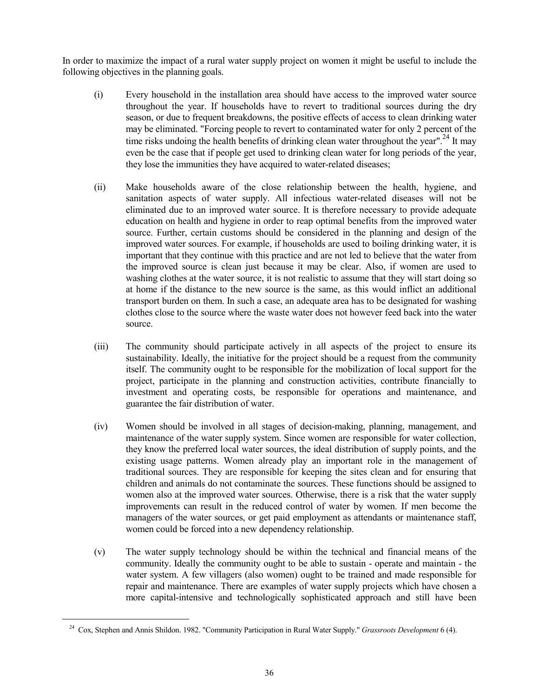In order to maximize the impact of a rural water supply project on women it might be useful to include the following objectives in the planning goals.

- (i) Every household in the installation area should have access to the improved water source throughout the year. If households have to revert to traditional sources during the dry season, or due to frequent breakdowns, the positive effects of access to clean drinking water may be eliminated. "Forcing people to revert to contaminated water for only 2 percent of the time risks undoing the health benefits of drinking clean water throughout the year".<sup>24</sup> It may even be the case that if people get used to drinking clean water for long periods of the year, they lose the immunities they have acquired to water-related diseases;
- (ii) Make households aware of the close relationship between the health, hygiene, and sanitation aspects of water supply. All infectious water-related diseases will not be eliminated due to an improved water source. It is therefore necessary to provide adequate education on health and hygiene in order to reap optimal benefits from the improved water source. Further, certain customs should be considered in the planning and design of the improved water sources. For example, if households are used to boiling drinking water, it is important that they continue with this practice and are not led to believe that the water from the improved source is clean just because it may be clear. Also, if women are used to washing clothes at the water source, it is not realistic to assume that they will start doing so at home if the distance to the new source is the same, as this would inflict an additional transport burden on them. In such a case, an adequate area has to be designated for washing clothes close to the source where the waste water does not however feed back into the water source.
- (iii) The community should participate actively in all aspects of the project to ensure its sustainability. Ideally, the initiative for the project should be a request from the community itself. The community ought to be responsible for the mobilization of local support for the project, participate in the planning and construction activities, contribute financially to investment and operating costs, be responsible for operations and maintenance, and guarantee the fair distribution of water.
- (iv) Women should be involved in all stages of decision-making, planning, management, and maintenance of the water supply system. Since women are responsible for water collection, they know the preferred local water sources, the ideal distribution of supply points, and the existing usage patterns. Women already play an important role in the management of traditional sources. They are responsible for keeping the sites clean and for ensuring that children and animals do not contaminate the sources. These functions should be assigned to women also at the improved water sources. Otherwise, there is a risk that the water supply improvements can result in the reduced control of water by women. If men become the managers of the water sources, or get paid employment as attendants or maintenance staff, women could be forced into a new dependency relationship.
- (v) The water supply technology should be within the technical and financial means of the community. Ideally the community ought to be able to sustain - operate and maintain - the water system. A few villagers (also women) ought to be trained and made responsible for repair and maintenance. There are examples of water supply projects which have chosen a more capital-intensive and technologically sophisticated approach and still have been

<sup>24</sup> Cox, Stephen and Annis Shildon. 1982. "Community Participation in Rural Water Supply." *Grassroots Development* 6 (4).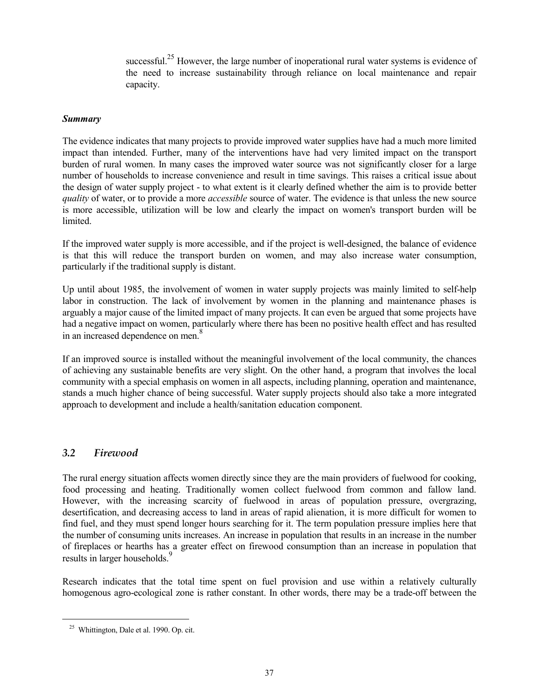successful.<sup>25</sup> However, the large number of inoperational rural water systems is evidence of the need to increase sustainability through reliance on local maintenance and repair capacity.

#### *Summary*

The evidence indicates that many projects to provide improved water supplies have had a much more limited impact than intended. Further, many of the interventions have had very limited impact on the transport burden of rural women. In many cases the improved water source was not significantly closer for a large number of households to increase convenience and result in time savings. This raises a critical issue about the design of water supply project - to what extent is it clearly defined whether the aim is to provide better *quality* of water, or to provide a more *accessible* source of water. The evidence is that unless the new source is more accessible, utilization will be low and clearly the impact on women's transport burden will be **limited** 

If the improved water supply is more accessible, and if the project is well-designed, the balance of evidence is that this will reduce the transport burden on women, and may also increase water consumption, particularly if the traditional supply is distant.

Up until about 1985, the involvement of women in water supply projects was mainly limited to self-help labor in construction. The lack of involvement by women in the planning and maintenance phases is arguably a major cause of the limited impact of many projects. It can even be argued that some projects have had a negative impact on women, particularly where there has been no positive health effect and has resulted in an increased dependence on men.<sup>8</sup>

If an improved source is installed without the meaningful involvement of the local community, the chances of achieving any sustainable benefits are very slight. On the other hand, a program that involves the local community with a special emphasis on women in all aspects, including planning, operation and maintenance, stands a much higher chance of being successful. Water supply projects should also take a more integrated approach to development and include a health/sanitation education component.

## *3.2 Firewood*

The rural energy situation affects women directly since they are the main providers of fuelwood for cooking, food processing and heating. Traditionally women collect fuelwood from common and fallow land. However, with the increasing scarcity of fuelwood in areas of population pressure, overgrazing, desertification, and decreasing access to land in areas of rapid alienation, it is more difficult for women to find fuel, and they must spend longer hours searching for it. The term population pressure implies here that the number of consuming units increases. An increase in population that results in an increase in the number of fireplaces or hearths has a greater effect on firewood consumption than an increase in population that results in larger households.<sup>9</sup>

Research indicates that the total time spent on fuel provision and use within a relatively culturally homogenous agro-ecological zone is rather constant. In other words, there may be a trade-off between the

<sup>25</sup> Whittington, Dale et al. 1990. Op. cit.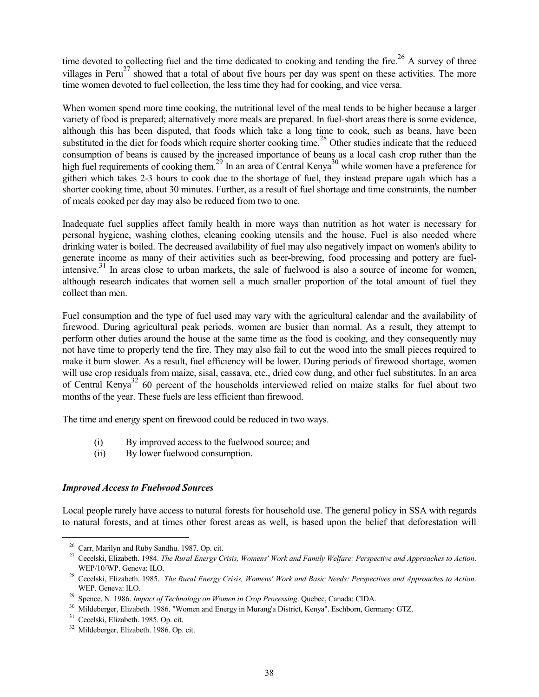time devoted to collecting fuel and the time dedicated to cooking and tending the fire.<sup>26</sup> A survey of three villages in Peru<sup>27</sup> showed that a total of about five hours per day was spent on these activities. The more time women devoted to fuel collection, the less time they had for cooking, and vice versa.

When women spend more time cooking, the nutritional level of the meal tends to be higher because a larger variety of food is prepared; alternatively more meals are prepared. In fuel-short areas there is some evidence, although this has been disputed, that foods which take a long time to cook, such as beans, have been substituted in the diet for foods which require shorter cooking time.<sup>28</sup> Other studies indicate that the reduced consumption of beans is caused by the increased importance of beans as a local cash crop rather than the high fuel requirements of cooking them.<sup>29</sup> In an area of Central Kenya<sup>30</sup> while women have a preference for githeri which takes 2-3 hours to cook due to the shortage of fuel, they instead prepare ugali which has a shorter cooking time, about 30 minutes. Further, as a result of fuel shortage and time constraints, the number of meals cooked per day may also be reduced from two to one.

Inadequate fuel supplies affect family health in more ways than nutrition as hot water is necessary for personal hygiene, washing clothes, cleaning cooking utensils and the house. Fuel is also needed where drinking water is boiled. The decreased availability of fuel may also negatively impact on women's ability to generate income as many of their activities such as beer-brewing, food processing and pottery are fuelintensive.<sup>31</sup> In areas close to urban markets, the sale of fuelwood is also a source of income for women, although research indicates that women sell a much smaller proportion of the total amount of fuel they collect than men.

Fuel consumption and the type of fuel used may vary with the agricultural calendar and the availability of firewood. During agricultural peak periods, women are busier than normal. As a result, they attempt to perform other duties around the house at the same time as the food is cooking, and they consequently may not have time to properly tend the fire. They may also fail to cut the wood into the small pieces required to make it burn slower. As a result, fuel efficiency will be lower. During periods of firewood shortage, women will use crop residuals from maize, sisal, cassava, etc., dried cow dung, and other fuel substitutes. In an area of Central Kenya<sup>32</sup> 60 percent of the households interviewed relied on maize stalks for fuel about two months of the year. These fuels are less efficient than firewood.

The time and energy spent on firewood could be reduced in two ways.

- (i) By improved access to the fuelwood source; and
- (ii) By lower fuelwood consumption.

#### *Improved Access to Fuelwood Sources*

Local people rarely have access to natural forests for household use. The general policy in SSA with regards to natural forests, and at times other forest areas as well, is based upon the belief that deforestation will

<sup>&</sup>lt;sup>26</sup> Carr, Marilyn and Ruby Sandhu. 1987. Op. cit.<br><sup>27</sup> Cecelski, Elizabeth. 1984. *The Rural Energy Crisis, Womens' Work and Family Welfare: Perspective and Approaches to Action.* 

WEP/10/WP. Geneva: ILO. *28* Cecelski, Elizabeth. 1985. *The Rural Energy Crisis, Womens' Work and Basic Needs: Perspectives and Approaches to Action*. WEP. Geneva: ILO.<br><sup>29</sup> Spence. N. 1986. *Impact of Technology on Women in Crop Processing*. Quebec, Canada: CIDA.<br><sup>30</sup> Mildeberger, Elizabeth. 1986. "Women and Energy in Murang'a District, Kenya". Eschborn, Germany: GTZ.<br><sup></sup>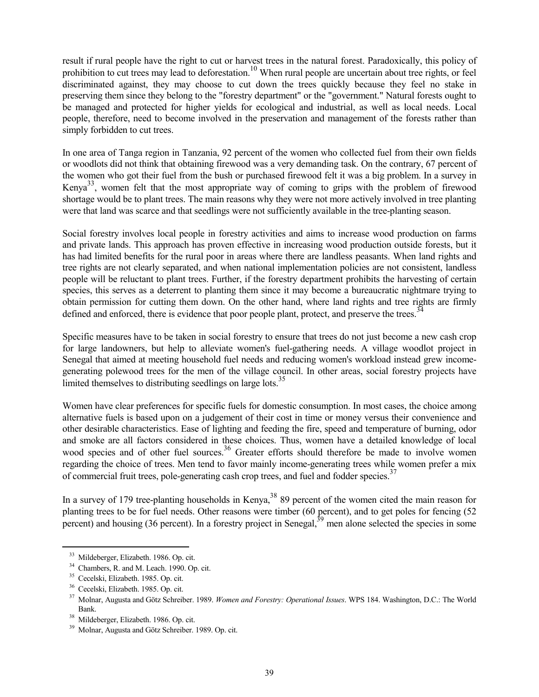result if rural people have the right to cut or harvest trees in the natural forest. Paradoxically, this policy of prohibition to cut trees may lead to deforestation.10 When rural people are uncertain about tree rights, or feel discriminated against, they may choose to cut down the trees quickly because they feel no stake in preserving them since they belong to the "forestry department" or the "government." Natural forests ought to be managed and protected for higher yields for ecological and industrial, as well as local needs. Local people, therefore, need to become involved in the preservation and management of the forests rather than simply forbidden to cut trees.

In one area of Tanga region in Tanzania, 92 percent of the women who collected fuel from their own fields or woodlots did not think that obtaining firewood was a very demanding task. On the contrary, 67 percent of the women who got their fuel from the bush or purchased firewood felt it was a big problem. In a survey in Kenya<sup>33</sup>, women felt that the most appropriate way of coming to grips with the problem of firewood shortage would be to plant trees. The main reasons why they were not more actively involved in tree planting were that land was scarce and that seedlings were not sufficiently available in the tree-planting season.

Social forestry involves local people in forestry activities and aims to increase wood production on farms and private lands. This approach has proven effective in increasing wood production outside forests, but it has had limited benefits for the rural poor in areas where there are landless peasants. When land rights and tree rights are not clearly separated, and when national implementation policies are not consistent, landless people will be reluctant to plant trees. Further, if the forestry department prohibits the harvesting of certain species, this serves as a deterrent to planting them since it may become a bureaucratic nightmare trying to obtain permission for cutting them down. On the other hand, where land rights and tree rights are firmly defined and enforced, there is evidence that poor people plant, protect, and preserve the trees.<sup>34</sup>

Specific measures have to be taken in social forestry to ensure that trees do not just become a new cash crop for large landowners, but help to alleviate women's fuel-gathering needs. A village woodlot project in Senegal that aimed at meeting household fuel needs and reducing women's workload instead grew incomegenerating polewood trees for the men of the village council. In other areas, social forestry projects have limited themselves to distributing seedlings on large lots.<sup>35</sup>

Women have clear preferences for specific fuels for domestic consumption. In most cases, the choice among alternative fuels is based upon on a judgement of their cost in time or money versus their convenience and other desirable characteristics. Ease of lighting and feeding the fire, speed and temperature of burning, odor and smoke are all factors considered in these choices. Thus, women have a detailed knowledge of local wood species and of other fuel sources.<sup>36</sup> Greater efforts should therefore be made to involve women regarding the choice of trees. Men tend to favor mainly income-generating trees while women prefer a mix of commercial fruit trees, pole-generating cash crop trees, and fuel and fodder species.<sup>3</sup>

In a survey of 179 tree-planting households in Kenya,  $38\,$  89 percent of the women cited the main reason for planting trees to be for fuel needs. Other reasons were timber (60 percent), and to get poles for fencing (52 percent) and housing (36 percent). In a forestry project in Senegal,<sup>39</sup> men alone selected the species in some

<sup>&</sup>lt;sup>33</sup> Mildeberger, Elizabeth. 1986. Op. cit.<br><sup>34</sup> Chambers, R. and M. Leach. 1990. Op. cit.<br><sup>35</sup> Cecelski, Elizabeth. 1985. Op. cit.<br><sup>35</sup> Cecelski, Elizabeth. 1985. Op. cit.<br><sup>37</sup> Molnar, Augusta and Götz Schreiber. 1989. *W* Bank. 38 Mildeberger, Elizabeth. 1986. Op. cit. 39 Molnar, Augusta and Götz Schreiber. 1989. Op. cit.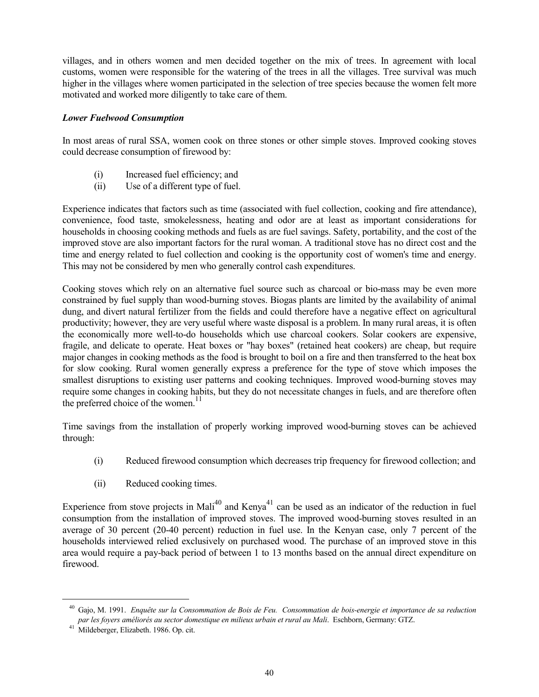villages, and in others women and men decided together on the mix of trees. In agreement with local customs, women were responsible for the watering of the trees in all the villages. Tree survival was much higher in the villages where women participated in the selection of tree species because the women felt more motivated and worked more diligently to take care of them.

#### *Lower Fuelwood Consumption*

In most areas of rural SSA, women cook on three stones or other simple stoves. Improved cooking stoves could decrease consumption of firewood by:

- (i) Increased fuel efficiency; and
- (ii) Use of a different type of fuel.

Experience indicates that factors such as time (associated with fuel collection, cooking and fire attendance), convenience, food taste, smokelessness, heating and odor are at least as important considerations for households in choosing cooking methods and fuels as are fuel savings. Safety, portability, and the cost of the improved stove are also important factors for the rural woman. A traditional stove has no direct cost and the time and energy related to fuel collection and cooking is the opportunity cost of women's time and energy. This may not be considered by men who generally control cash expenditures.

Cooking stoves which rely on an alternative fuel source such as charcoal or bio-mass may be even more constrained by fuel supply than wood-burning stoves. Biogas plants are limited by the availability of animal dung, and divert natural fertilizer from the fields and could therefore have a negative effect on agricultural productivity; however, they are very useful where waste disposal is a problem. In many rural areas, it is often the economically more well-to-do households which use charcoal cookers. Solar cookers are expensive, fragile, and delicate to operate. Heat boxes or "hay boxes" (retained heat cookers) are cheap, but require major changes in cooking methods as the food is brought to boil on a fire and then transferred to the heat box for slow cooking. Rural women generally express a preference for the type of stove which imposes the smallest disruptions to existing user patterns and cooking techniques. Improved wood-burning stoves may require some changes in cooking habits, but they do not necessitate changes in fuels, and are therefore often the preferred choice of the women.<sup>11</sup>

Time savings from the installation of properly working improved wood-burning stoves can be achieved through:

- (i) Reduced firewood consumption which decreases trip frequency for firewood collection; and
- (ii) Reduced cooking times.

Experience from stove projects in Mali<sup>40</sup> and Kenya<sup>41</sup> can be used as an indicator of the reduction in fuel consumption from the installation of improved stoves. The improved wood-burning stoves resulted in an average of 30 percent (20-40 percent) reduction in fuel use. In the Kenyan case, only 7 percent of the households interviewed relied exclusively on purchased wood. The purchase of an improved stove in this area would require a pay-back period of between 1 to 13 months based on the annual direct expenditure on firewood.

<sup>40</sup> Gajo, M. 1991. *Enquête sur la Consommation de Bois de Feu. Consommation de bois-energie et importance de sa reduction par les foyers améliorés au sector domestique en milieux urbain et rural au Mali*. Eschborn, Germany: GTZ. 41 Mildeberger, Elizabeth. 1986. Op. cit.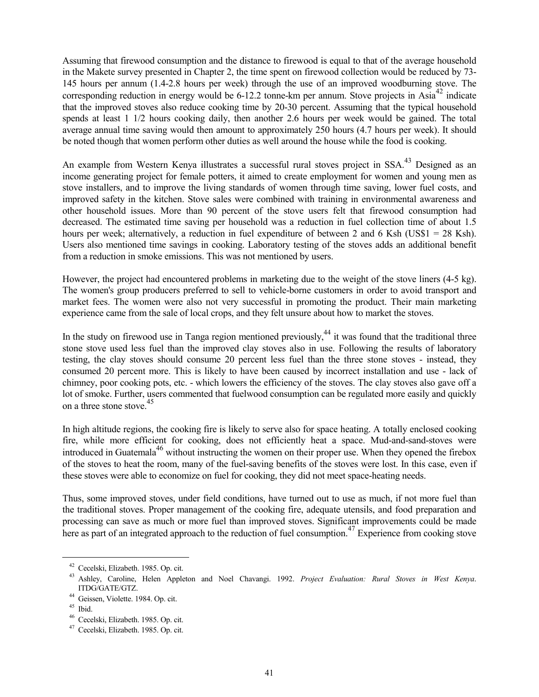Assuming that firewood consumption and the distance to firewood is equal to that of the average household in the Makete survey presented in Chapter 2, the time spent on firewood collection would be reduced by 73- 145 hours per annum (1.4-2.8 hours per week) through the use of an improved woodburning stove. The corresponding reduction in energy would be 6-12.2 tonne-km per annum. Stove projects in Asia<sup>42</sup> indicate that the improved stoves also reduce cooking time by 20-30 percent. Assuming that the typical household spends at least 1 1/2 hours cooking daily, then another 2.6 hours per week would be gained. The total average annual time saving would then amount to approximately 250 hours (4.7 hours per week). It should be noted though that women perform other duties as well around the house while the food is cooking.

An example from Western Kenya illustrates a successful rural stoves project in SSA.<sup>43</sup> Designed as an income generating project for female potters, it aimed to create employment for women and young men as stove installers, and to improve the living standards of women through time saving, lower fuel costs, and improved safety in the kitchen. Stove sales were combined with training in environmental awareness and other household issues. More than 90 percent of the stove users felt that firewood consumption had decreased. The estimated time saving per household was a reduction in fuel collection time of about 1.5 hours per week; alternatively, a reduction in fuel expenditure of between 2 and 6 Ksh (US\$1 = 28 Ksh). Users also mentioned time savings in cooking. Laboratory testing of the stoves adds an additional benefit from a reduction in smoke emissions. This was not mentioned by users.

However, the project had encountered problems in marketing due to the weight of the stove liners (4-5 kg). The women's group producers preferred to sell to vehicle-borne customers in order to avoid transport and market fees. The women were also not very successful in promoting the product. Their main marketing experience came from the sale of local crops, and they felt unsure about how to market the stoves.

In the study on firewood use in Tanga region mentioned previously, $^{44}$  it was found that the traditional three stone stove used less fuel than the improved clay stoves also in use. Following the results of laboratory testing, the clay stoves should consume 20 percent less fuel than the three stone stoves - instead, they consumed 20 percent more. This is likely to have been caused by incorrect installation and use - lack of chimney, poor cooking pots, etc. - which lowers the efficiency of the stoves. The clay stoves also gave off a lot of smoke. Further, users commented that fuelwood consumption can be regulated more easily and quickly on a three stone stove.<sup>45</sup>

In high altitude regions, the cooking fire is likely to serve also for space heating. A totally enclosed cooking fire, while more efficient for cooking, does not efficiently heat a space. Mud-and-sand-stoves were introduced in Guatemala<sup>46</sup> without instructing the women on their proper use. When they opened the firebox of the stoves to heat the room, many of the fuel-saving benefits of the stoves were lost. In this case, even if these stoves were able to economize on fuel for cooking, they did not meet space-heating needs.

Thus, some improved stoves, under field conditions, have turned out to use as much, if not more fuel than the traditional stoves. Proper management of the cooking fire, adequate utensils, and food preparation and processing can save as much or more fuel than improved stoves. Significant improvements could be made here as part of an integrated approach to the reduction of fuel consumption.<sup>47</sup> Experience from cooking stove

<sup>&</sup>lt;sup>42</sup> Cecelski, Elizabeth. 1985. Op. cit.<br><sup>43</sup> Ashley, Caroline, Helen Appleton and Noel Chavangi. 1992. *Project Evaluation: Rural Stoves in West Kenya*. ITDG/GATE/GTZ.<br><sup>44</sup> Geissen, Violette. 1984. Op. cit.<br><sup>45</sup> Ibid.<br><sup>46</sup> Cecelski, Elizabeth. 1985. Op. cit.<br><sup>47</sup> Cecelski, Elizabeth. 1985. Op. cit.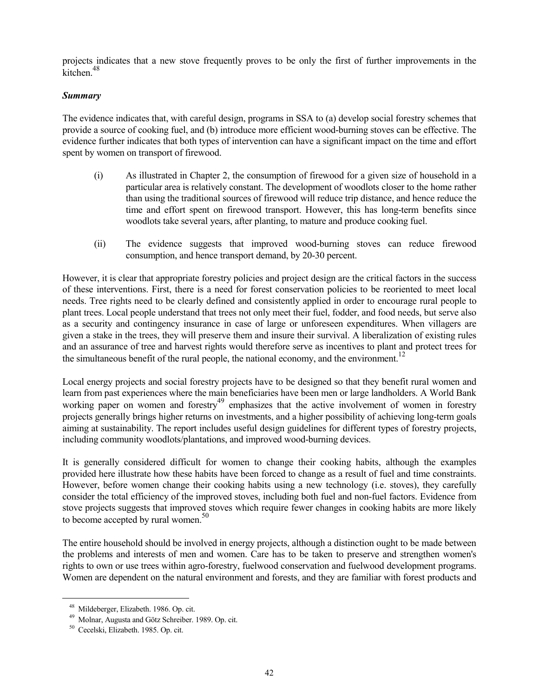projects indicates that a new stove frequently proves to be only the first of further improvements in the kitchen<sup>48</sup>

#### *Summary*

The evidence indicates that, with careful design, programs in SSA to (a) develop social forestry schemes that provide a source of cooking fuel, and (b) introduce more efficient wood-burning stoves can be effective. The evidence further indicates that both types of intervention can have a significant impact on the time and effort spent by women on transport of firewood.

- (i) As illustrated in Chapter 2, the consumption of firewood for a given size of household in a particular area is relatively constant. The development of woodlots closer to the home rather than using the traditional sources of firewood will reduce trip distance, and hence reduce the time and effort spent on firewood transport. However, this has long-term benefits since woodlots take several years, after planting, to mature and produce cooking fuel.
- (ii) The evidence suggests that improved wood-burning stoves can reduce firewood consumption, and hence transport demand, by 20-30 percent.

However, it is clear that appropriate forestry policies and project design are the critical factors in the success of these interventions. First, there is a need for forest conservation policies to be reoriented to meet local needs. Tree rights need to be clearly defined and consistently applied in order to encourage rural people to plant trees. Local people understand that trees not only meet their fuel, fodder, and food needs, but serve also as a security and contingency insurance in case of large or unforeseen expenditures. When villagers are given a stake in the trees, they will preserve them and insure their survival. A liberalization of existing rules and an assurance of tree and harvest rights would therefore serve as incentives to plant and protect trees for the simultaneous benefit of the rural people, the national economy, and the environment.<sup>12</sup>

Local energy projects and social forestry projects have to be designed so that they benefit rural women and learn from past experiences where the main beneficiaries have been men or large landholders. A World Bank working paper on women and forestry<sup>49</sup> emphasizes that the active involvement of women in forestry projects generally brings higher returns on investments, and a higher possibility of achieving long-term goals aiming at sustainability. The report includes useful design guidelines for different types of forestry projects, including community woodlots/plantations, and improved wood-burning devices.

It is generally considered difficult for women to change their cooking habits, although the examples provided here illustrate how these habits have been forced to change as a result of fuel and time constraints. However, before women change their cooking habits using a new technology (i.e. stoves), they carefully consider the total efficiency of the improved stoves, including both fuel and non-fuel factors. Evidence from stove projects suggests that improved stoves which require fewer changes in cooking habits are more likely to become accepted by rural women.<sup>50</sup>

The entire household should be involved in energy projects, although a distinction ought to be made between the problems and interests of men and women. Care has to be taken to preserve and strengthen women's rights to own or use trees within agro-forestry, fuelwood conservation and fuelwood development programs. Women are dependent on the natural environment and forests, and they are familiar with forest products and

<sup>&</sup>lt;sup>48</sup> Mildeberger, Elizabeth. 1986. Op. cit.<br><sup>49</sup> Molnar, Augusta and Götz Schreiber. 1989. Op. cit.<br><sup>50</sup> Cecelski, Elizabeth. 1985. Op. cit.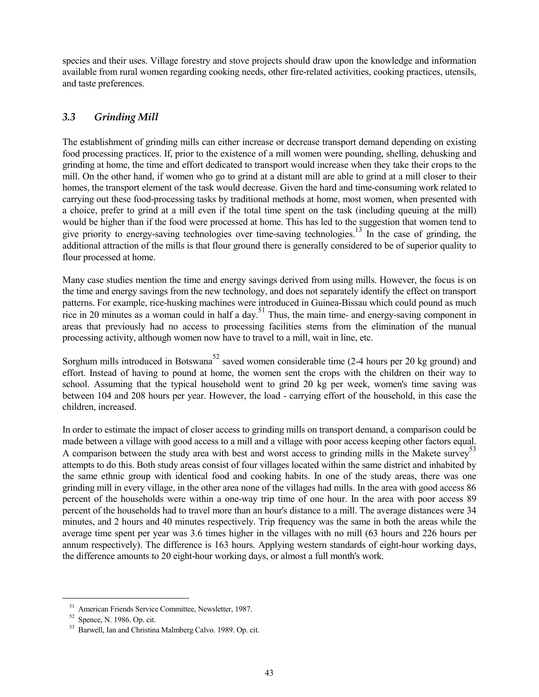species and their uses. Village forestry and stove projects should draw upon the knowledge and information available from rural women regarding cooking needs, other fire-related activities, cooking practices, utensils, and taste preferences.

# *3.3 Grinding Mill*

The establishment of grinding mills can either increase or decrease transport demand depending on existing food processing practices. If, prior to the existence of a mill women were pounding, shelling, dehusking and grinding at home, the time and effort dedicated to transport would increase when they take their crops to the mill. On the other hand, if women who go to grind at a distant mill are able to grind at a mill closer to their homes, the transport element of the task would decrease. Given the hard and time-consuming work related to carrying out these food-processing tasks by traditional methods at home, most women, when presented with a choice, prefer to grind at a mill even if the total time spent on the task (including queuing at the mill) would be higher than if the food were processed at home. This has led to the suggestion that women tend to give priority to energy-saving technologies over time-saving technologies.<sup>13</sup> In the case of grinding, the additional attraction of the mills is that flour ground there is generally considered to be of superior quality to flour processed at home.

Many case studies mention the time and energy savings derived from using mills. However, the focus is on the time and energy savings from the new technology, and does not separately identify the effect on transport patterns. For example, rice-husking machines were introduced in Guinea-Bissau which could pound as much rice in 20 minutes as a woman could in half a day.<sup>51</sup> Thus, the main time- and energy-saving component in areas that previously had no access to processing facilities stems from the elimination of the manual processing activity, although women now have to travel to a mill, wait in line, etc.

Sorghum mills introduced in Botswana<sup>52</sup> saved women considerable time (2-4 hours per 20 kg ground) and effort. Instead of having to pound at home, the women sent the crops with the children on their way to school. Assuming that the typical household went to grind 20 kg per week, women's time saving was between 104 and 208 hours per year. However, the load - carrying effort of the household, in this case the children, increased.

In order to estimate the impact of closer access to grinding mills on transport demand, a comparison could be made between a village with good access to a mill and a village with poor access keeping other factors equal. A comparison between the study area with best and worst access to grinding mills in the Makete survey<sup>53</sup> attempts to do this. Both study areas consist of four villages located within the same district and inhabited by the same ethnic group with identical food and cooking habits. In one of the study areas, there was one grinding mill in every village, in the other area none of the villages had mills. In the area with good access 86 percent of the households were within a one-way trip time of one hour. In the area with poor access 89 percent of the households had to travel more than an hour's distance to a mill. The average distances were 34 minutes, and 2 hours and 40 minutes respectively. Trip frequency was the same in both the areas while the average time spent per year was 3.6 times higher in the villages with no mill (63 hours and 226 hours per annum respectively). The difference is 163 hours. Applying western standards of eight-hour working days, the difference amounts to 20 eight-hour working days, or almost a full month's work.

<sup>&</sup>lt;sup>51</sup> American Friends Service Committee, Newsletter, 1987.<br><sup>52</sup> Spence, N. 1986. Op. cit.  $53$  Barwell, Ian and Christina Malmberg Calvo. 1989. Op. cit.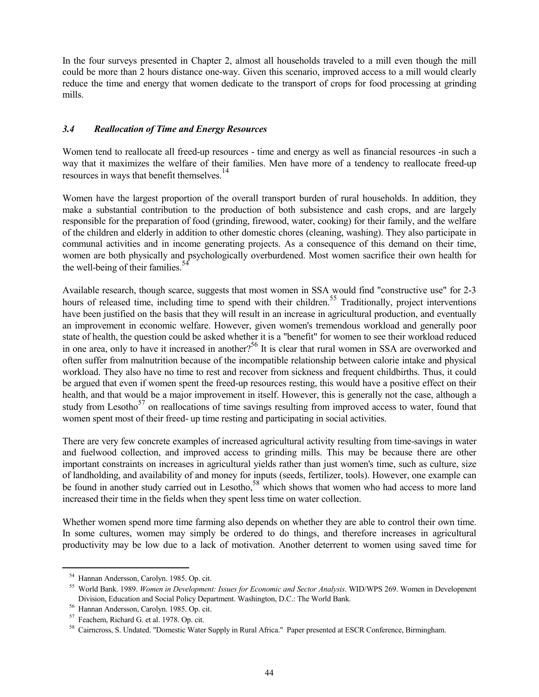In the four surveys presented in Chapter 2, almost all households traveled to a mill even though the mill could be more than 2 hours distance one-way. Given this scenario, improved access to a mill would clearly reduce the time and energy that women dedicate to the transport of crops for food processing at grinding mills.

#### *3.4 Reallocation of Time and Energy Resources*

Women tend to reallocate all freed-up resources - time and energy as well as financial resources -in such a way that it maximizes the welfare of their families. Men have more of a tendency to reallocate freed-up resources in ways that benefit themselves.14

Women have the largest proportion of the overall transport burden of rural households. In addition, they make a substantial contribution to the production of both subsistence and cash crops, and are largely responsible for the preparation of food (grinding, firewood, water, cooking) for their family, and the welfare of the children and elderly in addition to other domestic chores (cleaning, washing). They also participate in communal activities and in income generating projects. As a consequence of this demand on their time, women are both physically and psychologically overburdened. Most women sacrifice their own health for the well-being of their families.<sup>5</sup>

Available research, though scarce, suggests that most women in SSA would find "constructive use" for 2-3 hours of released time, including time to spend with their children.<sup>55</sup> Traditionally, project interventions have been justified on the basis that they will result in an increase in agricultural production, and eventually an improvement in economic welfare. However, given women's tremendous workload and generally poor state of health, the question could be asked whether it is a "benefit" for women to see their workload reduced in one area, only to have it increased in another?<sup>56</sup> It is clear that rural women in SSA are overworked and often suffer from malnutrition because of the incompatible relationship between calorie intake and physical workload. They also have no time to rest and recover from sickness and frequent childbirths. Thus, it could be argued that even if women spent the freed-up resources resting, this would have a positive effect on their health, and that would be a major improvement in itself. However, this is generally not the case, although a study from Lesotho<sup>57</sup> on reallocations of time savings resulting from improved access to water, found that women spent most of their freed- up time resting and participating in social activities.

There are very few concrete examples of increased agricultural activity resulting from time-savings in water and fuelwood collection, and improved access to grinding mills. This may be because there are other important constraints on increases in agricultural yields rather than just women's time, such as culture, size of landholding, and availability of and money for inputs (seeds, fertilizer, tools). However, one example can be found in another study carried out in Lesotho,<sup>58</sup> which shows that women who had access to more land increased their time in the fields when they spent less time on water collection.

Whether women spend more time farming also depends on whether they are able to control their own time. In some cultures, women may simply be ordered to do things, and therefore increases in agricultural productivity may be low due to a lack of motivation. Another deterrent to women using saved time for

<sup>&</sup>lt;sup>54</sup> Hannan Andersson, Carolyn. 1985. Op. cit.<br><sup>55</sup> World Bank. 1989. *Women in Development: Issues for Economic and Sector Analysis*. WID/WPS 269. Women in Development<br>Division, Education and Social Policy Department. Was

<sup>&</sup>lt;sup>56</sup> Hannan Andersson, Carolyn. 1985. Op. cit.<br><sup>57</sup> Feachem, Richard G. et al. 1978. Op. cit.<br><sup>58</sup> Cairncross, S. Undated. "Domestic Water Supply in Rural Africa." Paper presented at ESCR Conference, Birmingham.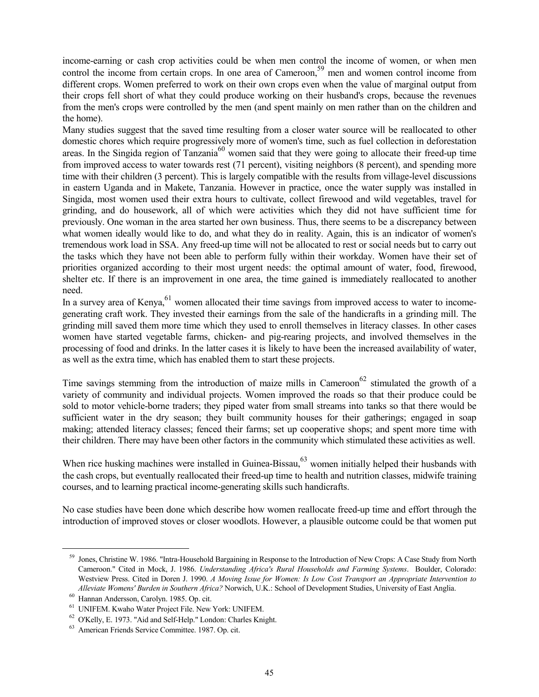income-earning or cash crop activities could be when men control the income of women, or when men control the income from certain crops. In one area of Cameroon,<sup>59</sup> men and women control income from different crops. Women preferred to work on their own crops even when the value of marginal output from their crops fell short of what they could produce working on their husband's crops, because the revenues from the men's crops were controlled by the men (and spent mainly on men rather than on the children and the home).

Many studies suggest that the saved time resulting from a closer water source will be reallocated to other domestic chores which require progressively more of women's time, such as fuel collection in deforestation areas. In the Singida region of Tanzania<sup>60</sup> women said that they were going to allocate their freed-up time from improved access to water towards rest (71 percent), visiting neighbors (8 percent), and spending more time with their children (3 percent). This is largely compatible with the results from village-level discussions in eastern Uganda and in Makete, Tanzania. However in practice, once the water supply was installed in Singida, most women used their extra hours to cultivate, collect firewood and wild vegetables, travel for grinding, and do housework, all of which were activities which they did not have sufficient time for previously. One woman in the area started her own business. Thus, there seems to be a discrepancy between what women ideally would like to do, and what they do in reality. Again, this is an indicator of women's tremendous work load in SSA. Any freed-up time will not be allocated to rest or social needs but to carry out the tasks which they have not been able to perform fully within their workday. Women have their set of priorities organized according to their most urgent needs: the optimal amount of water, food, firewood, shelter etc. If there is an improvement in one area, the time gained is immediately reallocated to another need.

In a survey area of Kenya, $61$  women allocated their time savings from improved access to water to incomegenerating craft work. They invested their earnings from the sale of the handicrafts in a grinding mill. The grinding mill saved them more time which they used to enroll themselves in literacy classes. In other cases women have started vegetable farms, chicken- and pig-rearing projects, and involved themselves in the processing of food and drinks. In the latter cases it is likely to have been the increased availability of water, as well as the extra time, which has enabled them to start these projects.

Time savings stemming from the introduction of maize mills in Cameroon<sup>62</sup> stimulated the growth of a variety of community and individual projects. Women improved the roads so that their produce could be sold to motor vehicle-borne traders; they piped water from small streams into tanks so that there would be sufficient water in the dry season; they built community houses for their gatherings; engaged in soap making; attended literacy classes; fenced their farms; set up cooperative shops; and spent more time with their children. There may have been other factors in the community which stimulated these activities as well.

When rice husking machines were installed in Guinea-Bissau, $63$  women initially helped their husbands with the cash crops, but eventually reallocated their freed-up time to health and nutrition classes, midwife training courses, and to learning practical income-generating skills such handicrafts.

No case studies have been done which describe how women reallocate freed-up time and effort through the introduction of improved stoves or closer woodlots. However, a plausible outcome could be that women put

<sup>59</sup> Jones, Christine W. 1986. "Intra-Household Bargaining in Response to the Introduction of New Crops: A Case Study from North Cameroon." Cited in Mock, J. 1986. *Understanding Africa's Rural Households and Farming Systems*. Boulder, Colorado: Westview Press. Cited in Doren J. 1990. *A Moving Issue for Women: Is Low Cost Transport an Appropriate Intervention to* Alleviate Womens' Burden in Southern Africa? Norwich, U.K.: School of Development Studies, University of East Anglia.<br>
<sup>60</sup> Hannan Andersson, Carolyn. 1985. Op. cit.<br>
<sup>61</sup> UNIFEM. Kwaho Water Project File. New York: UNIFEM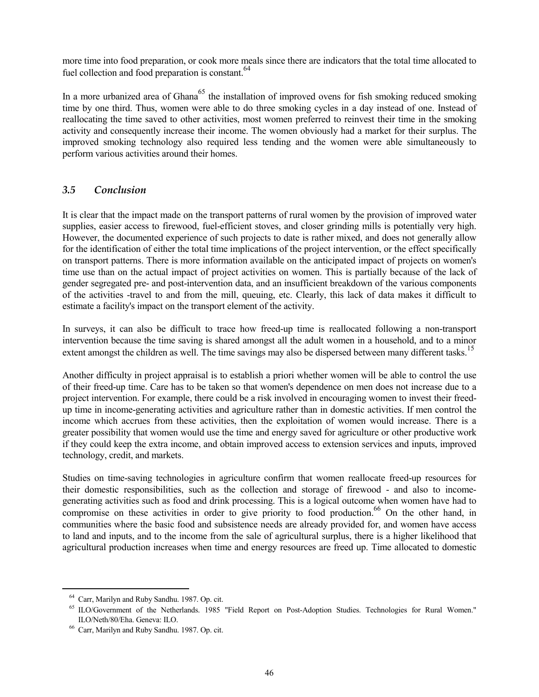more time into food preparation, or cook more meals since there are indicators that the total time allocated to fuel collection and food preparation is constant. $64$ 

In a more urbanized area of Ghana<sup>65</sup> the installation of improved ovens for fish smoking reduced smoking time by one third. Thus, women were able to do three smoking cycles in a day instead of one. Instead of reallocating the time saved to other activities, most women preferred to reinvest their time in the smoking activity and consequently increase their income. The women obviously had a market for their surplus. The improved smoking technology also required less tending and the women were able simultaneously to perform various activities around their homes.

# *3.5 Conclusion*

It is clear that the impact made on the transport patterns of rural women by the provision of improved water supplies, easier access to firewood, fuel-efficient stoves, and closer grinding mills is potentially very high. However, the documented experience of such projects to date is rather mixed, and does not generally allow for the identification of either the total time implications of the project intervention, or the effect specifically on transport patterns. There is more information available on the anticipated impact of projects on women's time use than on the actual impact of project activities on women. This is partially because of the lack of gender segregated pre- and post-intervention data, and an insufficient breakdown of the various components of the activities -travel to and from the mill, queuing, etc. Clearly, this lack of data makes it difficult to estimate a facility's impact on the transport element of the activity.

In surveys, it can also be difficult to trace how freed-up time is reallocated following a non-transport intervention because the time saving is shared amongst all the adult women in a household, and to a minor extent amongst the children as well. The time savings may also be dispersed between many different tasks.<sup>15</sup>

Another difficulty in project appraisal is to establish a priori whether women will be able to control the use of their freed-up time. Care has to be taken so that women's dependence on men does not increase due to a project intervention. For example, there could be a risk involved in encouraging women to invest their freedup time in income-generating activities and agriculture rather than in domestic activities. If men control the income which accrues from these activities, then the exploitation of women would increase. There is a greater possibility that women would use the time and energy saved for agriculture or other productive work if they could keep the extra income, and obtain improved access to extension services and inputs, improved technology, credit, and markets.

Studies on time-saving technologies in agriculture confirm that women reallocate freed-up resources for their domestic responsibilities, such as the collection and storage of firewood - and also to incomegenerating activities such as food and drink processing. This is a logical outcome when women have had to compromise on these activities in order to give priority to food production.<sup>66</sup> On the other hand, in communities where the basic food and subsistence needs are already provided for, and women have access to land and inputs, and to the income from the sale of agricultural surplus, there is a higher likelihood that agricultural production increases when time and energy resources are freed up. Time allocated to domestic

<sup>&</sup>lt;sup>64</sup> Carr, Marilyn and Ruby Sandhu. 1987. Op. cit.<br><sup>65</sup> ILO/Government of the Netherlands. 1985 "Field Report on Post-Adoption Studies. Technologies for Rural Women."

ILO/Neth/80/Eha. Geneva: ILO. 66 Carr, Marilyn and Ruby Sandhu. 1987. Op. cit.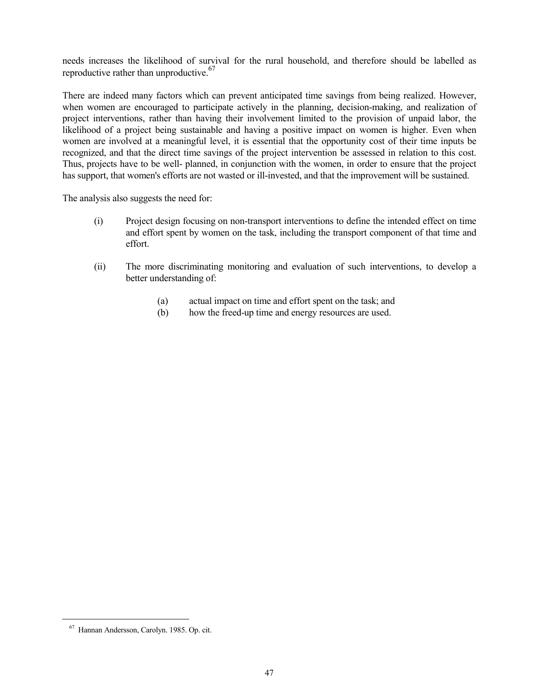needs increases the likelihood of survival for the rural household, and therefore should be labelled as reproductive rather than unproductive.  $67$ 

There are indeed many factors which can prevent anticipated time savings from being realized. However, when women are encouraged to participate actively in the planning, decision-making, and realization of project interventions, rather than having their involvement limited to the provision of unpaid labor, the likelihood of a project being sustainable and having a positive impact on women is higher. Even when women are involved at a meaningful level, it is essential that the opportunity cost of their time inputs be recognized, and that the direct time savings of the project intervention be assessed in relation to this cost. Thus, projects have to be well- planned, in conjunction with the women, in order to ensure that the project has support, that women's efforts are not wasted or ill-invested, and that the improvement will be sustained.

The analysis also suggests the need for:

- (i) Project design focusing on non-transport interventions to define the intended effect on time and effort spent by women on the task, including the transport component of that time and effort.
- (ii) The more discriminating monitoring and evaluation of such interventions, to develop a better understanding of:
	- (a) actual impact on time and effort spent on the task; and
	- (b) how the freed-up time and energy resources are used.

<sup>67</sup> Hannan Andersson, Carolyn. 1985. Op. cit.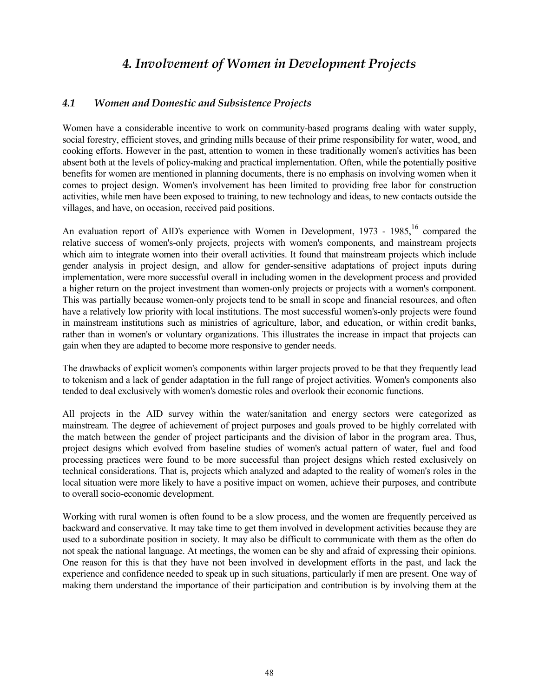# *4. Involvement of Women in Development Projects*

## *4.1 Women and Domestic and Subsistence Projects*

Women have a considerable incentive to work on community-based programs dealing with water supply, social forestry, efficient stoves, and grinding mills because of their prime responsibility for water, wood, and cooking efforts. However in the past, attention to women in these traditionally women's activities has been absent both at the levels of policy-making and practical implementation. Often, while the potentially positive benefits for women are mentioned in planning documents, there is no emphasis on involving women when it comes to project design. Women's involvement has been limited to providing free labor for construction activities, while men have been exposed to training, to new technology and ideas, to new contacts outside the villages, and have, on occasion, received paid positions.

An evaluation report of AID's experience with Women in Development, 1973 - 1985,<sup>16</sup> compared the relative success of women's-only projects, projects with women's components, and mainstream projects which aim to integrate women into their overall activities. It found that mainstream projects which include gender analysis in project design, and allow for gender-sensitive adaptations of project inputs during implementation, were more successful overall in including women in the development process and provided a higher return on the project investment than women-only projects or projects with a women's component. This was partially because women-only projects tend to be small in scope and financial resources, and often have a relatively low priority with local institutions. The most successful women's-only projects were found in mainstream institutions such as ministries of agriculture, labor, and education, or within credit banks, rather than in women's or voluntary organizations. This illustrates the increase in impact that projects can gain when they are adapted to become more responsive to gender needs.

The drawbacks of explicit women's components within larger projects proved to be that they frequently lead to tokenism and a lack of gender adaptation in the full range of project activities. Women's components also tended to deal exclusively with women's domestic roles and overlook their economic functions.

All projects in the AID survey within the water/sanitation and energy sectors were categorized as mainstream. The degree of achievement of project purposes and goals proved to be highly correlated with the match between the gender of project participants and the division of labor in the program area. Thus, project designs which evolved from baseline studies of women's actual pattern of water, fuel and food processing practices were found to be more successful than project designs which rested exclusively on technical considerations. That is, projects which analyzed and adapted to the reality of women's roles in the local situation were more likely to have a positive impact on women, achieve their purposes, and contribute to overall socio-economic development.

Working with rural women is often found to be a slow process, and the women are frequently perceived as backward and conservative. It may take time to get them involved in development activities because they are used to a subordinate position in society. It may also be difficult to communicate with them as the often do not speak the national language. At meetings, the women can be shy and afraid of expressing their opinions. One reason for this is that they have not been involved in development efforts in the past, and lack the experience and confidence needed to speak up in such situations, particularly if men are present. One way of making them understand the importance of their participation and contribution is by involving them at the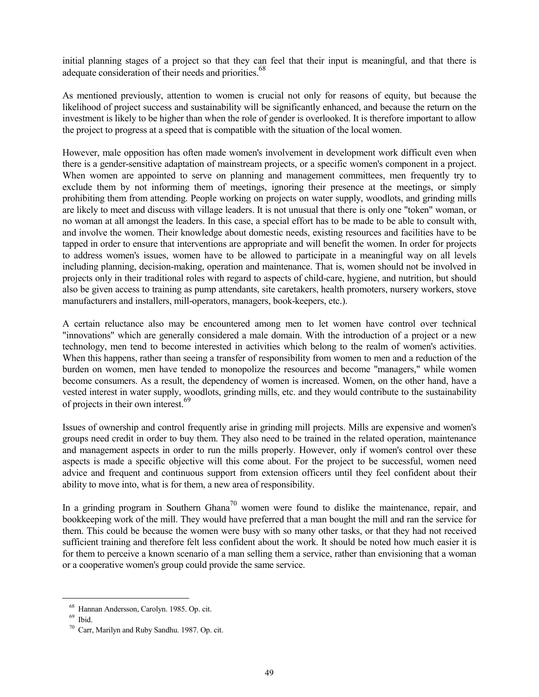initial planning stages of a project so that they can feel that their input is meaningful, and that there is adequate consideration of their needs and priorities.<sup>68</sup>

As mentioned previously, attention to women is crucial not only for reasons of equity, but because the likelihood of project success and sustainability will be significantly enhanced, and because the return on the investment is likely to be higher than when the role of gender is overlooked. It is therefore important to allow the project to progress at a speed that is compatible with the situation of the local women.

However, male opposition has often made women's involvement in development work difficult even when there is a gender-sensitive adaptation of mainstream projects, or a specific women's component in a project. When women are appointed to serve on planning and management committees, men frequently try to exclude them by not informing them of meetings, ignoring their presence at the meetings, or simply prohibiting them from attending. People working on projects on water supply, woodlots, and grinding mills are likely to meet and discuss with village leaders. It is not unusual that there is only one "token" woman, or no woman at all amongst the leaders. In this case, a special effort has to be made to be able to consult with, and involve the women. Their knowledge about domestic needs, existing resources and facilities have to be tapped in order to ensure that interventions are appropriate and will benefit the women. In order for projects to address women's issues, women have to be allowed to participate in a meaningful way on all levels including planning, decision-making, operation and maintenance. That is, women should not be involved in projects only in their traditional roles with regard to aspects of child-care, hygiene, and nutrition, but should also be given access to training as pump attendants, site caretakers, health promoters, nursery workers, stove manufacturers and installers, mill-operators, managers, book-keepers, etc.).

A certain reluctance also may be encountered among men to let women have control over technical "innovations" which are generally considered a male domain. With the introduction of a project or a new technology, men tend to become interested in activities which belong to the realm of women's activities. When this happens, rather than seeing a transfer of responsibility from women to men and a reduction of the burden on women, men have tended to monopolize the resources and become "managers," while women become consumers. As a result, the dependency of women is increased. Women, on the other hand, have a vested interest in water supply, woodlots, grinding mills, etc. and they would contribute to the sustainability of projects in their own interest.<sup>69</sup>

Issues of ownership and control frequently arise in grinding mill projects. Mills are expensive and women's groups need credit in order to buy them. They also need to be trained in the related operation, maintenance and management aspects in order to run the mills properly. However, only if women's control over these aspects is made a specific objective will this come about. For the project to be successful, women need advice and frequent and continuous support from extension officers until they feel confident about their ability to move into, what is for them, a new area of responsibility.

In a grinding program in Southern Ghana<sup>70</sup> women were found to dislike the maintenance, repair, and bookkeeping work of the mill. They would have preferred that a man bought the mill and ran the service for them. This could be because the women were busy with so many other tasks, or that they had not received sufficient training and therefore felt less confident about the work. It should be noted how much easier it is for them to perceive a known scenario of a man selling them a service, rather than envisioning that a woman or a cooperative women's group could provide the same service.

<sup>&</sup>lt;sup>68</sup> Hannan Andersson, Carolyn. 1985. Op. cit.<br><sup>69</sup> Ibid. <sup>70</sup> Carr, Marilyn and Ruby Sandhu. 1987. Op. cit.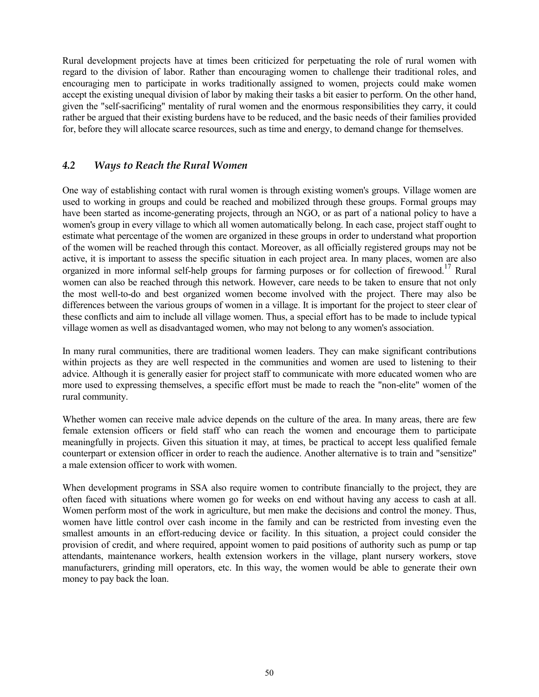Rural development projects have at times been criticized for perpetuating the role of rural women with regard to the division of labor. Rather than encouraging women to challenge their traditional roles, and encouraging men to participate in works traditionally assigned to women, projects could make women accept the existing unequal division of labor by making their tasks a bit easier to perform. On the other hand, given the "self-sacrificing" mentality of rural women and the enormous responsibilities they carry, it could rather be argued that their existing burdens have to be reduced, and the basic needs of their families provided for, before they will allocate scarce resources, such as time and energy, to demand change for themselves.

# *4.2 Ways to Reach the Rural Women*

One way of establishing contact with rural women is through existing women's groups. Village women are used to working in groups and could be reached and mobilized through these groups. Formal groups may have been started as income-generating projects, through an NGO, or as part of a national policy to have a women's group in every village to which all women automatically belong. In each case, project staff ought to estimate what percentage of the women are organized in these groups in order to understand what proportion of the women will be reached through this contact. Moreover, as all officially registered groups may not be active, it is important to assess the specific situation in each project area. In many places, women are also organized in more informal self-help groups for farming purposes or for collection of firewood.<sup>17</sup> Rural women can also be reached through this network. However, care needs to be taken to ensure that not only the most well-to-do and best organized women become involved with the project. There may also be differences between the various groups of women in a village. It is important for the project to steer clear of these conflicts and aim to include all village women. Thus, a special effort has to be made to include typical village women as well as disadvantaged women, who may not belong to any women's association.

In many rural communities, there are traditional women leaders. They can make significant contributions within projects as they are well respected in the communities and women are used to listening to their advice. Although it is generally easier for project staff to communicate with more educated women who are more used to expressing themselves, a specific effort must be made to reach the "non-elite" women of the rural community.

Whether women can receive male advice depends on the culture of the area. In many areas, there are few female extension officers or field staff who can reach the women and encourage them to participate meaningfully in projects. Given this situation it may, at times, be practical to accept less qualified female counterpart or extension officer in order to reach the audience. Another alternative is to train and "sensitize" a male extension officer to work with women.

When development programs in SSA also require women to contribute financially to the project, they are often faced with situations where women go for weeks on end without having any access to cash at all. Women perform most of the work in agriculture, but men make the decisions and control the money. Thus, women have little control over cash income in the family and can be restricted from investing even the smallest amounts in an effort-reducing device or facility. In this situation, a project could consider the provision of credit, and where required, appoint women to paid positions of authority such as pump or tap attendants, maintenance workers, health extension workers in the village, plant nursery workers, stove manufacturers, grinding mill operators, etc. In this way, the women would be able to generate their own money to pay back the loan.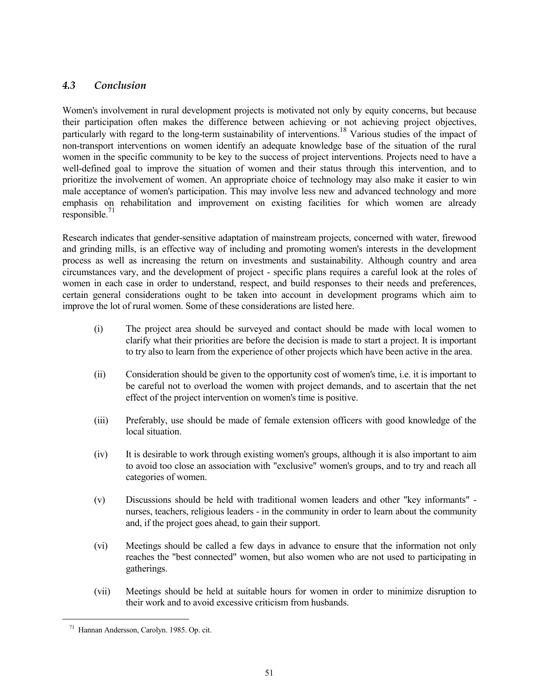# *4.3 Conclusion*

Women's involvement in rural development projects is motivated not only by equity concerns, but because their participation often makes the difference between achieving or not achieving project objectives, particularly with regard to the long-term sustainability of interventions.<sup>18</sup> Various studies of the impact of non-transport interventions on women identify an adequate knowledge base of the situation of the rural women in the specific community to be key to the success of project interventions. Projects need to have a well-defined goal to improve the situation of women and their status through this intervention, and to prioritize the involvement of women. An appropriate choice of technology may also make it easier to win male acceptance of women's participation. This may involve less new and advanced technology and more emphasis on rehabilitation and improvement on existing facilities for which women are already  $responsible.<sup>71</sup>$ 

Research indicates that gender-sensitive adaptation of mainstream projects, concerned with water, firewood and grinding mills, is an effective way of including and promoting women's interests in the development process as well as increasing the return on investments and sustainability. Although country and area circumstances vary, and the development of project - specific plans requires a careful look at the roles of women in each case in order to understand, respect, and build responses to their needs and preferences, certain general considerations ought to be taken into account in development programs which aim to improve the lot of rural women. Some of these considerations are listed here.

- (i) The project area should be surveyed and contact should be made with local women to clarify what their priorities are before the decision is made to start a project. It is important to try also to learn from the experience of other projects which have been active in the area.
- (ii) Consideration should be given to the opportunity cost of women's time, i.e. it is important to be careful not to overload the women with project demands, and to ascertain that the net effect of the project intervention on women's time is positive.
- (iii) Preferably, use should be made of female extension officers with good knowledge of the local situation.
- (iv) It is desirable to work through existing women's groups, although it is also important to aim to avoid too close an association with "exclusive" women's groups, and to try and reach all categories of women.
- (v) Discussions should be held with traditional women leaders and other "key informants" nurses, teachers, religious leaders - in the community in order to learn about the community and, if the project goes ahead, to gain their support.
- (vi) Meetings should be called a few days in advance to ensure that the information not only reaches the "best connected" women, but also women who are not used to participating in gatherings.
- (vii) Meetings should be held at suitable hours for women in order to minimize disruption to their work and to avoid excessive criticism from husbands.

<sup>71</sup> Hannan Andersson, Carolyn. 1985. Op. cit.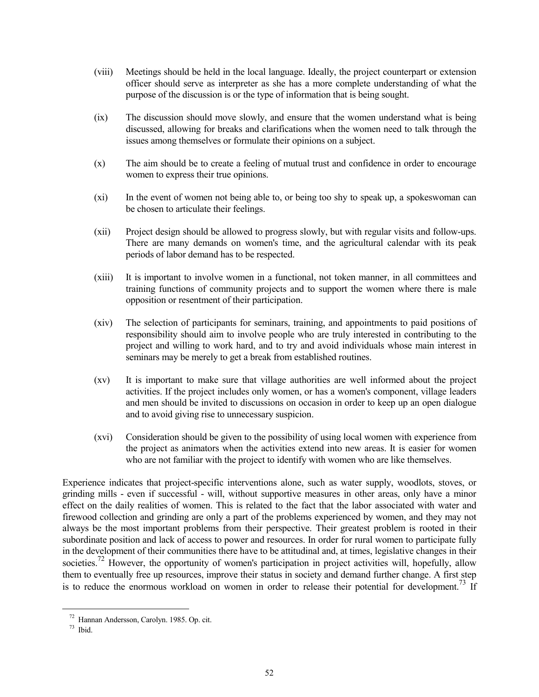- (viii) Meetings should be held in the local language. Ideally, the project counterpart or extension officer should serve as interpreter as she has a more complete understanding of what the purpose of the discussion is or the type of information that is being sought.
- (ix) The discussion should move slowly, and ensure that the women understand what is being discussed, allowing for breaks and clarifications when the women need to talk through the issues among themselves or formulate their opinions on a subject.
- (x) The aim should be to create a feeling of mutual trust and confidence in order to encourage women to express their true opinions.
- (xi) In the event of women not being able to, or being too shy to speak up, a spokeswoman can be chosen to articulate their feelings.
- (xii) Project design should be allowed to progress slowly, but with regular visits and follow-ups. There are many demands on women's time, and the agricultural calendar with its peak periods of labor demand has to be respected.
- (xiii) It is important to involve women in a functional, not token manner, in all committees and training functions of community projects and to support the women where there is male opposition or resentment of their participation.
- (xiv) The selection of participants for seminars, training, and appointments to paid positions of responsibility should aim to involve people who are truly interested in contributing to the project and willing to work hard, and to try and avoid individuals whose main interest in seminars may be merely to get a break from established routines.
- (xv) It is important to make sure that village authorities are well informed about the project activities. If the project includes only women, or has a women's component, village leaders and men should be invited to discussions on occasion in order to keep up an open dialogue and to avoid giving rise to unnecessary suspicion.
- (xvi) Consideration should be given to the possibility of using local women with experience from the project as animators when the activities extend into new areas. It is easier for women who are not familiar with the project to identify with women who are like themselves.

Experience indicates that project-specific interventions alone, such as water supply, woodlots, stoves, or grinding mills - even if successful - will, without supportive measures in other areas, only have a minor effect on the daily realities of women. This is related to the fact that the labor associated with water and firewood collection and grinding are only a part of the problems experienced by women, and they may not always be the most important problems from their perspective. Their greatest problem is rooted in their subordinate position and lack of access to power and resources. In order for rural women to participate fully in the development of their communities there have to be attitudinal and, at times, legislative changes in their societies.<sup>72</sup> However, the opportunity of women's participation in project activities will, hopefully, allow them to eventually free up resources, improve their status in society and demand further change. A first step is to reduce the enormous workload on women in order to release their potential for development.<sup>73</sup> If

<sup>72</sup> Hannan Andersson, Carolyn. 1985. Op. cit. 73 Ibid.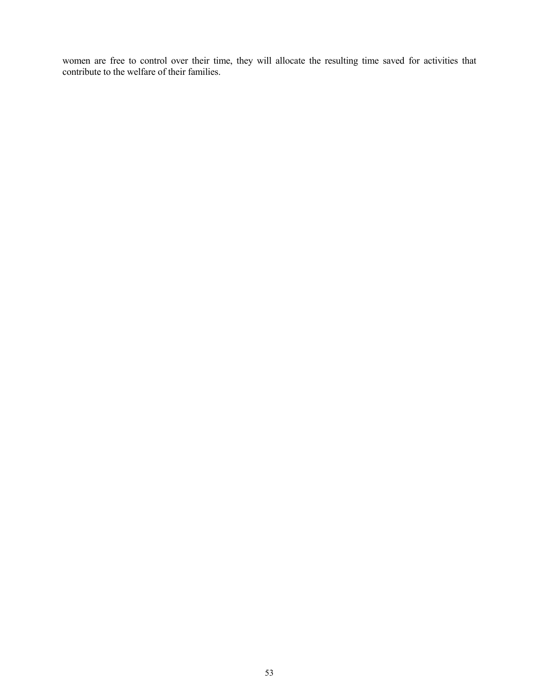women are free to control over their time, they will allocate the resulting time saved for activities that contribute to the welfare of their families.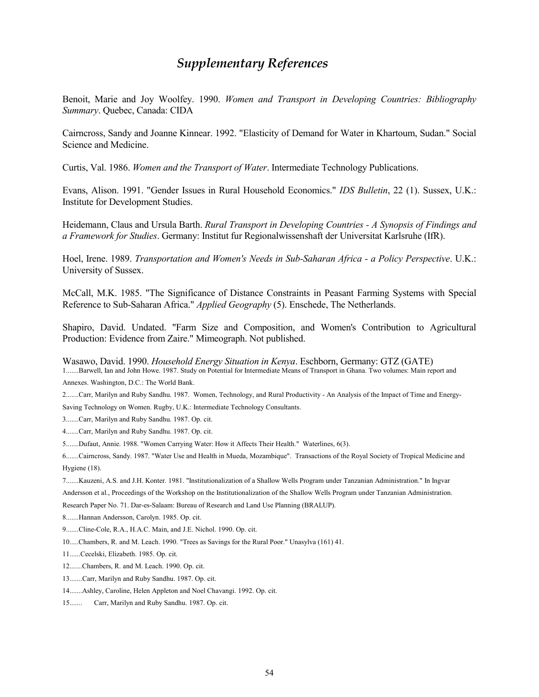# *Supplementary References*

Benoit, Marie and Joy Woolfey. 1990. *Women and Transport in Developing Countries: Bibliography Summary*. Quebec, Canada: CIDA

Cairncross, Sandy and Joanne Kinnear. 1992. "Elasticity of Demand for Water in Khartoum, Sudan." Social Science and Medicine.

Curtis, Val. 1986. *Women and the Transport of Water*. Intermediate Technology Publications.

Evans, Alison. 1991. "Gender Issues in Rural Household Economics." *IDS Bulletin*, 22 (1). Sussex, U.K.: Institute for Development Studies.

Heidemann, Claus and Ursula Barth. *Rural Transport in Developing Countries - A Synopsis of Findings and a Framework for Studies*. Germany: Institut fur Regionalwissenshaft der Universitat Karlsruhe (IfR).

Hoel, Irene. 1989. *Transportation and Women's Needs in Sub-Saharan Africa - a Policy Perspective*. U.K.: University of Sussex.

McCall, M.K. 1985. "The Significance of Distance Constraints in Peasant Farming Systems with Special Reference to Sub-Saharan Africa." *Applied Geography* (5). Enschede, The Netherlands.

Shapiro, David. Undated. "Farm Size and Composition, and Women's Contribution to Agricultural Production: Evidence from Zaire." Mimeograph. Not published.

Wasawo, David. 1990. *Household Energy Situation in Kenya*. Eschborn, Germany: GTZ (GATE) 1.......Barwell, Ian and John Howe. 1987. Study on Potential for Intermediate Means of Transport in Ghana. Two volumes: Main report and Annexes. Washington, D.C.: The World Bank.

2.......Carr, Marilyn and Ruby Sandhu. 1987. Women, Technology, and Rural Productivity - An Analysis of the Impact of Time and Energy-Saving Technology on Women. Rugby, U.K.: Intermediate Technology Consultants.

3.......Carr, Marilyn and Ruby Sandhu. 1987. Op. cit.

4.......Carr, Marilyn and Ruby Sandhu. 1987. Op. cit.

5.......Dufaut, Annie. 1988. "Women Carrying Water: How it Affects Their Health." Waterlines, 6(3).

6.......Cairncross, Sandy. 1987. "Water Use and Health in Mueda, Mozambique". Transactions of the Royal Society of Tropical Medicine and Hygiene (18).

7.......Kauzeni, A.S. and J.H. Konter. 1981. "Institutionalization of a Shallow Wells Program under Tanzanian Administration." In Ingvar Andersson et al., Proceedings of the Workshop on the Institutionalization of the Shallow Wells Program under Tanzanian Administration. Research Paper No. 71. Dar-es-Salaam: Bureau of Research and Land Use Planning (BRALUP).

8.......Hannan Andersson, Carolyn. 1985. Op. cit.

- 9.......Cline-Cole, R.A., H.A.C. Main, and J.E. Nichol. 1990. Op. cit.
- 10.....Chambers, R. and M. Leach. 1990. "Trees as Savings for the Rural Poor." Unasylva (161) 41.
- 11......Cecelski, Elizabeth. 1985. Op. cit.
- 12.......Chambers, R. and M. Leach. 1990. Op. cit.
- 13.......Carr, Marilyn and Ruby Sandhu. 1987. Op. cit.
- 14.......Ashley, Caroline, Helen Appleton and Noel Chavangi. 1992. Op. cit.
- 15....... Carr, Marilyn and Ruby Sandhu. 1987. Op. cit.